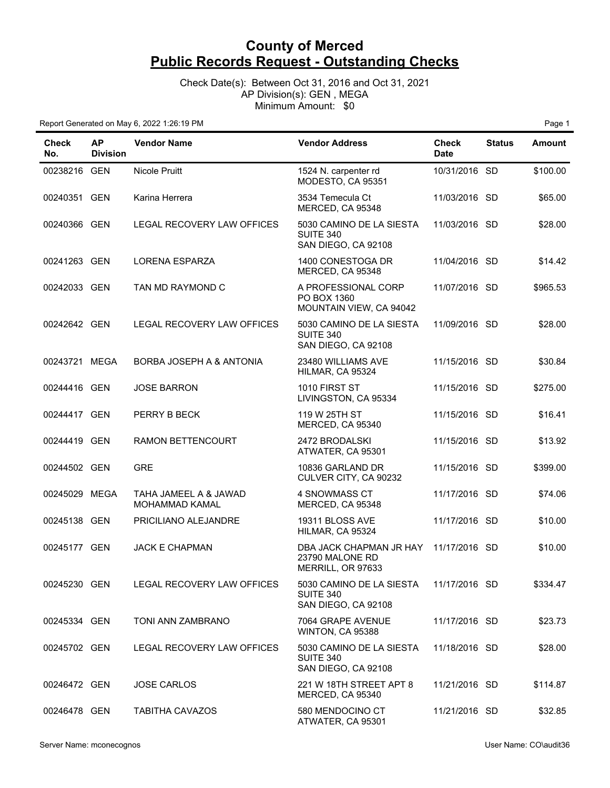Check Date(s): Between Oct 31, 2016 and Oct 31, 2021 AP Division(s): GEN , MEGA Minimum Amount: \$0

| <b>Check</b><br>No. | <b>AP</b><br><b>Division</b> | <b>Vendor Name</b>                      | <b>Vendor Address</b>                                           | <b>Check</b><br><b>Date</b> | <b>Status</b> | <b>Amount</b> |
|---------------------|------------------------------|-----------------------------------------|-----------------------------------------------------------------|-----------------------------|---------------|---------------|
| 00238216 GEN        |                              | Nicole Pruitt                           | 1524 N. carpenter rd<br>MODESTO, CA 95351                       | 10/31/2016 SD               |               | \$100.00      |
| 00240351 GEN        |                              | Karina Herrera                          | 3534 Temecula Ct<br>MERCED, CA 95348                            | 11/03/2016 SD               |               | \$65.00       |
| 00240366 GEN        |                              | <b>LEGAL RECOVERY LAW OFFICES</b>       | 5030 CAMINO DE LA SIESTA<br>SUITE 340<br>SAN DIEGO, CA 92108    | 11/03/2016 SD               |               | \$28.00       |
| 00241263 GEN        |                              | <b>LORENA ESPARZA</b>                   | 1400 CONESTOGA DR<br>MERCED, CA 95348                           | 11/04/2016 SD               |               | \$14.42       |
| 00242033 GEN        |                              | TAN MD RAYMOND C                        | A PROFESSIONAL CORP<br>PO BOX 1360<br>MOUNTAIN VIEW, CA 94042   | 11/07/2016 SD               |               | \$965.53      |
| 00242642 GEN        |                              | LEGAL RECOVERY LAW OFFICES              | 5030 CAMINO DE LA SIESTA<br>SUITE 340<br>SAN DIEGO, CA 92108    | 11/09/2016 SD               |               | \$28.00       |
| 00243721 MEGA       |                              | BORBA JOSEPH A & ANTONIA                | 23480 WILLIAMS AVE<br>HILMAR, CA 95324                          | 11/15/2016 SD               |               | \$30.84       |
| 00244416 GEN        |                              | <b>JOSE BARRON</b>                      | 1010 FIRST ST<br>LIVINGSTON, CA 95334                           | 11/15/2016 SD               |               | \$275.00      |
| 00244417 GEN        |                              | PERRY B BECK                            | 119 W 25TH ST<br>MERCED, CA 95340                               | 11/15/2016 SD               |               | \$16.41       |
| 00244419 GEN        |                              | RAMON BETTENCOURT                       | 2472 BRODALSKI<br>ATWATER, CA 95301                             | 11/15/2016 SD               |               | \$13.92       |
| 00244502 GEN        |                              | <b>GRE</b>                              | 10836 GARLAND DR<br>CULVER CITY, CA 90232                       | 11/15/2016 SD               |               | \$399.00      |
| 00245029 MEGA       |                              | TAHA JAMEEL A & JAWAD<br>MOHAMMAD KAMAL | 4 SNOWMASS CT<br>MERCED, CA 95348                               | 11/17/2016 SD               |               | \$74.06       |
| 00245138 GEN        |                              | PRICILIANO ALEJANDRE                    | 19311 BLOSS AVE<br>HILMAR, CA 95324                             | 11/17/2016 SD               |               | \$10.00       |
| 00245177 GEN        |                              | <b>JACK E CHAPMAN</b>                   | DBA JACK CHAPMAN JR HAY<br>23790 MALONE RD<br>MERRILL, OR 97633 | 11/17/2016 SD               |               | \$10.00       |
| 00245230 GEN        |                              | LEGAL RECOVERY LAW OFFICES              | 5030 CAMINO DE LA SIESTA<br>SUITE 340<br>SAN DIEGO, CA 92108    | 11/17/2016 SD               |               | \$334.47      |
| 00245334 GEN        |                              | TONI ANN ZAMBRANO                       | 7064 GRAPE AVENUE<br>WINTON, CA 95388                           | 11/17/2016 SD               |               | \$23.73       |
| 00245702 GEN        |                              | LEGAL RECOVERY LAW OFFICES              | 5030 CAMINO DE LA SIESTA<br>SUITE 340<br>SAN DIEGO, CA 92108    | 11/18/2016 SD               |               | \$28.00       |
| 00246472 GEN        |                              | <b>JOSE CARLOS</b>                      | 221 W 18TH STREET APT 8<br>MERCED, CA 95340                     | 11/21/2016 SD               |               | \$114.87      |
| 00246478 GEN        |                              | <b>TABITHA CAVAZOS</b>                  | 580 MENDOCINO CT<br>ATWATER, CA 95301                           | 11/21/2016 SD               |               | \$32.85       |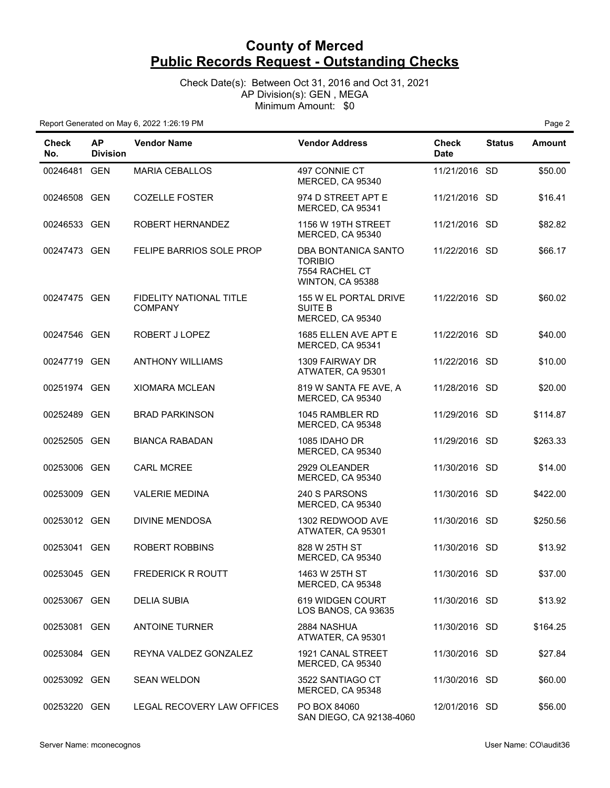Check Date(s): Between Oct 31, 2016 and Oct 31, 2021 AP Division(s): GEN , MEGA Minimum Amount: \$0

| <b>Check</b><br>No. | <b>AP</b><br><b>Division</b> | <b>Vendor Name</b>                        | <b>Vendor Address</b>                                                       | <b>Check</b><br><b>Date</b> | <b>Status</b> | Amount   |
|---------------------|------------------------------|-------------------------------------------|-----------------------------------------------------------------------------|-----------------------------|---------------|----------|
| 00246481 GEN        |                              | <b>MARIA CEBALLOS</b>                     | 497 CONNIE CT<br>MERCED, CA 95340                                           | 11/21/2016 SD               |               | \$50.00  |
| 00246508 GEN        |                              | <b>COZELLE FOSTER</b>                     | 974 D STREET APT E<br>MERCED, CA 95341                                      | 11/21/2016 SD               |               | \$16.41  |
| 00246533 GEN        |                              | ROBERT HERNANDEZ                          | 1156 W 19TH STREET<br>MERCED, CA 95340                                      | 11/21/2016 SD               |               | \$82.82  |
| 00247473 GEN        |                              | FELIPE BARRIOS SOLE PROP                  | DBA BONTANICA SANTO<br><b>TORIBIO</b><br>7554 RACHEL CT<br>WINTON, CA 95388 | 11/22/2016 SD               |               | \$66.17  |
| 00247475 GEN        |                              | FIDELITY NATIONAL TITLE<br><b>COMPANY</b> | 155 W EL PORTAL DRIVE<br>SUITE B<br>MERCED, CA 95340                        | 11/22/2016 SD               |               | \$60.02  |
| 00247546 GEN        |                              | ROBERT J LOPEZ                            | 1685 ELLEN AVE APT E<br>MERCED, CA 95341                                    | 11/22/2016 SD               |               | \$40.00  |
| 00247719 GEN        |                              | <b>ANTHONY WILLIAMS</b>                   | 1309 FAIRWAY DR<br>ATWATER, CA 95301                                        | 11/22/2016 SD               |               | \$10.00  |
| 00251974 GEN        |                              | <b>XIOMARA MCLEAN</b>                     | 819 W SANTA FE AVE, A<br>MERCED, CA 95340                                   | 11/28/2016 SD               |               | \$20.00  |
| 00252489 GEN        |                              | <b>BRAD PARKINSON</b>                     | 1045 RAMBLER RD<br>MERCED, CA 95348                                         | 11/29/2016 SD               |               | \$114.87 |
| 00252505 GEN        |                              | <b>BIANCA RABADAN</b>                     | 1085 IDAHO DR<br>MERCED, CA 95340                                           | 11/29/2016 SD               |               | \$263.33 |
| 00253006 GEN        |                              | <b>CARL MCREE</b>                         | 2929 OLEANDER<br>MERCED, CA 95340                                           | 11/30/2016 SD               |               | \$14.00  |
| 00253009 GEN        |                              | <b>VALERIE MEDINA</b>                     | 240 S PARSONS<br>MERCED, CA 95340                                           | 11/30/2016 SD               |               | \$422.00 |
| 00253012 GEN        |                              | <b>DIVINE MENDOSA</b>                     | 1302 REDWOOD AVE<br>ATWATER, CA 95301                                       | 11/30/2016 SD               |               | \$250.56 |
| 00253041 GEN        |                              | <b>ROBERT ROBBINS</b>                     | 828 W 25TH ST<br>MERCED, CA 95340                                           | 11/30/2016 SD               |               | \$13.92  |
| 00253045 GEN        |                              | <b>FREDERICK R ROUTT</b>                  | 1463 W 25TH ST<br>MERCED, CA 95348                                          | 11/30/2016 SD               |               | \$37.00  |
| 00253067 GEN        |                              | <b>DELIA SUBIA</b>                        | 619 WIDGEN COURT<br>LOS BANOS, CA 93635                                     | 11/30/2016 SD               |               | \$13.92  |
| 00253081 GEN        |                              | <b>ANTOINE TURNER</b>                     | 2884 NASHUA<br>ATWATER, CA 95301                                            | 11/30/2016 SD               |               | \$164.25 |
| 00253084 GEN        |                              | REYNA VALDEZ GONZALEZ                     | 1921 CANAL STREET<br>MERCED, CA 95340                                       | 11/30/2016 SD               |               | \$27.84  |
| 00253092 GEN        |                              | <b>SEAN WELDON</b>                        | 3522 SANTIAGO CT<br>MERCED, CA 95348                                        | 11/30/2016 SD               |               | \$60.00  |
| 00253220 GEN        |                              | LEGAL RECOVERY LAW OFFICES                | PO BOX 84060<br>SAN DIEGO, CA 92138-4060                                    | 12/01/2016 SD               |               | \$56.00  |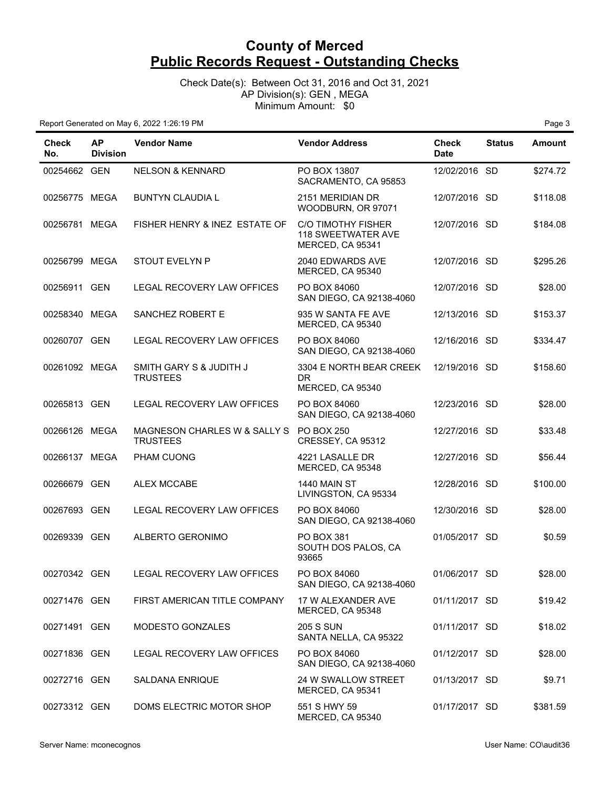Check Date(s): Between Oct 31, 2016 and Oct 31, 2021 AP Division(s): GEN , MEGA Minimum Amount: \$0

| <b>Check</b><br>No. | <b>AP</b><br><b>Division</b> | <b>Vendor Name</b>                              | <b>Vendor Address</b>                                               | <b>Check</b><br><b>Date</b> | <b>Status</b> | <b>Amount</b> |
|---------------------|------------------------------|-------------------------------------------------|---------------------------------------------------------------------|-----------------------------|---------------|---------------|
| 00254662 GEN        |                              | <b>NELSON &amp; KENNARD</b>                     | PO BOX 13807<br>SACRAMENTO, CA 95853                                | 12/02/2016 SD               |               | \$274.72      |
| 00256775 MEGA       |                              | <b>BUNTYN CLAUDIA L</b>                         | 2151 MERIDIAN DR<br>WOODBURN, OR 97071                              | 12/07/2016 SD               |               | \$118.08      |
| 00256781 MEGA       |                              | FISHER HENRY & INEZ ESTATE OF                   | C/O TIMOTHY FISHER<br><b>118 SWEETWATER AVE</b><br>MERCED, CA 95341 | 12/07/2016 SD               |               | \$184.08      |
| 00256799 MEGA       |                              | <b>STOUT EVELYN P</b>                           | 2040 EDWARDS AVE<br>MERCED, CA 95340                                | 12/07/2016 SD               |               | \$295.26      |
| 00256911 GEN        |                              | LEGAL RECOVERY LAW OFFICES                      | PO BOX 84060<br>SAN DIEGO, CA 92138-4060                            | 12/07/2016 SD               |               | \$28.00       |
| 00258340 MEGA       |                              | SANCHEZ ROBERT E                                | 935 W SANTA FE AVE<br>MERCED, CA 95340                              | 12/13/2016 SD               |               | \$153.37      |
| 00260707 GEN        |                              | LEGAL RECOVERY LAW OFFICES                      | PO BOX 84060<br>SAN DIEGO, CA 92138-4060                            | 12/16/2016 SD               |               | \$334.47      |
| 00261092 MEGA       |                              | SMITH GARY S & JUDITH J<br><b>TRUSTEES</b>      | 3304 E NORTH BEAR CREEK<br>DR.<br>MERCED, CA 95340                  | 12/19/2016 SD               |               | \$158.60      |
| 00265813 GEN        |                              | LEGAL RECOVERY LAW OFFICES                      | PO BOX 84060<br>SAN DIEGO, CA 92138-4060                            | 12/23/2016 SD               |               | \$28.00       |
| 00266126 MEGA       |                              | MAGNESON CHARLES W & SALLY S<br><b>TRUSTEES</b> | <b>PO BOX 250</b><br>CRESSEY, CA 95312                              | 12/27/2016 SD               |               | \$33.48       |
| 00266137 MEGA       |                              | PHAM CUONG                                      | 4221 LASALLE DR<br>MERCED, CA 95348                                 | 12/27/2016 SD               |               | \$56.44       |
| 00266679 GEN        |                              | <b>ALEX MCCABE</b>                              | 1440 MAIN ST<br>LIVINGSTON, CA 95334                                | 12/28/2016 SD               |               | \$100.00      |
| 00267693 GEN        |                              | LEGAL RECOVERY LAW OFFICES                      | PO BOX 84060<br>SAN DIEGO, CA 92138-4060                            | 12/30/2016 SD               |               | \$28.00       |
| 00269339 GEN        |                              | ALBERTO GERONIMO                                | PO BOX 381<br>SOUTH DOS PALOS, CA<br>93665                          | 01/05/2017 SD               |               | \$0.59        |
| 00270342 GEN        |                              | LEGAL RECOVERY LAW OFFICES                      | PO BOX 84060<br>SAN DIEGO, CA 92138-4060                            | 01/06/2017 SD               |               | \$28.00       |
| 00271476 GEN        |                              | FIRST AMERICAN TITLE COMPANY                    | 17 W ALEXANDER AVE<br>MERCED, CA 95348                              | 01/11/2017 SD               |               | \$19.42       |
| 00271491 GEN        |                              | MODESTO GONZALES                                | <b>205 S SUN</b><br>SANTA NELLA, CA 95322                           | 01/11/2017 SD               |               | \$18.02       |
| 00271836 GEN        |                              | LEGAL RECOVERY LAW OFFICES                      | PO BOX 84060<br>SAN DIEGO, CA 92138-4060                            | 01/12/2017 SD               |               | \$28.00       |
| 00272716 GEN        |                              | <b>SALDANA ENRIQUE</b>                          | 24 W SWALLOW STREET<br>MERCED, CA 95341                             | 01/13/2017 SD               |               | \$9.71        |
| 00273312 GEN        |                              | DOMS ELECTRIC MOTOR SHOP                        | 551 S HWY 59<br>MERCED, CA 95340                                    | 01/17/2017 SD               |               | \$381.59      |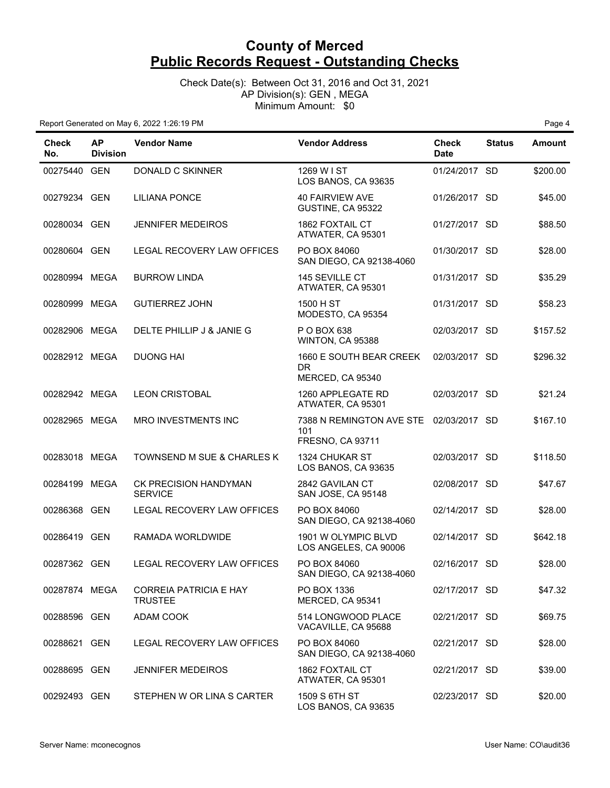Check Date(s): Between Oct 31, 2016 and Oct 31, 2021 AP Division(s): GEN , MEGA Minimum Amount: \$0

| <b>Check</b><br>No. | <b>AP</b><br><b>Division</b> | <b>Vendor Name</b>                              | <b>Vendor Address</b>                                                    | <b>Check</b><br><b>Date</b> | <b>Status</b> | <b>Amount</b> |
|---------------------|------------------------------|-------------------------------------------------|--------------------------------------------------------------------------|-----------------------------|---------------|---------------|
| 00275440 GEN        |                              | DONALD C SKINNER                                | 1269 W I ST<br>LOS BANOS, CA 93635                                       | 01/24/2017 SD               |               | \$200.00      |
| 00279234 GEN        |                              | <b>LILIANA PONCE</b>                            | <b>40 FAIRVIEW AVE</b><br>GUSTINE, CA 95322                              | 01/26/2017 SD               |               | \$45.00       |
| 00280034 GEN        |                              | <b>JENNIFER MEDEIROS</b>                        | <b>1862 FOXTAIL CT</b><br>ATWATER, CA 95301                              | 01/27/2017 SD               |               | \$88.50       |
| 00280604 GEN        |                              | LEGAL RECOVERY LAW OFFICES                      | PO BOX 84060<br>SAN DIEGO, CA 92138-4060                                 | 01/30/2017 SD               |               | \$28.00       |
| 00280994 MEGA       |                              | <b>BURROW LINDA</b>                             | 145 SEVILLE CT<br>ATWATER, CA 95301                                      | 01/31/2017 SD               |               | \$35.29       |
| 00280999 MEGA       |                              | <b>GUTIERREZ JOHN</b>                           | 1500 H ST<br>MODESTO, CA 95354                                           | 01/31/2017 SD               |               | \$58.23       |
| 00282906 MEGA       |                              | DELTE PHILLIP J & JANIE G                       | P O BOX 638<br>WINTON, CA 95388                                          | 02/03/2017 SD               |               | \$157.52      |
| 00282912 MEGA       |                              | <b>DUONG HAI</b>                                | 1660 E SOUTH BEAR CREEK<br>DR.<br>MERCED, CA 95340                       | 02/03/2017 SD               |               | \$296.32      |
| 00282942 MEGA       |                              | <b>LEON CRISTOBAL</b>                           | 1260 APPLEGATE RD<br>ATWATER, CA 95301                                   | 02/03/2017 SD               |               | \$21.24       |
| 00282965 MEGA       |                              | MRO INVESTMENTS INC                             | 7388 N REMINGTON AVE STE 02/03/2017 SD<br>101<br><b>FRESNO, CA 93711</b> |                             |               | \$167.10      |
| 00283018 MEGA       |                              | TOWNSEND M SUE & CHARLES K                      | <b>1324 CHUKAR ST</b><br>LOS BANOS, CA 93635                             | 02/03/2017 SD               |               | \$118.50      |
| 00284199 MEGA       |                              | CK PRECISION HANDYMAN<br><b>SERVICE</b>         | 2842 GAVILAN CT<br>SAN JOSE, CA 95148                                    | 02/08/2017 SD               |               | \$47.67       |
| 00286368 GEN        |                              | LEGAL RECOVERY LAW OFFICES                      | PO BOX 84060<br>SAN DIEGO, CA 92138-4060                                 | 02/14/2017 SD               |               | \$28.00       |
| 00286419 GEN        |                              | RAMADA WORLDWIDE                                | 1901 W OLYMPIC BLVD<br>LOS ANGELES, CA 90006                             | 02/14/2017 SD               |               | \$642.18      |
| 00287362 GEN        |                              | LEGAL RECOVERY LAW OFFICES                      | PO BOX 84060<br>SAN DIEGO, CA 92138-4060                                 | 02/16/2017 SD               |               | \$28.00       |
| 00287874 MEGA       |                              | <b>CORREIA PATRICIA E HAY</b><br><b>TRUSTEE</b> | PO BOX 1336<br>MERCED, CA 95341                                          | 02/17/2017 SD               |               | \$47.32       |
| 00288596 GEN        |                              | ADAM COOK                                       | 514 LONGWOOD PLACE<br>VACAVILLE, CA 95688                                | 02/21/2017 SD               |               | \$69.75       |
| 00288621 GEN        |                              | LEGAL RECOVERY LAW OFFICES                      | PO BOX 84060<br>SAN DIEGO, CA 92138-4060                                 | 02/21/2017 SD               |               | \$28.00       |
| 00288695 GEN        |                              | <b>JENNIFER MEDEIROS</b>                        | 1862 FOXTAIL CT<br>ATWATER, CA 95301                                     | 02/21/2017 SD               |               | \$39.00       |
| 00292493 GEN        |                              | STEPHEN W OR LINA S CARTER                      | 1509 S 6TH ST<br>LOS BANOS, CA 93635                                     | 02/23/2017 SD               |               | \$20.00       |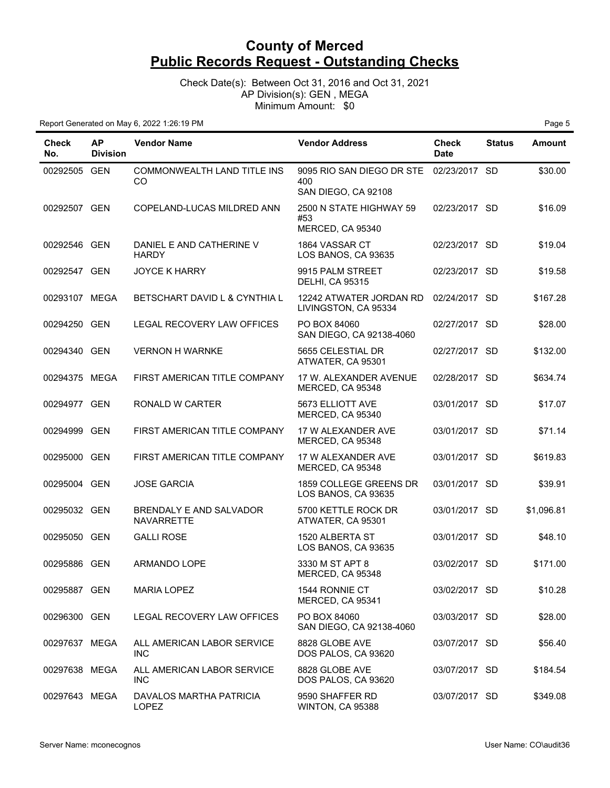Check Date(s): Between Oct 31, 2016 and Oct 31, 2021 AP Division(s): GEN , MEGA Minimum Amount: \$0

| <b>Check</b><br>No. | <b>AP</b><br><b>Division</b> | <b>Vendor Name</b>                           | <b>Vendor Address</b>                                                 | <b>Check</b><br><b>Date</b> | <b>Status</b> | <b>Amount</b> |
|---------------------|------------------------------|----------------------------------------------|-----------------------------------------------------------------------|-----------------------------|---------------|---------------|
| 00292505 GEN        |                              | COMMONWEALTH LAND TITLE INS<br>CO            | 9095 RIO SAN DIEGO DR STE 02/23/2017 SD<br>400<br>SAN DIEGO, CA 92108 |                             |               | \$30.00       |
| 00292507 GEN        |                              | COPELAND-LUCAS MILDRED ANN                   | 2500 N STATE HIGHWAY 59<br>#53<br>MERCED, CA 95340                    | 02/23/2017 SD               |               | \$16.09       |
| 00292546 GEN        |                              | DANIEL E AND CATHERINE V<br><b>HARDY</b>     | 1864 VASSAR CT<br>LOS BANOS, CA 93635                                 | 02/23/2017 SD               |               | \$19.04       |
| 00292547 GEN        |                              | <b>JOYCE K HARRY</b>                         | 9915 PALM STREET<br><b>DELHI, CA 95315</b>                            | 02/23/2017 SD               |               | \$19.58       |
| 00293107 MEGA       |                              | BETSCHART DAVID L & CYNTHIA L                | 12242 ATWATER JORDAN RD<br>LIVINGSTON, CA 95334                       | 02/24/2017 SD               |               | \$167.28      |
| 00294250 GEN        |                              | LEGAL RECOVERY LAW OFFICES                   | PO BOX 84060<br>SAN DIEGO, CA 92138-4060                              | 02/27/2017 SD               |               | \$28.00       |
| 00294340 GEN        |                              | <b>VERNON H WARNKE</b>                       | 5655 CELESTIAL DR<br>ATWATER, CA 95301                                | 02/27/2017 SD               |               | \$132.00      |
| 00294375 MEGA       |                              | FIRST AMERICAN TITLE COMPANY                 | 17 W. ALEXANDER AVENUE<br>MERCED, CA 95348                            | 02/28/2017 SD               |               | \$634.74      |
| 00294977 GEN        |                              | RONALD W CARTER                              | 5673 ELLIOTT AVE<br>MERCED, CA 95340                                  | 03/01/2017 SD               |               | \$17.07       |
| 00294999 GEN        |                              | FIRST AMERICAN TITLE COMPANY                 | 17 W ALEXANDER AVE<br>MERCED, CA 95348                                | 03/01/2017 SD               |               | \$71.14       |
| 00295000 GEN        |                              | FIRST AMERICAN TITLE COMPANY                 | 17 W ALEXANDER AVE<br>MERCED, CA 95348                                | 03/01/2017 SD               |               | \$619.83      |
| 00295004 GEN        |                              | <b>JOSE GARCIA</b>                           | 1859 COLLEGE GREENS DR<br>LOS BANOS, CA 93635                         | 03/01/2017 SD               |               | \$39.91       |
| 00295032 GEN        |                              | BRENDALY E AND SALVADOR<br><b>NAVARRETTE</b> | 5700 KETTLE ROCK DR<br>ATWATER, CA 95301                              | 03/01/2017 SD               |               | \$1,096.81    |
| 00295050 GEN        |                              | <b>GALLI ROSE</b>                            | 1520 ALBERTA ST<br>LOS BANOS, CA 93635                                | 03/01/2017 SD               |               | \$48.10       |
| 00295886 GEN        |                              | ARMANDO LOPE                                 | 3330 M ST APT 8<br>MERCED, CA 95348                                   | 03/02/2017 SD               |               | \$171.00      |
| 00295887 GEN        |                              | <b>MARIA LOPEZ</b>                           | 1544 RONNIE CT<br>MERCED, CA 95341                                    | 03/02/2017 SD               |               | \$10.28       |
| 00296300 GEN        |                              | LEGAL RECOVERY LAW OFFICES                   | PO BOX 84060<br>SAN DIEGO, CA 92138-4060                              | 03/03/2017 SD               |               | \$28.00       |
| 00297637 MEGA       |                              | ALL AMERICAN LABOR SERVICE<br><b>INC</b>     | 8828 GLOBE AVE<br>DOS PALOS, CA 93620                                 | 03/07/2017 SD               |               | \$56.40       |
| 00297638 MEGA       |                              | ALL AMERICAN LABOR SERVICE<br><b>INC</b>     | 8828 GLOBE AVE<br>DOS PALOS, CA 93620                                 | 03/07/2017 SD               |               | \$184.54      |
| 00297643 MEGA       |                              | DAVALOS MARTHA PATRICIA<br><b>LOPEZ</b>      | 9590 SHAFFER RD<br>WINTON, CA 95388                                   | 03/07/2017 SD               |               | \$349.08      |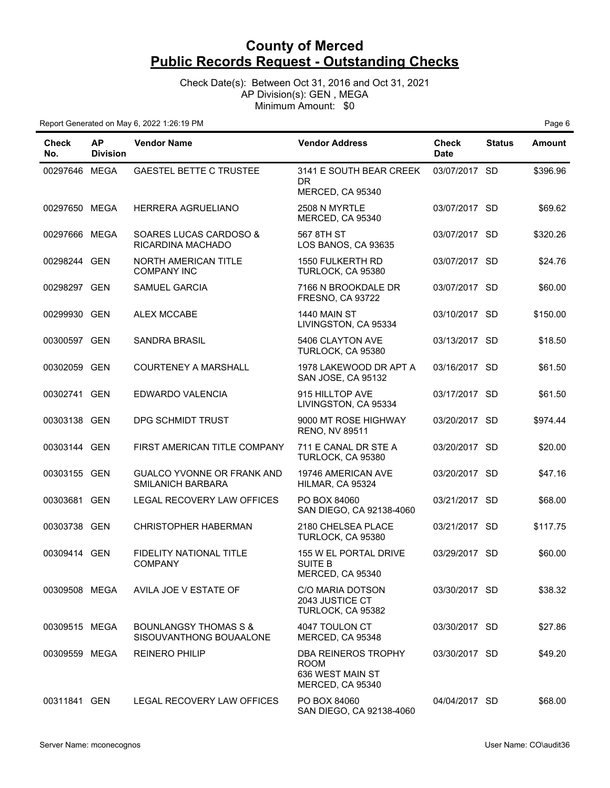Check Date(s): Between Oct 31, 2016 and Oct 31, 2021 AP Division(s): GEN , MEGA Minimum Amount: \$0

| <b>Check</b><br>No. | <b>AP</b><br><b>Division</b> | <b>Vendor Name</b>                                          | <b>Vendor Address</b>                                                             | <b>Check</b><br><b>Date</b> | <b>Status</b> | <b>Amount</b> |
|---------------------|------------------------------|-------------------------------------------------------------|-----------------------------------------------------------------------------------|-----------------------------|---------------|---------------|
| 00297646 MEGA       |                              | <b>GAESTEL BETTE C TRUSTEE</b>                              | 3141 E SOUTH BEAR CREEK<br><b>DR</b><br>MERCED, CA 95340                          | 03/07/2017 SD               |               | \$396.96      |
| 00297650 MEGA       |                              | HERRERA AGRUELIANO                                          | 2508 N MYRTLE<br>MERCED, CA 95340                                                 | 03/07/2017 SD               |               | \$69.62       |
| 00297666 MEGA       |                              | SOARES LUCAS CARDOSO &<br>RICARDINA MACHADO                 | 567 8TH ST<br>LOS BANOS, CA 93635                                                 | 03/07/2017 SD               |               | \$320.26      |
| 00298244 GEN        |                              | NORTH AMERICAN TITLE<br><b>COMPANY INC</b>                  | 1550 FULKERTH RD<br>TURLOCK, CA 95380                                             | 03/07/2017 SD               |               | \$24.76       |
| 00298297 GEN        |                              | <b>SAMUEL GARCIA</b>                                        | 7166 N BROOKDALE DR<br><b>FRESNO, CA 93722</b>                                    | 03/07/2017 SD               |               | \$60.00       |
| 00299930 GEN        |                              | <b>ALEX MCCABE</b>                                          | 1440 MAIN ST<br>LIVINGSTON, CA 95334                                              | 03/10/2017 SD               |               | \$150.00      |
| 00300597 GEN        |                              | <b>SANDRA BRASIL</b>                                        | 5406 CLAYTON AVE<br>TURLOCK, CA 95380                                             | 03/13/2017 SD               |               | \$18.50       |
| 00302059 GEN        |                              | <b>COURTENEY A MARSHALL</b>                                 | 1978 LAKEWOOD DR APT A<br>SAN JOSE, CA 95132                                      | 03/16/2017 SD               |               | \$61.50       |
| 00302741 GEN        |                              | EDWARDO VALENCIA                                            | 915 HILLTOP AVE<br>LIVINGSTON, CA 95334                                           | 03/17/2017 SD               |               | \$61.50       |
| 00303138 GEN        |                              | DPG SCHMIDT TRUST                                           | 9000 MT ROSE HIGHWAY<br><b>RENO, NV 89511</b>                                     | 03/20/2017 SD               |               | \$974.44      |
| 00303144 GEN        |                              | FIRST AMERICAN TITLE COMPANY                                | 711 E CANAL DR STE A<br>TURLOCK, CA 95380                                         | 03/20/2017 SD               |               | \$20.00       |
| 00303155 GEN        |                              | GUALCO YVONNE OR FRANK AND<br>SMILANICH BARBARA             | 19746 AMERICAN AVE<br>HILMAR, CA 95324                                            | 03/20/2017 SD               |               | \$47.16       |
| 00303681 GEN        |                              | LEGAL RECOVERY LAW OFFICES                                  | PO BOX 84060<br>SAN DIEGO, CA 92138-4060                                          | 03/21/2017 SD               |               | \$68.00       |
| 00303738 GEN        |                              | CHRISTOPHER HABERMAN                                        | 2180 CHELSEA PLACE<br>TURLOCK, CA 95380                                           | 03/21/2017 SD               |               | \$117.75      |
| 00309414 GEN        |                              | FIDELITY NATIONAL TITLE<br><b>COMPANY</b>                   | 155 W EL PORTAL DRIVE<br><b>SUITE B</b><br>MERCED, CA 95340                       | 03/29/2017 SD               |               | \$60.00       |
| 00309508 MEGA       |                              | AVILA JOE V ESTATE OF                                       | C/O MARIA DOTSON<br>2043 JUSTICE CT<br>TURLOCK, CA 95382                          | 03/30/2017 SD               |               | \$38.32       |
| 00309515 MEGA       |                              | <b>BOUNLANGSY THOMAS S &amp;</b><br>SISOUVANTHONG BOUAALONE | 4047 TOULON CT<br>MERCED, CA 95348                                                | 03/30/2017 SD               |               | \$27.86       |
| 00309559 MEGA       |                              | <b>REINERO PHILIP</b>                                       | <b>DBA REINEROS TROPHY</b><br><b>ROOM</b><br>636 WEST MAIN ST<br>MERCED, CA 95340 | 03/30/2017 SD               |               | \$49.20       |
| 00311841 GEN        |                              | LEGAL RECOVERY LAW OFFICES                                  | PO BOX 84060<br>SAN DIEGO, CA 92138-4060                                          | 04/04/2017 SD               |               | \$68.00       |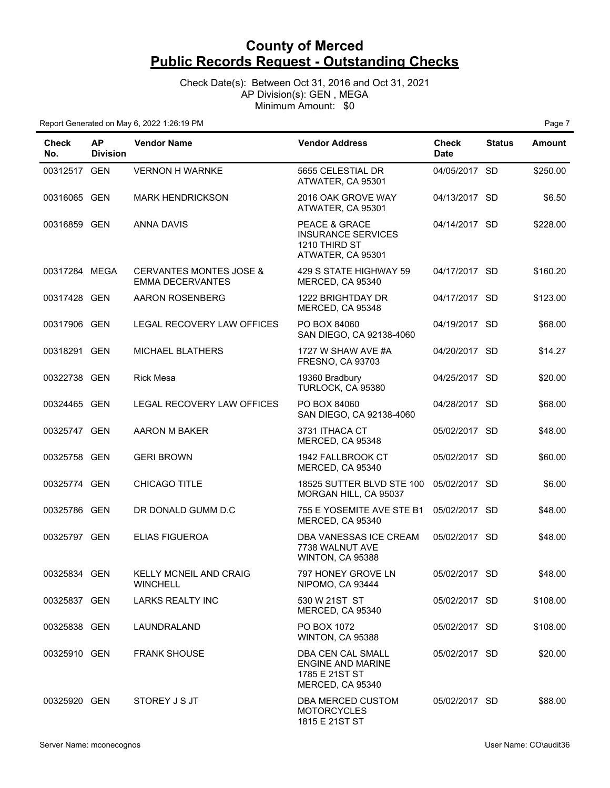#### Check Date(s): Between Oct 31, 2016 and Oct 31, 2021 AP Division(s): GEN , MEGA Minimum Amount: \$0

| <b>Check</b><br>No. | <b>AP</b><br><b>Division</b> | <b>Vendor Name</b>                                            | <b>Vendor Address</b>                                                                      | <b>Check</b><br><b>Date</b> | <b>Status</b> | <b>Amount</b> |
|---------------------|------------------------------|---------------------------------------------------------------|--------------------------------------------------------------------------------------------|-----------------------------|---------------|---------------|
| 00312517 GEN        |                              | <b>VERNON H WARNKE</b>                                        | 5655 CELESTIAL DR<br>ATWATER, CA 95301                                                     | 04/05/2017 SD               |               | \$250.00      |
| 00316065 GEN        |                              | <b>MARK HENDRICKSON</b>                                       | 2016 OAK GROVE WAY<br>ATWATER, CA 95301                                                    | 04/13/2017 SD               |               | \$6.50        |
| 00316859 GEN        |                              | ANNA DAVIS                                                    | PEACE & GRACE<br><b>INSURANCE SERVICES</b><br>1210 THIRD ST<br>ATWATER, CA 95301           | 04/14/2017 SD               |               | \$228.00      |
| 00317284 MEGA       |                              | <b>CERVANTES MONTES JOSE &amp;</b><br><b>EMMA DECERVANTES</b> | 429 S STATE HIGHWAY 59<br>MERCED, CA 95340                                                 | 04/17/2017 SD               |               | \$160.20      |
| 00317428 GEN        |                              | AARON ROSENBERG                                               | 1222 BRIGHTDAY DR<br>MERCED, CA 95348                                                      | 04/17/2017 SD               |               | \$123.00      |
| 00317906 GEN        |                              | LEGAL RECOVERY LAW OFFICES                                    | PO BOX 84060<br>SAN DIEGO, CA 92138-4060                                                   | 04/19/2017 SD               |               | \$68.00       |
| 00318291 GEN        |                              | MICHAEL BLATHERS                                              | 1727 W SHAW AVE #A<br><b>FRESNO, CA 93703</b>                                              | 04/20/2017 SD               |               | \$14.27       |
| 00322738 GEN        |                              | <b>Rick Mesa</b>                                              | 19360 Bradbury<br>TURLOCK, CA 95380                                                        | 04/25/2017 SD               |               | \$20.00       |
| 00324465 GEN        |                              | LEGAL RECOVERY LAW OFFICES                                    | PO BOX 84060<br>SAN DIEGO, CA 92138-4060                                                   | 04/28/2017 SD               |               | \$68.00       |
| 00325747 GEN        |                              | AARON M BAKER                                                 | 3731 ITHACA CT<br>MERCED, CA 95348                                                         | 05/02/2017 SD               |               | \$48.00       |
| 00325758 GEN        |                              | <b>GERI BROWN</b>                                             | 1942 FALLBROOK CT<br>MERCED, CA 95340                                                      | 05/02/2017 SD               |               | \$60.00       |
| 00325774 GEN        |                              | CHICAGO TITLE                                                 | 18525 SUTTER BLVD STE 100<br>MORGAN HILL, CA 95037                                         | 05/02/2017 SD               |               | \$6.00        |
| 00325786 GEN        |                              | DR DONALD GUMM D.C                                            | 755 E YOSEMITE AVE STE B1<br>MERCED, CA 95340                                              | 05/02/2017 SD               |               | \$48.00       |
| 00325797 GEN        |                              | <b>ELIAS FIGUEROA</b>                                         | DBA VANESSAS ICE CREAM<br>7738 WALNUT AVE<br>WINTON, CA 95388                              | 05/02/2017 SD               |               | \$48.00       |
| 00325834 GEN        |                              | KELLY MCNEIL AND CRAIG<br><b>WINCHELL</b>                     | 797 HONEY GROVE LN<br>NIPOMO, CA 93444                                                     | 05/02/2017 SD               |               | \$48.00       |
| 00325837 GEN        |                              | <b>LARKS REALTY INC</b>                                       | 530 W 21ST ST<br>MERCED, CA 95340                                                          | 05/02/2017 SD               |               | \$108.00      |
| 00325838 GEN        |                              | LAUNDRALAND                                                   | PO BOX 1072<br>WINTON, CA 95388                                                            | 05/02/2017 SD               |               | \$108.00      |
| 00325910 GEN        |                              | <b>FRANK SHOUSE</b>                                           | <b>DBA CEN CAL SMALL</b><br><b>ENGINE AND MARINE</b><br>1785 E 21ST ST<br>MERCED, CA 95340 | 05/02/2017 SD               |               | \$20.00       |
| 00325920 GEN        |                              | STOREY J S JT                                                 | DBA MERCED CUSTOM<br><b>MOTORCYCLES</b><br>1815 E 21ST ST                                  | 05/02/2017 SD               |               | \$88.00       |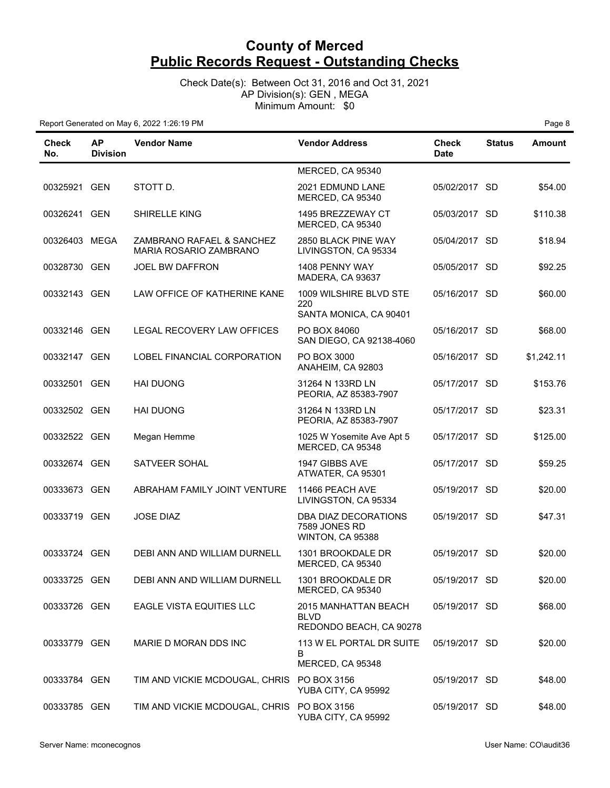Check Date(s): Between Oct 31, 2016 and Oct 31, 2021 AP Division(s): GEN , MEGA Minimum Amount: \$0

| Check<br>No.  | <b>AP</b><br><b>Division</b> | <b>Vendor Name</b>                                  | <b>Vendor Address</b>                                          | Check<br><b>Date</b> | <b>Status</b> | <b>Amount</b> |
|---------------|------------------------------|-----------------------------------------------------|----------------------------------------------------------------|----------------------|---------------|---------------|
|               |                              |                                                     | MERCED, CA 95340                                               |                      |               |               |
| 00325921 GEN  |                              | STOTT D.                                            | 2021 EDMUND LANE<br>MERCED, CA 95340                           | 05/02/2017 SD        |               | \$54.00       |
| 00326241 GEN  |                              | <b>SHIRELLE KING</b>                                | 1495 BREZZEWAY CT<br>MERCED, CA 95340                          | 05/03/2017 SD        |               | \$110.38      |
| 00326403 MEGA |                              | ZAMBRANO RAFAEL & SANCHEZ<br>MARIA ROSARIO ZAMBRANO | 2850 BLACK PINE WAY<br>LIVINGSTON, CA 95334                    | 05/04/2017 SD        |               | \$18.94       |
| 00328730 GEN  |                              | <b>JOEL BW DAFFRON</b>                              | 1408 PENNY WAY<br>MADERA, CA 93637                             | 05/05/2017 SD        |               | \$92.25       |
| 00332143 GEN  |                              | LAW OFFICE OF KATHERINE KANE                        | 1009 WILSHIRE BLVD STE<br>220<br>SANTA MONICA, CA 90401        | 05/16/2017 SD        |               | \$60.00       |
| 00332146 GEN  |                              | LEGAL RECOVERY LAW OFFICES                          | PO BOX 84060<br>SAN DIEGO, CA 92138-4060                       | 05/16/2017 SD        |               | \$68.00       |
| 00332147 GEN  |                              | LOBEL FINANCIAL CORPORATION                         | PO BOX 3000<br>ANAHEIM, CA 92803                               | 05/16/2017 SD        |               | \$1,242.11    |
| 00332501 GEN  |                              | <b>HAI DUONG</b>                                    | 31264 N 133RD LN<br>PEORIA, AZ 85383-7907                      | 05/17/2017 SD        |               | \$153.76      |
| 00332502 GEN  |                              | <b>HAI DUONG</b>                                    | 31264 N 133RD LN<br>PEORIA, AZ 85383-7907                      | 05/17/2017 SD        |               | \$23.31       |
| 00332522 GEN  |                              | Megan Hemme                                         | 1025 W Yosemite Ave Apt 5<br>MERCED, CA 95348                  | 05/17/2017 SD        |               | \$125.00      |
| 00332674 GEN  |                              | SATVEER SOHAL                                       | 1947 GIBBS AVE<br>ATWATER, CA 95301                            | 05/17/2017 SD        |               | \$59.25       |
| 00333673 GEN  |                              | ABRAHAM FAMILY JOINT VENTURE                        | 11466 PEACH AVE<br>LIVINGSTON, CA 95334                        | 05/19/2017 SD        |               | \$20.00       |
| 00333719 GEN  |                              | <b>JOSE DIAZ</b>                                    | DBA DIAZ DECORATIONS<br>7589 JONES RD<br>WINTON, CA 95388      | 05/19/2017 SD        |               | \$47.31       |
| 00333724 GEN  |                              | DEBI ANN AND WILLIAM DURNELL                        | 1301 BROOKDALE DR<br>MERCED, CA 95340                          | 05/19/2017 SD        |               | \$20.00       |
| 00333725 GEN  |                              | DEBI ANN AND WILLIAM DURNELL                        | 1301 BROOKDALE DR<br>MERCED, CA 95340                          | 05/19/2017 SD        |               | \$20.00       |
| 00333726 GEN  |                              | EAGLE VISTA EQUITIES LLC                            | 2015 MANHATTAN BEACH<br><b>BLVD</b><br>REDONDO BEACH, CA 90278 | 05/19/2017 SD        |               | \$68.00       |
| 00333779 GEN  |                              | MARIE D MORAN DDS INC                               | 113 W EL PORTAL DR SUITE<br>B<br>MERCED, CA 95348              | 05/19/2017 SD        |               | \$20.00       |
| 00333784 GEN  |                              | TIM AND VICKIE MCDOUGAL, CHRIS                      | PO BOX 3156<br>YUBA CITY, CA 95992                             | 05/19/2017 SD        |               | \$48.00       |
| 00333785 GEN  |                              | TIM AND VICKIE MCDOUGAL, CHRIS PO BOX 3156          | YUBA CITY, CA 95992                                            | 05/19/2017 SD        |               | \$48.00       |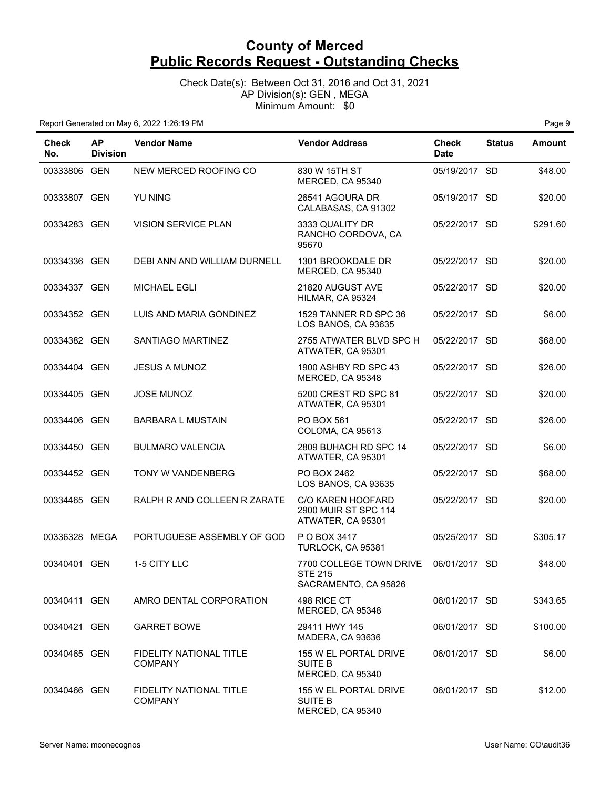Check Date(s): Between Oct 31, 2016 and Oct 31, 2021 AP Division(s): GEN , MEGA Minimum Amount: \$0

| <b>Check</b><br>No. | <b>AP</b><br><b>Division</b> | <b>Vendor Name</b>                               | <b>Vendor Address</b>                                                 | <b>Check</b><br><b>Date</b> | <b>Status</b> | <b>Amount</b> |
|---------------------|------------------------------|--------------------------------------------------|-----------------------------------------------------------------------|-----------------------------|---------------|---------------|
| 00333806 GEN        |                              | NEW MERCED ROOFING CO                            | 830 W 15TH ST<br>MERCED, CA 95340                                     | 05/19/2017 SD               |               | \$48.00       |
| 00333807 GEN        |                              | <b>YU NING</b>                                   | 26541 AGOURA DR<br>CALABASAS, CA 91302                                | 05/19/2017 SD               |               | \$20.00       |
| 00334283 GEN        |                              | <b>VISION SERVICE PLAN</b>                       | 3333 QUALITY DR<br>RANCHO CORDOVA, CA<br>95670                        | 05/22/2017 SD               |               | \$291.60      |
| 00334336 GEN        |                              | DEBI ANN AND WILLIAM DURNELL                     | 1301 BROOKDALE DR<br>MERCED, CA 95340                                 | 05/22/2017 SD               |               | \$20.00       |
| 00334337 GEN        |                              | <b>MICHAEL EGLI</b>                              | 21820 AUGUST AVE<br>HILMAR, CA 95324                                  | 05/22/2017 SD               |               | \$20.00       |
| 00334352 GEN        |                              | LUIS AND MARIA GONDINEZ                          | 1529 TANNER RD SPC 36<br>LOS BANOS, CA 93635                          | 05/22/2017 SD               |               | \$6.00        |
| 00334382 GEN        |                              | SANTIAGO MARTINEZ                                | 2755 ATWATER BLVD SPC H<br>ATWATER, CA 95301                          | 05/22/2017 SD               |               | \$68.00       |
| 00334404 GEN        |                              | <b>JESUS A MUNOZ</b>                             | 1900 ASHBY RD SPC 43<br>MERCED, CA 95348                              | 05/22/2017 SD               |               | \$26.00       |
| 00334405 GEN        |                              | <b>JOSE MUNOZ</b>                                | 5200 CREST RD SPC 81<br>ATWATER, CA 95301                             | 05/22/2017 SD               |               | \$20.00       |
| 00334406 GEN        |                              | <b>BARBARA L MUSTAIN</b>                         | PO BOX 561<br>COLOMA, CA 95613                                        | 05/22/2017 SD               |               | \$26.00       |
| 00334450 GEN        |                              | <b>BULMARO VALENCIA</b>                          | 2809 BUHACH RD SPC 14<br>ATWATER, CA 95301                            | 05/22/2017 SD               |               | \$6.00        |
| 00334452 GEN        |                              | TONY W VANDENBERG                                | PO BOX 2462<br>LOS BANOS, CA 93635                                    | 05/22/2017 SD               |               | \$68.00       |
| 00334465 GEN        |                              | RALPH R AND COLLEEN R ZARATE                     | <b>C/O KAREN HOOFARD</b><br>2900 MUIR ST SPC 114<br>ATWATER, CA 95301 | 05/22/2017 SD               |               | \$20.00       |
| 00336328 MEGA       |                              | PORTUGUESE ASSEMBLY OF GOD                       | P O BOX 3417<br>TURLOCK, CA 95381                                     | 05/25/2017 SD               |               | \$305.17      |
| 00340401 GEN        |                              | 1-5 CITY LLC                                     | 7700 COLLEGE TOWN DRIVE<br><b>STE 215</b><br>SACRAMENTO, CA 95826     | 06/01/2017 SD               |               | \$48.00       |
| 00340411 GEN        |                              | AMRO DENTAL CORPORATION                          | 498 RICE CT<br>MERCED, CA 95348                                       | 06/01/2017 SD               |               | \$343.65      |
| 00340421 GEN        |                              | <b>GARRET BOWE</b>                               | 29411 HWY 145<br>MADERA, CA 93636                                     | 06/01/2017 SD               |               | \$100.00      |
| 00340465 GEN        |                              | <b>FIDELITY NATIONAL TITLE</b><br><b>COMPANY</b> | 155 W EL PORTAL DRIVE<br><b>SUITE B</b><br>MERCED, CA 95340           | 06/01/2017 SD               |               | \$6.00        |
| 00340466 GEN        |                              | <b>FIDELITY NATIONAL TITLE</b><br><b>COMPANY</b> | 155 W EL PORTAL DRIVE<br><b>SUITE B</b><br>MERCED, CA 95340           | 06/01/2017 SD               |               | \$12.00       |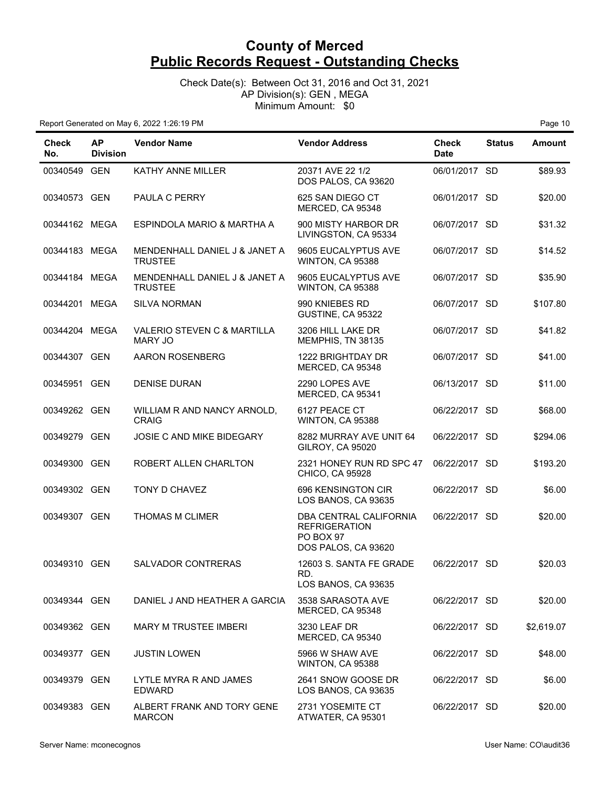Check Date(s): Between Oct 31, 2016 and Oct 31, 2021 AP Division(s): GEN , MEGA Minimum Amount: \$0

| Check<br>No.  | <b>AP</b><br><b>Division</b> | <b>Vendor Name</b>                              | <b>Vendor Address</b>                                                              | <b>Check</b><br><b>Date</b> | <b>Status</b> | <b>Amount</b> |
|---------------|------------------------------|-------------------------------------------------|------------------------------------------------------------------------------------|-----------------------------|---------------|---------------|
| 00340549 GEN  |                              | KATHY ANNE MILLER                               | 20371 AVE 22 1/2<br>DOS PALOS, CA 93620                                            | 06/01/2017 SD               |               | \$89.93       |
| 00340573 GEN  |                              | PAULA C PERRY                                   | 625 SAN DIEGO CT<br>MERCED, CA 95348                                               | 06/01/2017 SD               |               | \$20.00       |
| 00344162 MEGA |                              | ESPINDOLA MARIO & MARTHA A                      | 900 MISTY HARBOR DR<br>LIVINGSTON, CA 95334                                        | 06/07/2017 SD               |               | \$31.32       |
| 00344183 MEGA |                              | MENDENHALL DANIEL J & JANET A<br><b>TRUSTEE</b> | 9605 EUCALYPTUS AVE<br>WINTON, CA 95388                                            | 06/07/2017 SD               |               | \$14.52       |
| 00344184 MEGA |                              | MENDENHALL DANIEL J & JANET A<br><b>TRUSTEE</b> | 9605 EUCALYPTUS AVE<br>WINTON, CA 95388                                            | 06/07/2017 SD               |               | \$35.90       |
| 00344201 MEGA |                              | <b>SILVA NORMAN</b>                             | 990 KNIEBES RD<br>GUSTINE, CA 95322                                                | 06/07/2017 SD               |               | \$107.80      |
| 00344204 MEGA |                              | VALERIO STEVEN C & MARTILLA<br><b>MARY JO</b>   | 3206 HILL LAKE DR<br>MEMPHIS, TN 38135                                             | 06/07/2017 SD               |               | \$41.82       |
| 00344307 GEN  |                              | AARON ROSENBERG                                 | 1222 BRIGHTDAY DR<br>MERCED, CA 95348                                              | 06/07/2017 SD               |               | \$41.00       |
| 00345951 GEN  |                              | <b>DENISE DURAN</b>                             | 2290 LOPES AVE<br>MERCED, CA 95341                                                 | 06/13/2017 SD               |               | \$11.00       |
| 00349262 GEN  |                              | WILLIAM R AND NANCY ARNOLD,<br><b>CRAIG</b>     | 6127 PEACE CT<br>WINTON, CA 95388                                                  | 06/22/2017 SD               |               | \$68.00       |
| 00349279 GEN  |                              | JOSIE C AND MIKE BIDEGARY                       | 8282 MURRAY AVE UNIT 64<br><b>GILROY, CA 95020</b>                                 | 06/22/2017 SD               |               | \$294.06      |
| 00349300 GEN  |                              | ROBERT ALLEN CHARLTON                           | 2321 HONEY RUN RD SPC 47<br>CHICO, CA 95928                                        | 06/22/2017 SD               |               | \$193.20      |
| 00349302 GEN  |                              | <b>TONY D CHAVEZ</b>                            | 696 KENSINGTON CIR<br>LOS BANOS, CA 93635                                          | 06/22/2017 SD               |               | \$6.00        |
| 00349307 GEN  |                              | <b>THOMAS M CLIMER</b>                          | DBA CENTRAL CALIFORNIA<br><b>REFRIGERATION</b><br>PO BOX 97<br>DOS PALOS, CA 93620 | 06/22/2017 SD               |               | \$20.00       |
| 00349310 GEN  |                              | SALVADOR CONTRERAS                              | 12603 S. SANTA FE GRADE<br>RD.<br>LOS BANOS, CA 93635                              | 06/22/2017 SD               |               | \$20.03       |
| 00349344 GEN  |                              | DANIEL J AND HEATHER A GARCIA                   | 3538 SARASOTA AVE<br>MERCED, CA 95348                                              | 06/22/2017 SD               |               | \$20.00       |
| 00349362 GEN  |                              | <b>MARY M TRUSTEE IMBERI</b>                    | 3230 LEAF DR<br>MERCED, CA 95340                                                   | 06/22/2017 SD               |               | \$2,619.07    |
| 00349377 GEN  |                              | <b>JUSTIN LOWEN</b>                             | 5966 W SHAW AVE<br>WINTON, CA 95388                                                | 06/22/2017 SD               |               | \$48.00       |
| 00349379 GEN  |                              | LYTLE MYRA R AND JAMES<br><b>EDWARD</b>         | 2641 SNOW GOOSE DR<br>LOS BANOS, CA 93635                                          | 06/22/2017 SD               |               | \$6.00        |
| 00349383 GEN  |                              | ALBERT FRANK AND TORY GENE<br><b>MARCON</b>     | 2731 YOSEMITE CT<br>ATWATER, CA 95301                                              | 06/22/2017 SD               |               | \$20.00       |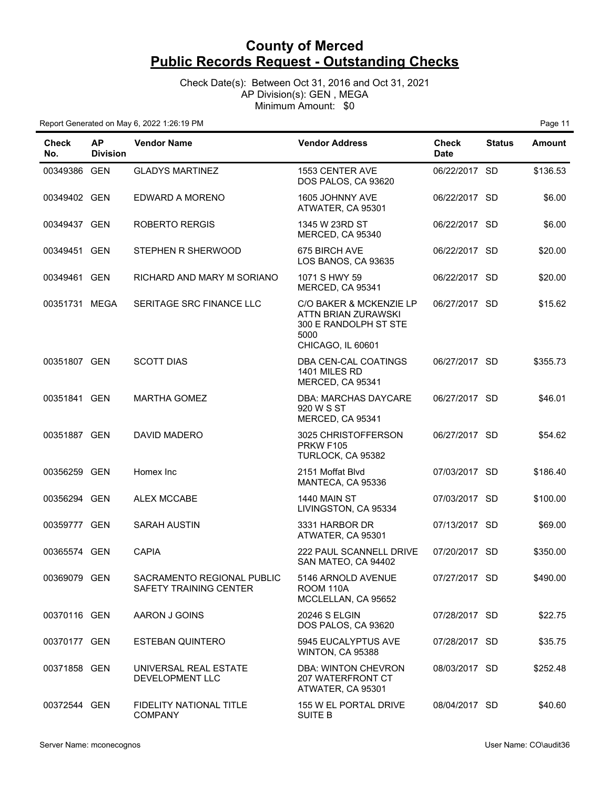Check Date(s): Between Oct 31, 2016 and Oct 31, 2021 AP Division(s): GEN , MEGA Minimum Amount: \$0

| Check<br>No.  | <b>AP</b><br><b>Division</b> | <b>Vendor Name</b>                                   | <b>Vendor Address</b>                                                                                | <b>Check</b><br><b>Date</b> | <b>Status</b> | <b>Amount</b> |
|---------------|------------------------------|------------------------------------------------------|------------------------------------------------------------------------------------------------------|-----------------------------|---------------|---------------|
| 00349386 GEN  |                              | <b>GLADYS MARTINEZ</b>                               | 1553 CENTER AVE<br>DOS PALOS, CA 93620                                                               | 06/22/2017 SD               |               | \$136.53      |
| 00349402 GEN  |                              | EDWARD A MORENO                                      | 1605 JOHNNY AVE<br>ATWATER, CA 95301                                                                 | 06/22/2017 SD               |               | \$6.00        |
| 00349437 GEN  |                              | <b>ROBERTO RERGIS</b>                                | 1345 W 23RD ST<br>MERCED, CA 95340                                                                   | 06/22/2017 SD               |               | \$6.00        |
| 00349451 GEN  |                              | STEPHEN R SHERWOOD                                   | 675 BIRCH AVE<br>LOS BANOS, CA 93635                                                                 | 06/22/2017 SD               |               | \$20.00       |
| 00349461 GEN  |                              | RICHARD AND MARY M SORIANO                           | 1071 S HWY 59<br>MERCED, CA 95341                                                                    | 06/22/2017 SD               |               | \$20.00       |
| 00351731 MEGA |                              | SERITAGE SRC FINANCE LLC                             | C/O BAKER & MCKENZIE LP<br>ATTN BRIAN ZURAWSKI<br>300 E RANDOLPH ST STE<br>5000<br>CHICAGO, IL 60601 | 06/27/2017 SD               |               | \$15.62       |
| 00351807 GEN  |                              | <b>SCOTT DIAS</b>                                    | DBA CEN-CAL COATINGS<br>1401 MILES RD<br>MERCED, CA 95341                                            | 06/27/2017 SD               |               | \$355.73      |
| 00351841 GEN  |                              | <b>MARTHA GOMEZ</b>                                  | DBA: MARCHAS DAYCARE<br>920 W S ST<br>MERCED, CA 95341                                               | 06/27/2017 SD               |               | \$46.01       |
| 00351887 GEN  |                              | DAVID MADERO                                         | 3025 CHRISTOFFERSON<br><b>PRKW F105</b><br>TURLOCK, CA 95382                                         | 06/27/2017 SD               |               | \$54.62       |
| 00356259 GEN  |                              | Homex Inc                                            | 2151 Moffat Blvd<br>MANTECA, CA 95336                                                                | 07/03/2017 SD               |               | \$186.40      |
| 00356294 GEN  |                              | <b>ALEX MCCABE</b>                                   | <b>1440 MAIN ST</b><br>LIVINGSTON, CA 95334                                                          | 07/03/2017 SD               |               | \$100.00      |
| 00359777 GEN  |                              | <b>SARAH AUSTIN</b>                                  | 3331 HARBOR DR<br>ATWATER, CA 95301                                                                  | 07/13/2017 SD               |               | \$69.00       |
| 00365574 GEN  |                              | <b>CAPIA</b>                                         | 222 PAUL SCANNELL DRIVE<br>SAN MATEO, CA 94402                                                       | 07/20/2017 SD               |               | \$350.00      |
| 00369079 GEN  |                              | SACRAMENTO REGIONAL PUBLIC<br>SAFETY TRAINING CENTER | 5146 ARNOLD AVENUE<br><b>ROOM 110A</b><br>MCCLELLAN, CA 95652                                        | 07/27/2017 SD               |               | \$490.00      |
| 00370116 GEN  |                              | AARON J GOINS                                        | 20246 S ELGIN<br>DOS PALOS, CA 93620                                                                 | 07/28/2017 SD               |               | \$22.75       |
| 00370177 GEN  |                              | <b>ESTEBAN QUINTERO</b>                              | 5945 EUCALYPTUS AVE<br>WINTON, CA 95388                                                              | 07/28/2017 SD               |               | \$35.75       |
| 00371858 GEN  |                              | UNIVERSAL REAL ESTATE<br>DEVELOPMENT LLC             | <b>DBA: WINTON CHEVRON</b><br>207 WATERFRONT CT<br>ATWATER, CA 95301                                 | 08/03/2017 SD               |               | \$252.48      |
| 00372544 GEN  |                              | <b>FIDELITY NATIONAL TITLE</b><br><b>COMPANY</b>     | 155 W EL PORTAL DRIVE<br><b>SUITE B</b>                                                              | 08/04/2017 SD               |               | \$40.60       |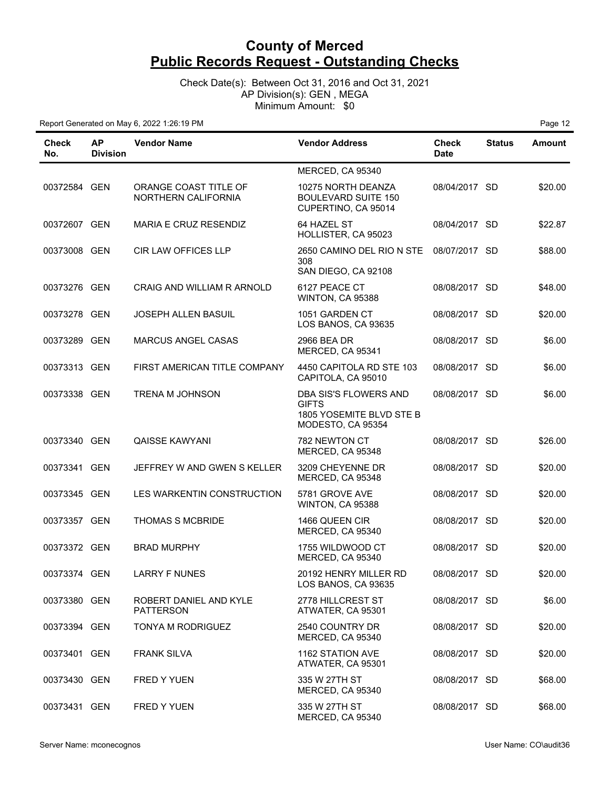Check Date(s): Between Oct 31, 2016 and Oct 31, 2021 AP Division(s): GEN , MEGA Minimum Amount: \$0

| Check<br>No. | <b>AP</b><br><b>Division</b> | <b>Vendor Name</b>                           | <b>Vendor Address</b>                                                           | <b>Check</b><br><b>Date</b> | <b>Status</b> | <b>Amount</b> |
|--------------|------------------------------|----------------------------------------------|---------------------------------------------------------------------------------|-----------------------------|---------------|---------------|
|              |                              |                                              | MERCED, CA 95340                                                                |                             |               |               |
| 00372584 GEN |                              | ORANGE COAST TITLE OF<br>NORTHERN CALIFORNIA | 10275 NORTH DEANZA<br><b>BOULEVARD SUITE 150</b><br>CUPERTINO, CA 95014         | 08/04/2017 SD               |               | \$20.00       |
| 00372607 GEN |                              | MARIA E CRUZ RESENDIZ                        | 64 HAZEL ST<br>HOLLISTER, CA 95023                                              | 08/04/2017 SD               |               | \$22.87       |
| 00373008 GEN |                              | <b>CIR LAW OFFICES LLP</b>                   | 2650 CAMINO DEL RIO N STE<br>308<br>SAN DIEGO, CA 92108                         | 08/07/2017 SD               |               | \$88.00       |
| 00373276 GEN |                              | CRAIG AND WILLIAM R ARNOLD                   | 6127 PEACE CT<br>WINTON, CA 95388                                               | 08/08/2017 SD               |               | \$48.00       |
| 00373278 GEN |                              | <b>JOSEPH ALLEN BASUIL</b>                   | 1051 GARDEN CT<br>LOS BANOS, CA 93635                                           | 08/08/2017 SD               |               | \$20.00       |
| 00373289 GEN |                              | <b>MARCUS ANGEL CASAS</b>                    | 2966 BEA DR<br>MERCED, CA 95341                                                 | 08/08/2017 SD               |               | \$6.00        |
| 00373313 GEN |                              | FIRST AMERICAN TITLE COMPANY                 | 4450 CAPITOLA RD STE 103<br>CAPITOLA, CA 95010                                  | 08/08/2017 SD               |               | \$6.00        |
| 00373338 GEN |                              | TRENA M JOHNSON                              | DBA SIS'S FLOWERS AND<br>GIFTS<br>1805 YOSEMITE BLVD STE B<br>MODESTO, CA 95354 | 08/08/2017 SD               |               | \$6.00        |
| 00373340 GEN |                              | QAISSE KAWYANI                               | 782 NEWTON CT<br>MERCED, CA 95348                                               | 08/08/2017 SD               |               | \$26.00       |
| 00373341 GEN |                              | JEFFREY W AND GWEN S KELLER                  | 3209 CHEYENNE DR<br>MERCED, CA 95348                                            | 08/08/2017 SD               |               | \$20.00       |
| 00373345 GEN |                              | LES WARKENTIN CONSTRUCTION                   | 5781 GROVE AVE<br>WINTON, CA 95388                                              | 08/08/2017 SD               |               | \$20.00       |
| 00373357 GEN |                              | THOMAS S MCBRIDE                             | 1466 QUEEN CIR<br>MERCED, CA 95340                                              | 08/08/2017 SD               |               | \$20.00       |
| 00373372 GEN |                              | <b>BRAD MURPHY</b>                           | 1755 WILDWOOD CT<br>MERCED, CA 95340                                            | 08/08/2017 SD               |               | \$20.00       |
| 00373374 GEN |                              | <b>LARRY F NUNES</b>                         | 20192 HENRY MILLER RD<br>LOS BANOS, CA 93635                                    | 08/08/2017 SD               |               | \$20.00       |
| 00373380 GEN |                              | ROBERT DANIEL AND KYLE<br><b>PATTERSON</b>   | 2778 HILLCREST ST<br>ATWATER, CA 95301                                          | 08/08/2017 SD               |               | \$6.00        |
| 00373394 GEN |                              | TONYA M RODRIGUEZ                            | 2540 COUNTRY DR<br>MERCED, CA 95340                                             | 08/08/2017 SD               |               | \$20.00       |
| 00373401 GEN |                              | <b>FRANK SILVA</b>                           | 1162 STATION AVE<br>ATWATER, CA 95301                                           | 08/08/2017 SD               |               | \$20.00       |
| 00373430 GEN |                              | <b>FRED Y YUEN</b>                           | 335 W 27TH ST<br>MERCED, CA 95340                                               | 08/08/2017 SD               |               | \$68.00       |
| 00373431 GEN |                              | <b>FRED Y YUEN</b>                           | 335 W 27TH ST<br>MERCED, CA 95340                                               | 08/08/2017 SD               |               | \$68.00       |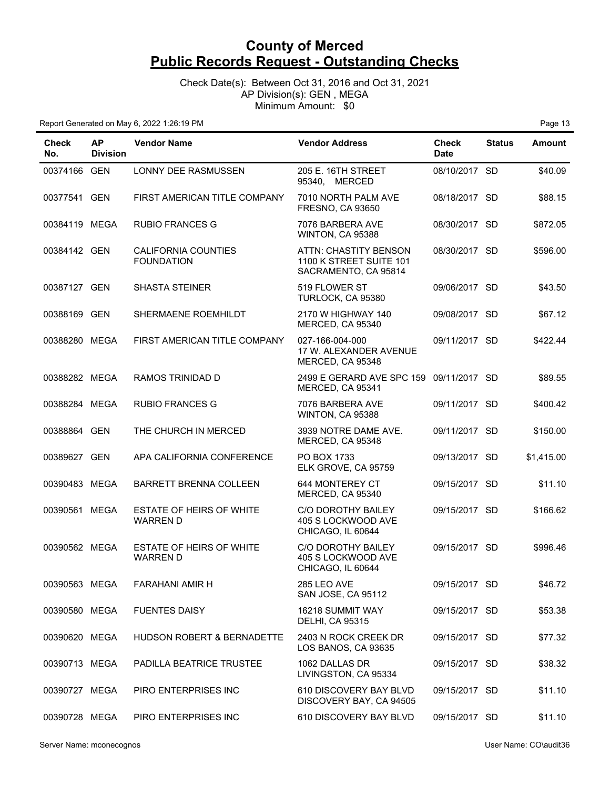Check Date(s): Between Oct 31, 2016 and Oct 31, 2021 AP Division(s): GEN , MEGA Minimum Amount: \$0

| Check<br>No.  | <b>AP</b><br><b>Division</b> | <b>Vendor Name</b>                              | <b>Vendor Address</b>                                                    | Check<br><b>Date</b> | <b>Status</b> | <b>Amount</b> |
|---------------|------------------------------|-------------------------------------------------|--------------------------------------------------------------------------|----------------------|---------------|---------------|
| 00374166 GEN  |                              | LONNY DEE RASMUSSEN                             | 205 E. 16TH STREET<br>95340.<br>MERCED                                   | 08/10/2017 SD        |               | \$40.09       |
| 00377541 GEN  |                              | FIRST AMERICAN TITLE COMPANY                    | 7010 NORTH PALM AVE<br><b>FRESNO, CA 93650</b>                           | 08/18/2017 SD        |               | \$88.15       |
| 00384119 MEGA |                              | <b>RUBIO FRANCES G</b>                          | 7076 BARBERA AVE<br>WINTON, CA 95388                                     | 08/30/2017 SD        |               | \$872.05      |
| 00384142 GEN  |                              | <b>CALIFORNIA COUNTIES</b><br><b>FOUNDATION</b> | ATTN: CHASTITY BENSON<br>1100 K STREET SUITE 101<br>SACRAMENTO, CA 95814 | 08/30/2017 SD        |               | \$596.00      |
| 00387127 GEN  |                              | <b>SHASTA STEINER</b>                           | 519 FLOWER ST<br>TURLOCK, CA 95380                                       | 09/06/2017 SD        |               | \$43.50       |
| 00388169 GEN  |                              | SHERMAENE ROEMHILDT                             | 2170 W HIGHWAY 140<br>MERCED, CA 95340                                   | 09/08/2017 SD        |               | \$67.12       |
| 00388280 MEGA |                              | FIRST AMERICAN TITLE COMPANY                    | 027-166-004-000<br>17 W. ALEXANDER AVENUE<br>MERCED, CA 95348            | 09/11/2017 SD        |               | \$422.44      |
| 00388282 MEGA |                              | RAMOS TRINIDAD D                                | 2499 E GERARD AVE SPC 159 09/11/2017 SD<br>MERCED, CA 95341              |                      |               | \$89.55       |
| 00388284 MEGA |                              | <b>RUBIO FRANCES G</b>                          | 7076 BARBERA AVE<br>WINTON, CA 95388                                     | 09/11/2017 SD        |               | \$400.42      |
| 00388864 GEN  |                              | THE CHURCH IN MERCED                            | 3939 NOTRE DAME AVE.<br>MERCED, CA 95348                                 | 09/11/2017 SD        |               | \$150.00      |
| 00389627 GEN  |                              | APA CALIFORNIA CONFERENCE                       | PO BOX 1733<br>ELK GROVE, CA 95759                                       | 09/13/2017 SD        |               | \$1,415.00    |
| 00390483 MEGA |                              | <b>BARRETT BRENNA COLLEEN</b>                   | 644 MONTEREY CT<br>MERCED, CA 95340                                      | 09/15/2017 SD        |               | \$11.10       |
| 00390561 MEGA |                              | ESTATE OF HEIRS OF WHITE<br><b>WARREN D</b>     | C/O DOROTHY BAILEY<br>405 S LOCKWOOD AVE<br>CHICAGO, IL 60644            | 09/15/2017 SD        |               | \$166.62      |
| 00390562 MEGA |                              | ESTATE OF HEIRS OF WHITE<br><b>WARREN D</b>     | <b>C/O DOROTHY BAILEY</b><br>405 S LOCKWOOD AVE<br>CHICAGO, IL 60644     | 09/15/2017 SD        |               | \$996.46      |
| 00390563 MEGA |                              | <b>FARAHANI AMIR H</b>                          | 285 LEO AVE<br>SAN JOSE, CA 95112                                        | 09/15/2017 SD        |               | \$46.72       |
| 00390580 MEGA |                              | <b>FUENTES DAISY</b>                            | 16218 SUMMIT WAY<br><b>DELHI, CA 95315</b>                               | 09/15/2017 SD        |               | \$53.38       |
| 00390620 MEGA |                              | HUDSON ROBERT & BERNADETTE                      | 2403 N ROCK CREEK DR<br>LOS BANOS, CA 93635                              | 09/15/2017 SD        |               | \$77.32       |
| 00390713 MEGA |                              | PADILLA BEATRICE TRUSTEE                        | 1062 DALLAS DR<br>LIVINGSTON, CA 95334                                   | 09/15/2017 SD        |               | \$38.32       |
| 00390727 MEGA |                              | PIRO ENTERPRISES INC                            | 610 DISCOVERY BAY BLVD<br>DISCOVERY BAY, CA 94505                        | 09/15/2017 SD        |               | \$11.10       |
| 00390728 MEGA |                              | PIRO ENTERPRISES INC                            | 610 DISCOVERY BAY BLVD                                                   | 09/15/2017 SD        |               | \$11.10       |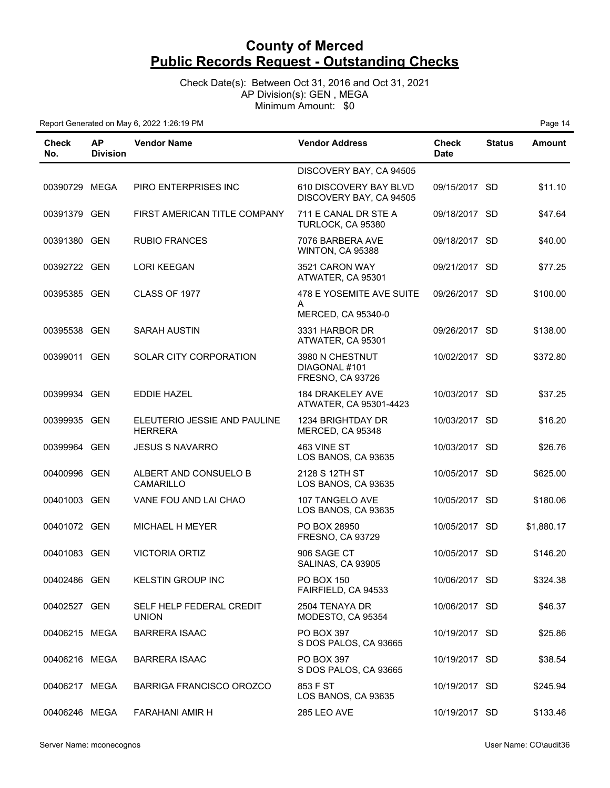Check Date(s): Between Oct 31, 2016 and Oct 31, 2021 AP Division(s): GEN , MEGA Minimum Amount: \$0

| Check<br>No.  | <b>AP</b><br><b>Division</b> | <b>Vendor Name</b>                             | <b>Vendor Address</b>                                | Check<br><b>Date</b> | <b>Status</b> | <b>Amount</b> |
|---------------|------------------------------|------------------------------------------------|------------------------------------------------------|----------------------|---------------|---------------|
|               |                              |                                                | DISCOVERY BAY, CA 94505                              |                      |               |               |
| 00390729 MEGA |                              | PIRO ENTERPRISES INC                           | 610 DISCOVERY BAY BLVD<br>DISCOVERY BAY, CA 94505    | 09/15/2017 SD        |               | \$11.10       |
| 00391379 GEN  |                              | FIRST AMERICAN TITLE COMPANY                   | 711 E CANAL DR STE A<br>TURLOCK, CA 95380            | 09/18/2017 SD        |               | \$47.64       |
| 00391380 GEN  |                              | <b>RUBIO FRANCES</b>                           | 7076 BARBERA AVE<br>WINTON, CA 95388                 | 09/18/2017 SD        |               | \$40.00       |
| 00392722 GEN  |                              | <b>LORI KEEGAN</b>                             | 3521 CARON WAY<br>ATWATER, CA 95301                  | 09/21/2017 SD        |               | \$77.25       |
| 00395385 GEN  |                              | CLASS OF 1977                                  | 478 E YOSEMITE AVE SUITE<br>A<br>MERCED, CA 95340-0  | 09/26/2017 SD        |               | \$100.00      |
| 00395538 GEN  |                              | <b>SARAH AUSTIN</b>                            | 3331 HARBOR DR<br>ATWATER, CA 95301                  | 09/26/2017 SD        |               | \$138.00      |
| 00399011 GEN  |                              | <b>SOLAR CITY CORPORATION</b>                  | 3980 N CHESTNUT<br>DIAGONAL #101<br>FRESNO, CA 93726 | 10/02/2017 SD        |               | \$372.80      |
| 00399934 GEN  |                              | <b>EDDIE HAZEL</b>                             | <b>184 DRAKELEY AVE</b><br>ATWATER, CA 95301-4423    | 10/03/2017 SD        |               | \$37.25       |
| 00399935 GEN  |                              | ELEUTERIO JESSIE AND PAULINE<br><b>HERRERA</b> | 1234 BRIGHTDAY DR<br>MERCED, CA 95348                | 10/03/2017 SD        |               | \$16.20       |
| 00399964 GEN  |                              | <b>JESUS S NAVARRO</b>                         | 463 VINE ST<br>LOS BANOS, CA 93635                   | 10/03/2017 SD        |               | \$26.76       |
| 00400996 GEN  |                              | ALBERT AND CONSUELO B<br>CAMARILLO             | 2128 S 12TH ST<br>LOS BANOS, CA 93635                | 10/05/2017 SD        |               | \$625.00      |
| 00401003 GEN  |                              | VANE FOU AND LAI CHAO                          | 107 TANGELO AVE<br>LOS BANOS, CA 93635               | 10/05/2017 SD        |               | \$180.06      |
| 00401072 GEN  |                              | MICHAEL H MEYER                                | PO BOX 28950<br><b>FRESNO, CA 93729</b>              | 10/05/2017 SD        |               | \$1,880.17    |
| 00401083 GEN  |                              | <b>VICTORIA ORTIZ</b>                          | 906 SAGE CT<br>SALINAS, CA 93905                     | 10/05/2017 SD        |               | \$146.20      |
| 00402486 GEN  |                              | <b>KELSTIN GROUP INC</b>                       | PO BOX 150<br>FAIRFIELD, CA 94533                    | 10/06/2017 SD        |               | \$324.38      |
| 00402527 GEN  |                              | SELF HELP FEDERAL CREDIT<br><b>UNION</b>       | 2504 TENAYA DR<br>MODESTO, CA 95354                  | 10/06/2017 SD        |               | \$46.37       |
| 00406215 MEGA |                              | <b>BARRERA ISAAC</b>                           | PO BOX 397<br>S DOS PALOS, CA 93665                  | 10/19/2017 SD        |               | \$25.86       |
| 00406216 MEGA |                              | <b>BARRERA ISAAC</b>                           | PO BOX 397<br>S DOS PALOS, CA 93665                  | 10/19/2017 SD        |               | \$38.54       |
| 00406217 MEGA |                              | <b>BARRIGA FRANCISCO OROZCO</b>                | 853 F ST<br>LOS BANOS, CA 93635                      | 10/19/2017 SD        |               | \$245.94      |
| 00406246 MEGA |                              | <b>FARAHANI AMIR H</b>                         | 285 LEO AVE                                          | 10/19/2017 SD        |               | \$133.46      |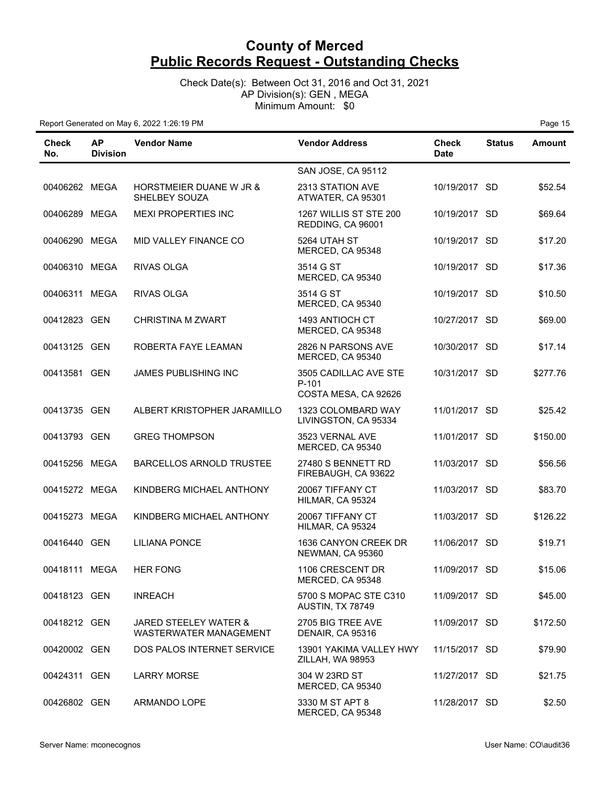Check Date(s): Between Oct 31, 2016 and Oct 31, 2021 AP Division(s): GEN , MEGA Minimum Amount: \$0

| Check<br>No.  | <b>AP</b><br><b>Division</b> | <b>Vendor Name</b>                                  | <b>Vendor Address</b>                                  | Check<br><b>Date</b> | <b>Status</b> | <b>Amount</b> |
|---------------|------------------------------|-----------------------------------------------------|--------------------------------------------------------|----------------------|---------------|---------------|
|               |                              |                                                     | SAN JOSE, CA 95112                                     |                      |               |               |
| 00406262 MEGA |                              | <b>HORSTMEIER DUANE W JR &amp;</b><br>SHELBEY SOUZA | 2313 STATION AVE<br>ATWATER, CA 95301                  | 10/19/2017 SD        |               | \$52.54       |
| 00406289      | <b>MEGA</b>                  | <b>MEXI PROPERTIES INC</b>                          | 1267 WILLIS ST STE 200<br>REDDING, CA 96001            | 10/19/2017 SD        |               | \$69.64       |
| 00406290 MEGA |                              | MID VALLEY FINANCE CO                               | 5264 UTAH ST<br>MERCED, CA 95348                       | 10/19/2017 SD        |               | \$17.20       |
| 00406310 MEGA |                              | <b>RIVAS OLGA</b>                                   | 3514 G ST<br>MERCED, CA 95340                          | 10/19/2017 SD        |               | \$17.36       |
| 00406311 MEGA |                              | RIVAS OLGA                                          | 3514 G ST<br>MERCED, CA 95340                          | 10/19/2017 SD        |               | \$10.50       |
| 00412823 GEN  |                              | CHRISTINA M ZWART                                   | 1493 ANTIOCH CT<br>MERCED, CA 95348                    | 10/27/2017 SD        |               | \$69.00       |
| 00413125 GEN  |                              | ROBERTA FAYE LEAMAN                                 | 2826 N PARSONS AVE<br>MERCED, CA 95340                 | 10/30/2017 SD        |               | \$17.14       |
| 00413581 GEN  |                              | JAMES PUBLISHING INC                                | 3505 CADILLAC AVE STE<br>P-101<br>COSTA MESA, CA 92626 | 10/31/2017 SD        |               | \$277.76      |
| 00413735 GEN  |                              | ALBERT KRISTOPHER JARAMILLO                         | 1323 COLOMBARD WAY<br>LIVINGSTON, CA 95334             | 11/01/2017 SD        |               | \$25.42       |
| 00413793 GEN  |                              | <b>GREG THOMPSON</b>                                | 3523 VERNAL AVE<br>MERCED, CA 95340                    | 11/01/2017 SD        |               | \$150.00      |
| 00415256 MEGA |                              | <b>BARCELLOS ARNOLD TRUSTEE</b>                     | 27480 S BENNETT RD<br>FIREBAUGH, CA 93622              | 11/03/2017 SD        |               | \$56.56       |
| 00415272 MEGA |                              | KINDBERG MICHAEL ANTHONY                            | 20067 TIFFANY CT<br>HILMAR, CA 95324                   | 11/03/2017 SD        |               | \$83.70       |
| 00415273 MEGA |                              | KINDBERG MICHAEL ANTHONY                            | 20067 TIFFANY CT<br>HILMAR, CA 95324                   | 11/03/2017 SD        |               | \$126.22      |
| 00416440 GEN  |                              | <b>LILIANA PONCE</b>                                | 1636 CANYON CREEK DR<br>NEWMAN, CA 95360               | 11/06/2017 SD        |               | \$19.71       |
| 00418111 MEGA |                              | <b>HER FONG</b>                                     | 1106 CRESCENT DR<br>MERCED, CA 95348                   | 11/09/2017 SD        |               | \$15.06       |
| 00418123 GEN  |                              | <b>INREACH</b>                                      | 5700 S MOPAC STE C310<br>AUSTIN, TX 78749              | 11/09/2017 SD        |               | \$45.00       |
| 00418212 GEN  |                              | JARED STEELEY WATER &<br>WASTERWATER MANAGEMENT     | 2705 BIG TREE AVE<br>DENAIR, CA 95316                  | 11/09/2017 SD        |               | \$172.50      |
| 00420002 GEN  |                              | DOS PALOS INTERNET SERVICE                          | 13901 YAKIMA VALLEY HWY<br>ZILLAH, WA 98953            | 11/15/2017 SD        |               | \$79.90       |
| 00424311 GEN  |                              | <b>LARRY MORSE</b>                                  | 304 W 23RD ST<br>MERCED, CA 95340                      | 11/27/2017 SD        |               | \$21.75       |
| 00426802 GEN  |                              | ARMANDO LOPE                                        | 3330 M ST APT 8<br>MERCED, CA 95348                    | 11/28/2017 SD        |               | \$2.50        |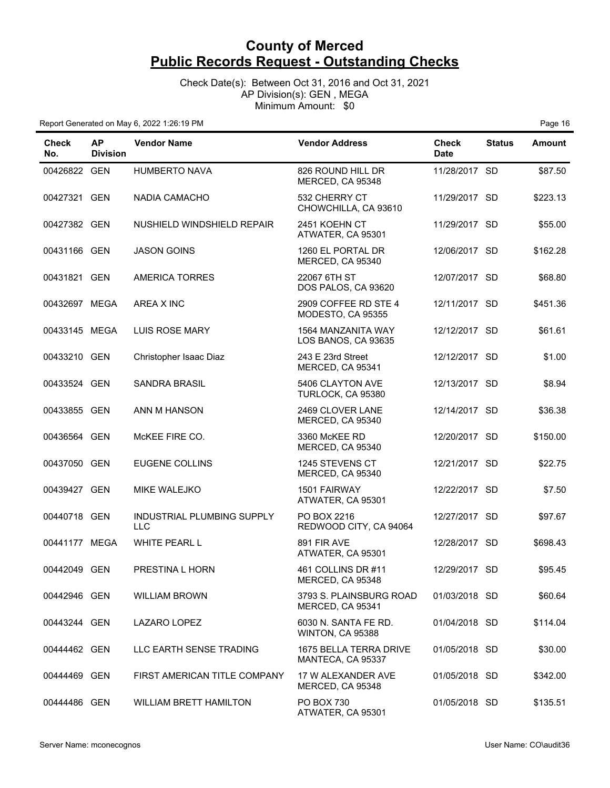Check Date(s): Between Oct 31, 2016 and Oct 31, 2021 AP Division(s): GEN , MEGA Minimum Amount: \$0

| <b>Check</b><br>No. | <b>AP</b><br><b>Division</b> | <b>Vendor Name</b>                       | <b>Vendor Address</b>                            | <b>Check</b><br><b>Date</b> | <b>Status</b> | <b>Amount</b> |
|---------------------|------------------------------|------------------------------------------|--------------------------------------------------|-----------------------------|---------------|---------------|
| 00426822 GEN        |                              | <b>HUMBERTO NAVA</b>                     | 826 ROUND HILL DR<br>MERCED, CA 95348            | 11/28/2017 SD               |               | \$87.50       |
| 00427321 GEN        |                              | <b>NADIA CAMACHO</b>                     | 532 CHERRY CT<br>CHOWCHILLA, CA 93610            | 11/29/2017 SD               |               | \$223.13      |
| 00427382 GEN        |                              | NUSHIELD WINDSHIELD REPAIR               | 2451 KOEHN CT<br>ATWATER, CA 95301               | 11/29/2017 SD               |               | \$55.00       |
| 00431166 GEN        |                              | <b>JASON GOINS</b>                       | 1260 EL PORTAL DR<br>MERCED, CA 95340            | 12/06/2017 SD               |               | \$162.28      |
| 00431821 GEN        |                              | <b>AMERICA TORRES</b>                    | 22067 6TH ST<br>DOS PALOS, CA 93620              | 12/07/2017 SD               |               | \$68.80       |
| 00432697 MEGA       |                              | AREA X INC                               | 2909 COFFEE RD STE 4<br>MODESTO, CA 95355        | 12/11/2017 SD               |               | \$451.36      |
| 00433145 MEGA       |                              | <b>LUIS ROSE MARY</b>                    | <b>1564 MANZANITA WAY</b><br>LOS BANOS, CA 93635 | 12/12/2017 SD               |               | \$61.61       |
| 00433210 GEN        |                              | Christopher Isaac Diaz                   | 243 E 23rd Street<br>MERCED, CA 95341            | 12/12/2017 SD               |               | \$1.00        |
| 00433524 GEN        |                              | <b>SANDRA BRASIL</b>                     | 5406 CLAYTON AVE<br>TURLOCK, CA 95380            | 12/13/2017 SD               |               | \$8.94        |
| 00433855 GEN        |                              | ANN M HANSON                             | 2469 CLOVER LANE<br>MERCED, CA 95340             | 12/14/2017 SD               |               | \$36.38       |
| 00436564 GEN        |                              | McKEE FIRE CO.                           | 3360 McKEE RD<br>MERCED, CA 95340                | 12/20/2017 SD               |               | \$150.00      |
| 00437050 GEN        |                              | <b>EUGENE COLLINS</b>                    | 1245 STEVENS CT<br>MERCED, CA 95340              | 12/21/2017 SD               |               | \$22.75       |
| 00439427 GEN        |                              | MIKE WALEJKO                             | 1501 FAIRWAY<br>ATWATER, CA 95301                | 12/22/2017 SD               |               | \$7.50        |
| 00440718 GEN        |                              | INDUSTRIAL PLUMBING SUPPLY<br><b>LLC</b> | PO BOX 2216<br>REDWOOD CITY, CA 94064            | 12/27/2017 SD               |               | \$97.67       |
| 00441177 MEGA       |                              | WHITE PEARL L                            | 891 FIR AVE<br>ATWATER, CA 95301                 | 12/28/2017 SD               |               | \$698.43      |
| 00442049 GEN        |                              | PRESTINA L HORN                          | 461 COLLINS DR #11<br>MERCED, CA 95348           | 12/29/2017 SD               |               | \$95.45       |
| 00442946 GEN        |                              | <b>WILLIAM BROWN</b>                     | 3793 S. PLAINSBURG ROAD<br>MERCED, CA 95341      | 01/03/2018 SD               |               | \$60.64       |
| 00443244 GEN        |                              | LAZARO LOPEZ                             | 6030 N. SANTA FE RD.<br>WINTON, CA 95388         | 01/04/2018 SD               |               | \$114.04      |
| 00444462 GEN        |                              | LLC EARTH SENSE TRADING                  | 1675 BELLA TERRA DRIVE<br>MANTECA, CA 95337      | 01/05/2018 SD               |               | \$30.00       |
| 00444469 GEN        |                              | FIRST AMERICAN TITLE COMPANY             | 17 W ALEXANDER AVE<br>MERCED, CA 95348           | 01/05/2018 SD               |               | \$342.00      |
| 00444486 GEN        |                              | <b>WILLIAM BRETT HAMILTON</b>            | PO BOX 730<br>ATWATER, CA 95301                  | 01/05/2018 SD               |               | \$135.51      |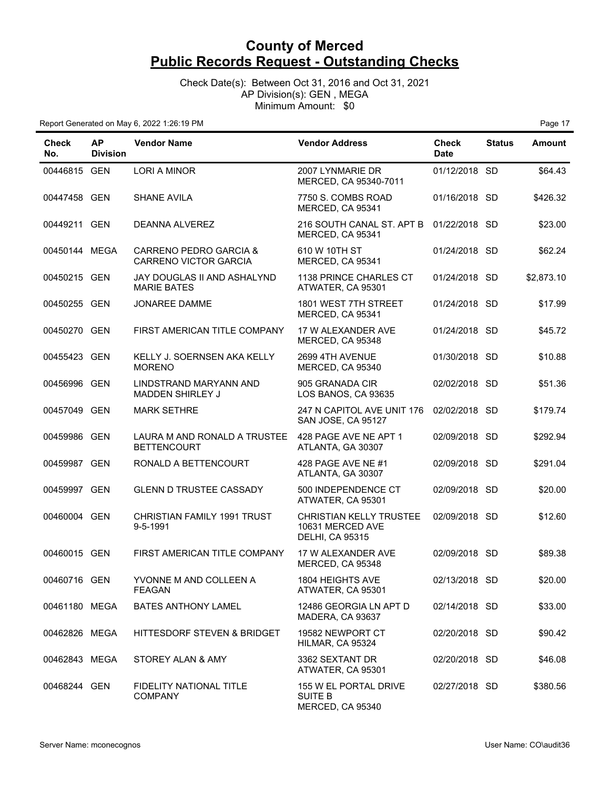Check Date(s): Between Oct 31, 2016 and Oct 31, 2021 AP Division(s): GEN , MEGA Minimum Amount: \$0

| Check<br>No.  | <b>AP</b><br><b>Division</b> | <b>Vendor Name</b>                                     | <b>Vendor Address</b>                                                        | <b>Check</b><br><b>Date</b> | <b>Status</b> | <b>Amount</b> |
|---------------|------------------------------|--------------------------------------------------------|------------------------------------------------------------------------------|-----------------------------|---------------|---------------|
| 00446815 GEN  |                              | LORI A MINOR                                           | 2007 LYNMARIE DR<br>MERCED, CA 95340-7011                                    | 01/12/2018 SD               |               | \$64.43       |
| 00447458 GEN  |                              | <b>SHANE AVILA</b>                                     | 7750 S. COMBS ROAD<br>MERCED, CA 95341                                       | 01/16/2018 SD               |               | \$426.32      |
| 00449211 GEN  |                              | DEANNA ALVEREZ                                         | 216 SOUTH CANAL ST. APT B<br>MERCED, CA 95341                                | 01/22/2018 SD               |               | \$23.00       |
| 00450144 MEGA |                              | CARRENO PEDRO GARCIA &<br><b>CARRENO VICTOR GARCIA</b> | 610 W 10TH ST<br>MERCED, CA 95341                                            | 01/24/2018 SD               |               | \$62.24       |
| 00450215 GEN  |                              | JAY DOUGLAS II AND ASHALYND<br><b>MARIE BATES</b>      | 1138 PRINCE CHARLES CT<br>ATWATER, CA 95301                                  | 01/24/2018 SD               |               | \$2,873.10    |
| 00450255 GEN  |                              | <b>JONAREE DAMME</b>                                   | 1801 WEST 7TH STREET<br>MERCED, CA 95341                                     | 01/24/2018 SD               |               | \$17.99       |
| 00450270 GEN  |                              | FIRST AMERICAN TITLE COMPANY                           | 17 W ALEXANDER AVE<br>MERCED, CA 95348                                       | 01/24/2018 SD               |               | \$45.72       |
| 00455423 GEN  |                              | KELLY J. SOERNSEN AKA KELLY<br><b>MORENO</b>           | 2699 4TH AVENUE<br>MERCED, CA 95340                                          | 01/30/2018 SD               |               | \$10.88       |
| 00456996 GEN  |                              | LINDSTRAND MARYANN AND<br><b>MADDEN SHIRLEY J</b>      | 905 GRANADA CIR<br>LOS BANOS, CA 93635                                       | 02/02/2018 SD               |               | \$51.36       |
| 00457049 GEN  |                              | <b>MARK SETHRE</b>                                     | 247 N CAPITOL AVE UNIT 176<br>SAN JOSE, CA 95127                             | 02/02/2018 SD               |               | \$179.74      |
| 00459986 GEN  |                              | LAURA M AND RONALD A TRUSTEE<br><b>BETTENCOURT</b>     | 428 PAGE AVE NE APT 1<br>ATLANTA, GA 30307                                   | 02/09/2018 SD               |               | \$292.94      |
| 00459987 GEN  |                              | RONALD A BETTENCOURT                                   | 428 PAGE AVE NE #1<br>ATLANTA, GA 30307                                      | 02/09/2018 SD               |               | \$291.04      |
| 00459997 GEN  |                              | <b>GLENN D TRUSTEE CASSADY</b>                         | 500 INDEPENDENCE CT<br>ATWATER, CA 95301                                     | 02/09/2018 SD               |               | \$20.00       |
| 00460004 GEN  |                              | CHRISTIAN FAMILY 1991 TRUST<br>9-5-1991                | <b>CHRISTIAN KELLY TRUSTEE</b><br>10631 MERCED AVE<br><b>DELHI, CA 95315</b> | 02/09/2018 SD               |               | \$12.60       |
| 00460015 GEN  |                              | FIRST AMERICAN TITLE COMPANY                           | 17 W ALEXANDER AVE<br>MERCED, CA 95348                                       | 02/09/2018 SD               |               | \$89.38       |
| 00460716 GEN  |                              | YVONNE M AND COLLEEN A<br><b>FEAGAN</b>                | 1804 HEIGHTS AVE<br>ATWATER, CA 95301                                        | 02/13/2018 SD               |               | \$20.00       |
| 00461180 MEGA |                              | <b>BATES ANTHONY LAMEL</b>                             | 12486 GEORGIA LN APT D<br>MADERA, CA 93637                                   | 02/14/2018 SD               |               | \$33.00       |
| 00462826 MEGA |                              | <b>HITTESDORF STEVEN &amp; BRIDGET</b>                 | 19582 NEWPORT CT<br>HILMAR, CA 95324                                         | 02/20/2018 SD               |               | \$90.42       |
| 00462843 MEGA |                              | STOREY ALAN & AMY                                      | 3362 SEXTANT DR<br>ATWATER, CA 95301                                         | 02/20/2018 SD               |               | \$46.08       |
| 00468244 GEN  |                              | <b>FIDELITY NATIONAL TITLE</b><br><b>COMPANY</b>       | 155 W EL PORTAL DRIVE<br>SUITE B<br>MERCED, CA 95340                         | 02/27/2018 SD               |               | \$380.56      |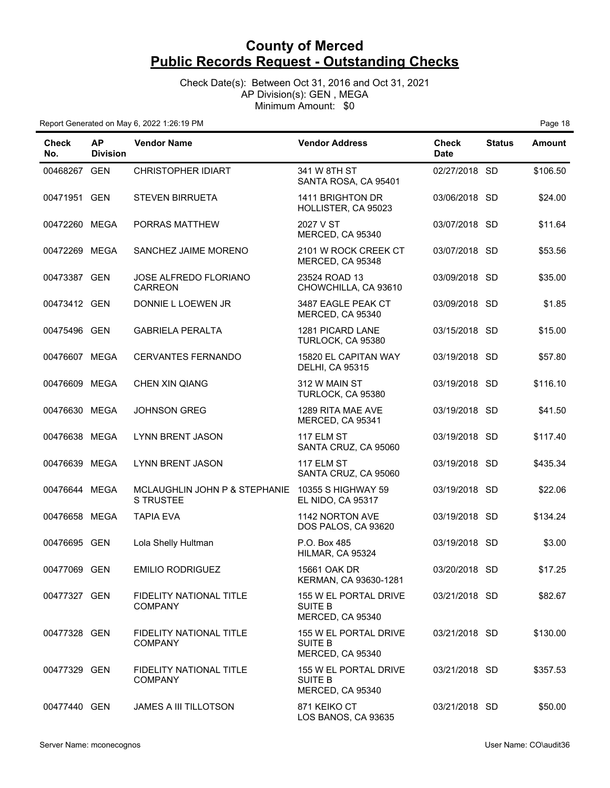Check Date(s): Between Oct 31, 2016 and Oct 31, 2021 AP Division(s): GEN , MEGA Minimum Amount: \$0

| <b>Check</b><br>No. | <b>AP</b><br><b>Division</b> | <b>Vendor Name</b>                                | <b>Vendor Address</b>                                       | <b>Check</b><br><b>Date</b> | <b>Status</b> | <b>Amount</b> |
|---------------------|------------------------------|---------------------------------------------------|-------------------------------------------------------------|-----------------------------|---------------|---------------|
| 00468267 GEN        |                              | <b>CHRISTOPHER IDIART</b>                         | 341 W 8TH ST<br>SANTA ROSA, CA 95401                        | 02/27/2018 SD               |               | \$106.50      |
| 00471951 GEN        |                              | <b>STEVEN BIRRUETA</b>                            | 1411 BRIGHTON DR<br>HOLLISTER, CA 95023                     | 03/06/2018 SD               |               | \$24.00       |
| 00472260 MEGA       |                              | PORRAS MATTHEW                                    | 2027 V ST<br>MERCED, CA 95340                               | 03/07/2018 SD               |               | \$11.64       |
| 00472269 MEGA       |                              | SANCHEZ JAIME MORENO                              | 2101 W ROCK CREEK CT<br>MERCED, CA 95348                    | 03/07/2018 SD               |               | \$53.56       |
| 00473387 GEN        |                              | JOSE ALFREDO FLORIANO<br><b>CARREON</b>           | 23524 ROAD 13<br>CHOWCHILLA, CA 93610                       | 03/09/2018 SD               |               | \$35.00       |
| 00473412 GEN        |                              | DONNIE L LOEWEN JR                                | 3487 EAGLE PEAK CT<br>MERCED, CA 95340                      | 03/09/2018 SD               |               | \$1.85        |
| 00475496 GEN        |                              | <b>GABRIELA PERALTA</b>                           | 1281 PICARD LANE<br>TURLOCK, CA 95380                       | 03/15/2018 SD               |               | \$15.00       |
| 00476607 MEGA       |                              | <b>CERVANTES FERNANDO</b>                         | 15820 EL CAPITAN WAY<br><b>DELHI, CA 95315</b>              | 03/19/2018 SD               |               | \$57.80       |
| 00476609 MEGA       |                              | <b>CHEN XIN QIANG</b>                             | 312 W MAIN ST<br>TURLOCK, CA 95380                          | 03/19/2018 SD               |               | \$116.10      |
| 00476630 MEGA       |                              | <b>JOHNSON GREG</b>                               | 1289 RITA MAE AVE<br>MERCED, CA 95341                       | 03/19/2018 SD               |               | \$41.50       |
| 00476638 MEGA       |                              | <b>LYNN BRENT JASON</b>                           | 117 ELM ST<br>SANTA CRUZ, CA 95060                          | 03/19/2018 SD               |               | \$117.40      |
| 00476639 MEGA       |                              | <b>LYNN BRENT JASON</b>                           | 117 ELM ST<br>SANTA CRUZ, CA 95060                          | 03/19/2018 SD               |               | \$435.34      |
| 00476644 MEGA       |                              | MCLAUGHLIN JOHN P & STEPHANIE<br><b>S TRUSTEE</b> | 10355 S HIGHWAY 59<br><b>EL NIDO, CA 95317</b>              | 03/19/2018 SD               |               | \$22.06       |
| 00476658 MEGA       |                              | <b>TAPIA EVA</b>                                  | 1142 NORTON AVE<br>DOS PALOS, CA 93620                      | 03/19/2018 SD               |               | \$134.24      |
| 00476695 GEN        |                              | Lola Shelly Hultman                               | P.O. Box 485<br>HILMAR, CA 95324                            | 03/19/2018 SD               |               | \$3.00        |
| 00477069 GEN        |                              | <b>EMILIO RODRIGUEZ</b>                           | 15661 OAK DR<br>KERMAN, CA 93630-1281                       | 03/20/2018 SD               |               | \$17.25       |
| 00477327 GEN        |                              | <b>FIDELITY NATIONAL TITLE</b><br><b>COMPANY</b>  | 155 W EL PORTAL DRIVE<br><b>SUITE B</b><br>MERCED, CA 95340 | 03/21/2018 SD               |               | \$82.67       |
| 00477328 GEN        |                              | <b>FIDELITY NATIONAL TITLE</b><br><b>COMPANY</b>  | 155 W EL PORTAL DRIVE<br><b>SUITE B</b><br>MERCED, CA 95340 | 03/21/2018 SD               |               | \$130.00      |
| 00477329 GEN        |                              | <b>FIDELITY NATIONAL TITLE</b><br><b>COMPANY</b>  | 155 W EL PORTAL DRIVE<br>SUITE B<br>MERCED, CA 95340        | 03/21/2018 SD               |               | \$357.53      |
| 00477440 GEN        |                              | <b>JAMES A III TILLOTSON</b>                      | 871 KEIKO CT<br>LOS BANOS, CA 93635                         | 03/21/2018 SD               |               | \$50.00       |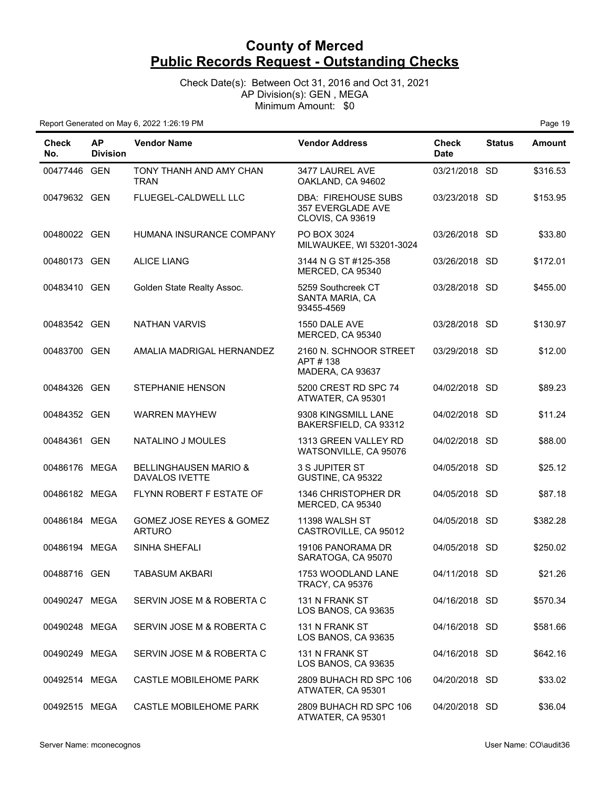Check Date(s): Between Oct 31, 2016 and Oct 31, 2021 AP Division(s): GEN , MEGA Minimum Amount: \$0

| Check<br>No.  | <b>AP</b><br><b>Division</b> | <b>Vendor Name</b>                                        | <b>Vendor Address</b>                                                             | <b>Check</b><br><b>Date</b> | <b>Status</b> | <b>Amount</b> |
|---------------|------------------------------|-----------------------------------------------------------|-----------------------------------------------------------------------------------|-----------------------------|---------------|---------------|
| 00477446 GEN  |                              | TONY THANH AND AMY CHAN<br><b>TRAN</b>                    | 3477 LAUREL AVE<br>OAKLAND, CA 94602                                              | 03/21/2018 SD               |               | \$316.53      |
| 00479632 GEN  |                              | FLUEGEL-CALDWELL LLC                                      | <b>DBA: FIREHOUSE SUBS</b><br><b>357 EVERGLADE AVE</b><br><b>CLOVIS, CA 93619</b> | 03/23/2018 SD               |               | \$153.95      |
| 00480022 GEN  |                              | HUMANA INSURANCE COMPANY                                  | PO BOX 3024<br>MILWAUKEE, WI 53201-3024                                           | 03/26/2018 SD               |               | \$33.80       |
| 00480173 GEN  |                              | <b>ALICE LIANG</b>                                        | 3144 N G ST #125-358<br>MERCED, CA 95340                                          | 03/26/2018 SD               |               | \$172.01      |
| 00483410 GEN  |                              | Golden State Realty Assoc.                                | 5259 Southcreek CT<br>SANTA MARIA, CA<br>93455-4569                               | 03/28/2018 SD               |               | \$455.00      |
| 00483542 GEN  |                              | <b>NATHAN VARVIS</b>                                      | 1550 DALE AVE<br>MERCED, CA 95340                                                 | 03/28/2018 SD               |               | \$130.97      |
| 00483700 GEN  |                              | AMALIA MADRIGAL HERNANDEZ                                 | 2160 N. SCHNOOR STREET<br>APT#138<br>MADERA, CA 93637                             | 03/29/2018 SD               |               | \$12.00       |
| 00484326 GEN  |                              | <b>STEPHANIE HENSON</b>                                   | 5200 CREST RD SPC 74<br>ATWATER, CA 95301                                         | 04/02/2018 SD               |               | \$89.23       |
| 00484352 GEN  |                              | <b>WARREN MAYHEW</b>                                      | 9308 KINGSMILL LANE<br>BAKERSFIELD, CA 93312                                      | 04/02/2018 SD               |               | \$11.24       |
| 00484361 GEN  |                              | NATALINO J MOULES                                         | 1313 GREEN VALLEY RD<br>WATSONVILLE, CA 95076                                     | 04/02/2018 SD               |               | \$88.00       |
| 00486176 MEGA |                              | <b>BELLINGHAUSEN MARIO &amp;</b><br><b>DAVALOS IVETTE</b> | 3 S JUPITER ST<br>GUSTINE, CA 95322                                               | 04/05/2018 SD               |               | \$25.12       |
| 00486182 MEGA |                              | FLYNN ROBERT F ESTATE OF                                  | 1346 CHRISTOPHER DR<br>MERCED, CA 95340                                           | 04/05/2018 SD               |               | \$87.18       |
| 00486184 MEGA |                              | GOMEZ JOSE REYES & GOMEZ<br><b>ARTURO</b>                 | 11398 WALSH ST<br>CASTROVILLE, CA 95012                                           | 04/05/2018 SD               |               | \$382.28      |
| 00486194 MEGA |                              | SINHA SHEFALI                                             | 19106 PANORAMA DR<br>SARATOGA, CA 95070                                           | 04/05/2018 SD               |               | \$250.02      |
| 00488716 GEN  |                              | <b>TABASUM AKBARI</b>                                     | 1753 WOODLAND LANE<br><b>TRACY, CA 95376</b>                                      | 04/11/2018 SD               |               | \$21.26       |
| 00490247 MEGA |                              | SERVIN JOSE M & ROBERTA C                                 | 131 N FRANK ST<br>LOS BANOS, CA 93635                                             | 04/16/2018 SD               |               | \$570.34      |
| 00490248 MEGA |                              | SERVIN JOSE M & ROBERTA C                                 | 131 N FRANK ST<br>LOS BANOS, CA 93635                                             | 04/16/2018 SD               |               | \$581.66      |
| 00490249 MEGA |                              | SERVIN JOSE M & ROBERTA C                                 | 131 N FRANK ST<br>LOS BANOS, CA 93635                                             | 04/16/2018 SD               |               | \$642.16      |
| 00492514 MEGA |                              | <b>CASTLE MOBILEHOME PARK</b>                             | 2809 BUHACH RD SPC 106<br>ATWATER, CA 95301                                       | 04/20/2018 SD               |               | \$33.02       |
| 00492515 MEGA |                              | CASTLE MOBILEHOME PARK                                    | 2809 BUHACH RD SPC 106<br>ATWATER, CA 95301                                       | 04/20/2018 SD               |               | \$36.04       |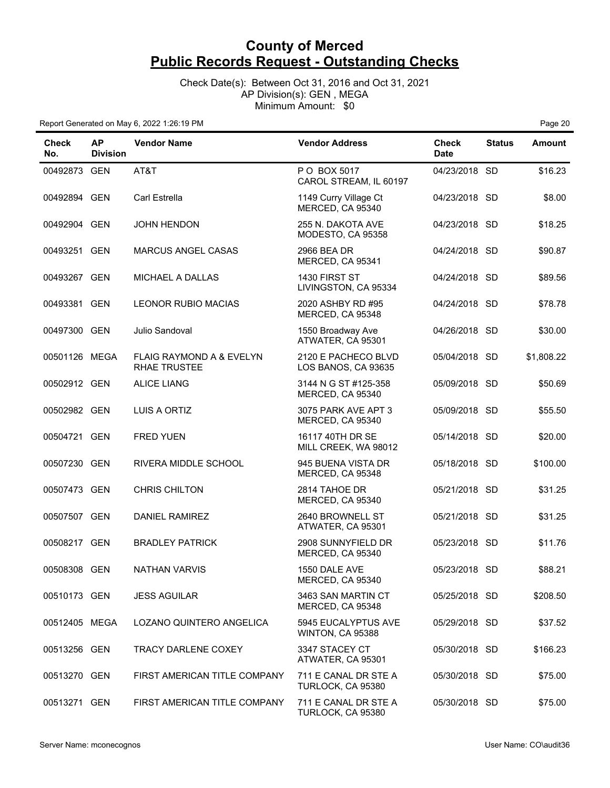Check Date(s): Between Oct 31, 2016 and Oct 31, 2021 AP Division(s): GEN , MEGA Minimum Amount: \$0

| <b>Check</b><br>No. | <b>AP</b><br><b>Division</b> | <b>Vendor Name</b>                                         | <b>Vendor Address</b>                      | <b>Check</b><br><b>Date</b> | <b>Status</b> | <b>Amount</b> |
|---------------------|------------------------------|------------------------------------------------------------|--------------------------------------------|-----------------------------|---------------|---------------|
| 00492873 GEN        |                              | AT&T                                                       | P O BOX 5017<br>CAROL STREAM, IL 60197     | 04/23/2018 SD               |               | \$16.23       |
| 00492894 GEN        |                              | Carl Estrella                                              | 1149 Curry Village Ct<br>MERCED, CA 95340  | 04/23/2018 SD               |               | \$8.00        |
| 00492904 GEN        |                              | <b>JOHN HENDON</b>                                         | 255 N. DAKOTA AVE<br>MODESTO, CA 95358     | 04/23/2018 SD               |               | \$18.25       |
| 00493251 GEN        |                              | <b>MARCUS ANGEL CASAS</b>                                  | 2966 BEA DR<br>MERCED, CA 95341            | 04/24/2018 SD               |               | \$90.87       |
| 00493267 GEN        |                              | MICHAEL A DALLAS                                           | 1430 FIRST ST<br>LIVINGSTON, CA 95334      | 04/24/2018 SD               |               | \$89.56       |
| 00493381 GEN        |                              | <b>LEONOR RUBIO MACIAS</b>                                 | 2020 ASHBY RD #95<br>MERCED, CA 95348      | 04/24/2018 SD               |               | \$78.78       |
| 00497300 GEN        |                              | Julio Sandoval                                             | 1550 Broadway Ave<br>ATWATER, CA 95301     | 04/26/2018 SD               |               | \$30.00       |
| 00501126 MEGA       |                              | <b>FLAIG RAYMOND A &amp; EVELYN</b><br><b>RHAE TRUSTEE</b> | 2120 E PACHECO BLVD<br>LOS BANOS, CA 93635 | 05/04/2018 SD               |               | \$1,808.22    |
| 00502912 GEN        |                              | <b>ALICE LIANG</b>                                         | 3144 N G ST #125-358<br>MERCED, CA 95340   | 05/09/2018 SD               |               | \$50.69       |
| 00502982 GEN        |                              | LUIS A ORTIZ                                               | 3075 PARK AVE APT 3<br>MERCED, CA 95340    | 05/09/2018 SD               |               | \$55.50       |
| 00504721 GEN        |                              | <b>FRED YUEN</b>                                           | 16117 40TH DR SE<br>MILL CREEK, WA 98012   | 05/14/2018 SD               |               | \$20.00       |
| 00507230 GEN        |                              | RIVERA MIDDLE SCHOOL                                       | 945 BUENA VISTA DR<br>MERCED, CA 95348     | 05/18/2018 SD               |               | \$100.00      |
| 00507473 GEN        |                              | <b>CHRIS CHILTON</b>                                       | 2814 TAHOE DR<br>MERCED, CA 95340          | 05/21/2018 SD               |               | \$31.25       |
| 00507507 GEN        |                              | DANIEL RAMIREZ                                             | 2640 BROWNELL ST<br>ATWATER, CA 95301      | 05/21/2018 SD               |               | \$31.25       |
| 00508217 GEN        |                              | <b>BRADLEY PATRICK</b>                                     | 2908 SUNNYFIELD DR<br>MERCED, CA 95340     | 05/23/2018 SD               |               | \$11.76       |
| 00508308 GEN        |                              | <b>NATHAN VARVIS</b>                                       | 1550 DALE AVE<br>MERCED, CA 95340          | 05/23/2018 SD               |               | \$88.21       |
| 00510173 GEN        |                              | <b>JESS AGUILAR</b>                                        | 3463 SAN MARTIN CT<br>MERCED, CA 95348     | 05/25/2018 SD               |               | \$208.50      |
| 00512405 MEGA       |                              | LOZANO QUINTERO ANGELICA                                   | 5945 EUCALYPTUS AVE<br>WINTON, CA 95388    | 05/29/2018 SD               |               | \$37.52       |
| 00513256 GEN        |                              | <b>TRACY DARLENE COXEY</b>                                 | 3347 STACEY CT<br>ATWATER, CA 95301        | 05/30/2018 SD               |               | \$166.23      |
| 00513270 GEN        |                              | FIRST AMERICAN TITLE COMPANY                               | 711 E CANAL DR STE A<br>TURLOCK, CA 95380  | 05/30/2018 SD               |               | \$75.00       |
| 00513271 GEN        |                              | FIRST AMERICAN TITLE COMPANY                               | 711 E CANAL DR STE A<br>TURLOCK, CA 95380  | 05/30/2018 SD               |               | \$75.00       |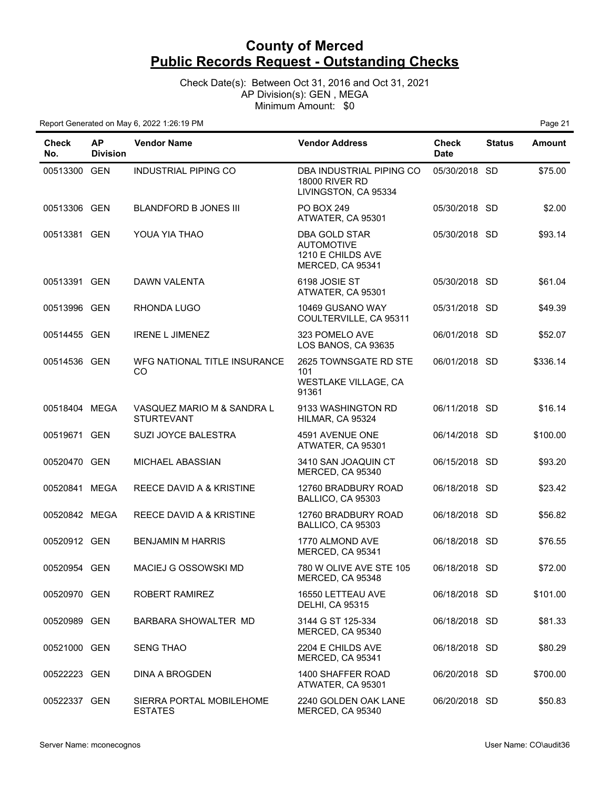#### Check Date(s): Between Oct 31, 2016 and Oct 31, 2021 AP Division(s): GEN , MEGA Minimum Amount: \$0

| Check<br>No.  | <b>AP</b><br><b>Division</b> | <b>Vendor Name</b>                              | <b>Vendor Address</b>                                                              | <b>Check</b><br><b>Date</b> | <b>Status</b> | Amount   |
|---------------|------------------------------|-------------------------------------------------|------------------------------------------------------------------------------------|-----------------------------|---------------|----------|
| 00513300 GEN  |                              | INDUSTRIAL PIPING CO                            | DBA INDUSTRIAL PIPING CO<br><b>18000 RIVER RD</b><br>LIVINGSTON, CA 95334          | 05/30/2018 SD               |               | \$75.00  |
| 00513306 GEN  |                              | <b>BLANDFORD B JONES III</b>                    | <b>PO BOX 249</b><br>ATWATER, CA 95301                                             | 05/30/2018 SD               |               | \$2.00   |
| 00513381 GEN  |                              | YOUA YIA THAO                                   | <b>DBA GOLD STAR</b><br><b>AUTOMOTIVE</b><br>1210 E CHILDS AVE<br>MERCED, CA 95341 | 05/30/2018 SD               |               | \$93.14  |
| 00513391 GEN  |                              | DAWN VALENTA                                    | 6198 JOSIE ST<br>ATWATER, CA 95301                                                 | 05/30/2018 SD               |               | \$61.04  |
| 00513996 GEN  |                              | RHONDA LUGO                                     | 10469 GUSANO WAY<br>COULTERVILLE, CA 95311                                         | 05/31/2018 SD               |               | \$49.39  |
| 00514455 GEN  |                              | <b>IRENE L JIMENEZ</b>                          | 323 POMELO AVE<br>LOS BANOS, CA 93635                                              | 06/01/2018 SD               |               | \$52.07  |
| 00514536 GEN  |                              | WFG NATIONAL TITLE INSURANCE<br>CO              | 2625 TOWNSGATE RD STE<br>101<br>WESTLAKE VILLAGE, CA<br>91361                      | 06/01/2018 SD               |               | \$336.14 |
| 00518404 MEGA |                              | VASQUEZ MARIO M & SANDRA L<br><b>STURTEVANT</b> | 9133 WASHINGTON RD<br>HILMAR, CA 95324                                             | 06/11/2018 SD               |               | \$16.14  |
| 00519671 GEN  |                              | SUZI JOYCE BALESTRA                             | 4591 AVENUE ONE<br>ATWATER, CA 95301                                               | 06/14/2018 SD               |               | \$100.00 |
| 00520470 GEN  |                              | MICHAEL ABASSIAN                                | 3410 SAN JOAQUIN CT<br>MERCED, CA 95340                                            | 06/15/2018 SD               |               | \$93.20  |
| 00520841 MEGA |                              | REECE DAVID A & KRISTINE                        | 12760 BRADBURY ROAD<br>BALLICO, CA 95303                                           | 06/18/2018 SD               |               | \$23.42  |
| 00520842 MEGA |                              | REECE DAVID A & KRISTINE                        | 12760 BRADBURY ROAD<br>BALLICO, CA 95303                                           | 06/18/2018 SD               |               | \$56.82  |
| 00520912 GEN  |                              | <b>BENJAMIN M HARRIS</b>                        | 1770 ALMOND AVE<br>MERCED, CA 95341                                                | 06/18/2018 SD               |               | \$76.55  |
| 00520954 GEN  |                              | MACIEJ G OSSOWSKI MD                            | 780 W OLIVE AVE STE 105<br>MERCED, CA 95348                                        | 06/18/2018 SD               |               | \$72.00  |
| 00520970 GEN  |                              | ROBERT RAMIREZ                                  | 16550 LETTEAU AVE<br><b>DELHI, CA 95315</b>                                        | 06/18/2018 SD               |               | \$101.00 |
| 00520989 GEN  |                              | BARBARA SHOWALTER MD                            | 3144 G ST 125-334<br>MERCED, CA 95340                                              | 06/18/2018 SD               |               | \$81.33  |
| 00521000 GEN  |                              | <b>SENG THAO</b>                                | 2204 E CHILDS AVE<br>MERCED, CA 95341                                              | 06/18/2018 SD               |               | \$80.29  |
| 00522223 GEN  |                              | <b>DINA A BROGDEN</b>                           | 1400 SHAFFER ROAD<br>ATWATER, CA 95301                                             | 06/20/2018 SD               |               | \$700.00 |
| 00522337 GEN  |                              | SIERRA PORTAL MOBILEHOME<br><b>ESTATES</b>      | 2240 GOLDEN OAK LANE<br>MERCED, CA 95340                                           | 06/20/2018 SD               |               | \$50.83  |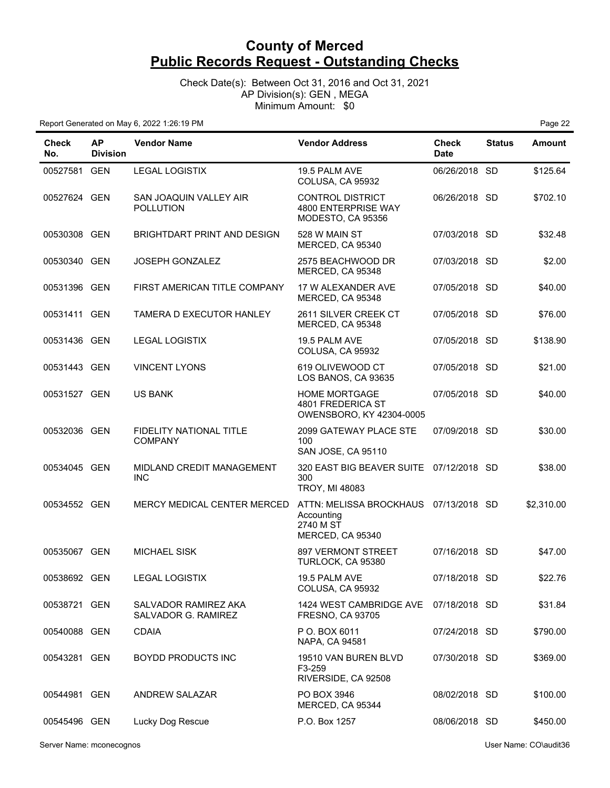Check Date(s): Between Oct 31, 2016 and Oct 31, 2021 AP Division(s): GEN , MEGA Minimum Amount: \$0

Report Generated on May 6, 2022 1:26:19 PM Page 22

| Check<br>No. | <b>AP</b><br><b>Division</b> | <b>Vendor Name</b>                               | <b>Vendor Address</b>                                                                | <b>Check</b><br><b>Date</b> | <b>Status</b> | <b>Amount</b> |
|--------------|------------------------------|--------------------------------------------------|--------------------------------------------------------------------------------------|-----------------------------|---------------|---------------|
| 00527581 GEN |                              | <b>LEGAL LOGISTIX</b>                            | 19.5 PALM AVE<br>COLUSA, CA 95932                                                    | 06/26/2018 SD               |               | \$125.64      |
| 00527624 GEN |                              | SAN JOAQUIN VALLEY AIR<br><b>POLLUTION</b>       | <b>CONTROL DISTRICT</b><br>4800 ENTERPRISE WAY<br>MODESTO, CA 95356                  | 06/26/2018 SD               |               | \$702.10      |
| 00530308 GEN |                              | BRIGHTDART PRINT AND DESIGN                      | 528 W MAIN ST<br>MERCED, CA 95340                                                    | 07/03/2018 SD               |               | \$32.48       |
| 00530340     | GEN                          | <b>JOSEPH GONZALEZ</b>                           | 2575 BEACHWOOD DR<br>MERCED, CA 95348                                                | 07/03/2018 SD               |               | \$2.00        |
| 00531396 GEN |                              | FIRST AMERICAN TITLE COMPANY                     | 17 W ALEXANDER AVE<br>MERCED, CA 95348                                               | 07/05/2018 SD               |               | \$40.00       |
| 00531411 GEN |                              | TAMERA D EXECUTOR HANLEY                         | 2611 SILVER CREEK CT<br>MERCED, CA 95348                                             | 07/05/2018 SD               |               | \$76.00       |
| 00531436 GEN |                              | <b>LEGAL LOGISTIX</b>                            | 19.5 PALM AVE<br>COLUSA, CA 95932                                                    | 07/05/2018 SD               |               | \$138.90      |
| 00531443 GEN |                              | <b>VINCENT LYONS</b>                             | 619 OLIVEWOOD CT<br>LOS BANOS, CA 93635                                              | 07/05/2018 SD               |               | \$21.00       |
| 00531527 GEN |                              | <b>US BANK</b>                                   | <b>HOME MORTGAGE</b><br>4801 FREDERICA ST<br>OWENSBORO, KY 42304-0005                | 07/05/2018 SD               |               | \$40.00       |
| 00532036 GEN |                              | <b>FIDELITY NATIONAL TITLE</b><br><b>COMPANY</b> | 2099 GATEWAY PLACE STE<br>100<br>SAN JOSE, CA 95110                                  | 07/09/2018 SD               |               | \$30.00       |
| 00534045 GEN |                              | MIDLAND CREDIT MANAGEMENT<br><b>INC</b>          | 320 EAST BIG BEAVER SUITE<br>300<br><b>TROY, MI 48083</b>                            | 07/12/2018 SD               |               | \$38.00       |
| 00534552 GEN |                              | MERCY MEDICAL CENTER MERCED                      | ATTN: MELISSA BROCKHAUS 07/13/2018 SD<br>Accounting<br>2740 M ST<br>MERCED, CA 95340 |                             |               | \$2,310.00    |
| 00535067 GEN |                              | <b>MICHAEL SISK</b>                              | <b>897 VERMONT STREET</b><br>TURLOCK, CA 95380                                       | 07/16/2018 SD               |               | \$47.00       |
| 00538692 GEN |                              | <b>LEGAL LOGISTIX</b>                            | 19.5 PALM AVE<br>COLUSA, CA 95932                                                    | 07/18/2018 SD               |               | \$22.76       |
| 00538721 GEN |                              | SALVADOR RAMIREZ AKA<br>SALVADOR G. RAMIREZ      | 1424 WEST CAMBRIDGE AVE<br><b>FRESNO, CA 93705</b>                                   | 07/18/2018 SD               |               | \$31.84       |
| 00540088 GEN |                              | <b>CDAIA</b>                                     | P O. BOX 6011<br>NAPA, CA 94581                                                      | 07/24/2018 SD               |               | \$790.00      |
| 00543281 GEN |                              | BOYDD PRODUCTS INC                               | 19510 VAN BUREN BLVD<br>F3-259<br>RIVERSIDE, CA 92508                                | 07/30/2018 SD               |               | \$369.00      |
| 00544981 GEN |                              | <b>ANDREW SALAZAR</b>                            | PO BOX 3946<br>MERCED, CA 95344                                                      | 08/02/2018 SD               |               | \$100.00      |
| 00545496 GEN |                              | Lucky Dog Rescue                                 | P.O. Box 1257                                                                        | 08/06/2018 SD               |               | \$450.00      |

Server Name: mconecognos User Name: CO\audit36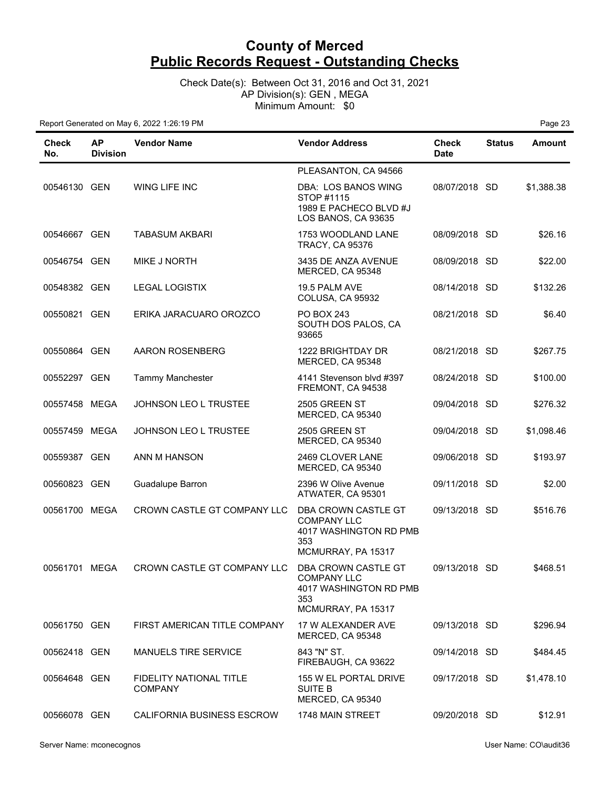Check Date(s): Between Oct 31, 2016 and Oct 31, 2021 AP Division(s): GEN , MEGA Minimum Amount: \$0

| Check<br>No.  | <b>AP</b><br><b>Division</b> | <b>Vendor Name</b>                               | <b>Vendor Address</b>                                                                            | <b>Check</b><br><b>Date</b> | <b>Status</b> | <b>Amount</b> |
|---------------|------------------------------|--------------------------------------------------|--------------------------------------------------------------------------------------------------|-----------------------------|---------------|---------------|
|               |                              |                                                  | PLEASANTON, CA 94566                                                                             |                             |               |               |
| 00546130 GEN  |                              | WING LIFE INC                                    | DBA: LOS BANOS WING<br>STOP #1115<br>1989 E PACHECO BLVD #J<br>LOS BANOS, CA 93635               | 08/07/2018 SD               |               | \$1,388.38    |
| 00546667 GEN  |                              | <b>TABASUM AKBARI</b>                            | 1753 WOODLAND LANE<br><b>TRACY, CA 95376</b>                                                     | 08/09/2018 SD               |               | \$26.16       |
| 00546754 GEN  |                              | <b>MIKE J NORTH</b>                              | 3435 DE ANZA AVENUE<br>MERCED, CA 95348                                                          | 08/09/2018 SD               |               | \$22.00       |
| 00548382 GEN  |                              | <b>LEGAL LOGISTIX</b>                            | 19.5 PALM AVE<br>COLUSA, CA 95932                                                                | 08/14/2018 SD               |               | \$132.26      |
| 00550821 GEN  |                              | ERIKA JARACUARO OROZCO                           | PO BOX 243<br>SOUTH DOS PALOS, CA<br>93665                                                       | 08/21/2018 SD               |               | \$6.40        |
| 00550864 GEN  |                              | <b>AARON ROSENBERG</b>                           | 1222 BRIGHTDAY DR<br>MERCED, CA 95348                                                            | 08/21/2018 SD               |               | \$267.75      |
| 00552297 GEN  |                              | Tammy Manchester                                 | 4141 Stevenson blvd #397<br>FREMONT, CA 94538                                                    | 08/24/2018 SD               |               | \$100.00      |
| 00557458 MEGA |                              | JOHNSON LEO L TRUSTEE                            | 2505 GREEN ST<br>MERCED, CA 95340                                                                | 09/04/2018 SD               |               | \$276.32      |
| 00557459 MEGA |                              | JOHNSON LEO L TRUSTEE                            | 2505 GREEN ST<br>MERCED, CA 95340                                                                | 09/04/2018 SD               |               | \$1,098.46    |
| 00559387 GEN  |                              | ANN M HANSON                                     | 2469 CLOVER LANE<br>MERCED, CA 95340                                                             | 09/06/2018 SD               |               | \$193.97      |
| 00560823 GEN  |                              | Guadalupe Barron                                 | 2396 W Olive Avenue<br>ATWATER, CA 95301                                                         | 09/11/2018 SD               |               | \$2.00        |
| 00561700 MEGA |                              | CROWN CASTLE GT COMPANY LLC                      | DBA CROWN CASTLE GT<br><b>COMPANY LLC</b><br>4017 WASHINGTON RD PMB<br>353<br>MCMURRAY, PA 15317 | 09/13/2018 SD               |               | \$516.76      |
| 00561701 MEGA |                              | CROWN CASTLE GT COMPANY LLC                      | DBA CROWN CASTLE GT<br><b>COMPANY LLC</b><br>4017 WASHINGTON RD PMB<br>353<br>MCMURRAY, PA 15317 | 09/13/2018 SD               |               | \$468.51      |
| 00561750 GEN  |                              | FIRST AMERICAN TITLE COMPANY                     | 17 W ALEXANDER AVE<br>MERCED, CA 95348                                                           | 09/13/2018 SD               |               | \$296.94      |
| 00562418 GEN  |                              | <b>MANUELS TIRE SERVICE</b>                      | 843 "N" ST.<br>FIREBAUGH, CA 93622                                                               | 09/14/2018 SD               |               | \$484.45      |
| 00564648 GEN  |                              | <b>FIDELITY NATIONAL TITLE</b><br><b>COMPANY</b> | 155 W EL PORTAL DRIVE<br>SUITE B<br>MERCED, CA 95340                                             | 09/17/2018 SD               |               | \$1,478.10    |
| 00566078 GEN  |                              | CALIFORNIA BUSINESS ESCROW                       | 1748 MAIN STREET                                                                                 | 09/20/2018 SD               |               | \$12.91       |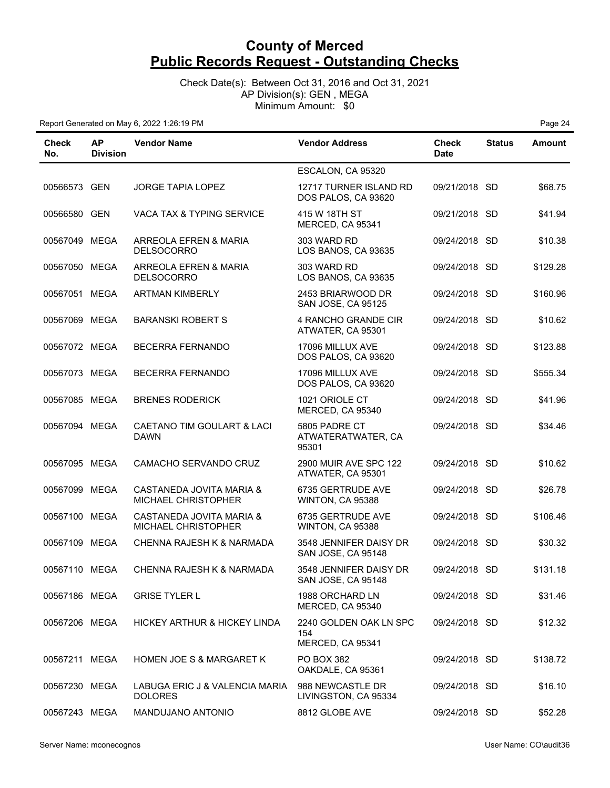Check Date(s): Between Oct 31, 2016 and Oct 31, 2021 AP Division(s): GEN , MEGA Minimum Amount: \$0

| Check<br>No.  | <b>AP</b><br><b>Division</b> | <b>Vendor Name</b>                               | <b>Vendor Address</b>                             | <b>Check</b><br><b>Date</b> | <b>Status</b> | <b>Amount</b> |
|---------------|------------------------------|--------------------------------------------------|---------------------------------------------------|-----------------------------|---------------|---------------|
|               |                              |                                                  | ESCALON, CA 95320                                 |                             |               |               |
| 00566573 GEN  |                              | <b>JORGE TAPIA LOPEZ</b>                         | 12717 TURNER ISLAND RD<br>DOS PALOS, CA 93620     | 09/21/2018 SD               |               | \$68.75       |
| 00566580 GEN  |                              | VACA TAX & TYPING SERVICE                        | 415 W 18TH ST<br>MERCED, CA 95341                 | 09/21/2018 SD               |               | \$41.94       |
| 00567049 MEGA |                              | ARREOLA EFREN & MARIA<br><b>DELSOCORRO</b>       | 303 WARD RD<br>LOS BANOS, CA 93635                | 09/24/2018 SD               |               | \$10.38       |
| 00567050      | MEGA                         | ARREOLA EFREN & MARIA<br><b>DELSOCORRO</b>       | 303 WARD RD<br>LOS BANOS, CA 93635                | 09/24/2018 SD               |               | \$129.28      |
| 00567051 MEGA |                              | <b>ARTMAN KIMBERLY</b>                           | 2453 BRIARWOOD DR<br>SAN JOSE, CA 95125           | 09/24/2018 SD               |               | \$160.96      |
| 00567069 MEGA |                              | <b>BARANSKI ROBERT S</b>                         | 4 RANCHO GRANDE CIR<br>ATWATER, CA 95301          | 09/24/2018 SD               |               | \$10.62       |
| 00567072 MEGA |                              | BECERRA FERNANDO                                 | 17096 MILLUX AVE<br>DOS PALOS, CA 93620           | 09/24/2018 SD               |               | \$123.88      |
| 00567073 MEGA |                              | <b>BECERRA FERNANDO</b>                          | 17096 MILLUX AVE<br>DOS PALOS, CA 93620           | 09/24/2018 SD               |               | \$555.34      |
| 00567085 MEGA |                              | <b>BRENES RODERICK</b>                           | 1021 ORIOLE CT<br>MERCED, CA 95340                | 09/24/2018 SD               |               | \$41.96       |
| 00567094 MEGA |                              | CAETANO TIM GOULART & LACI<br><b>DAWN</b>        | 5805 PADRE CT<br>ATWATERATWATER, CA<br>95301      | 09/24/2018 SD               |               | \$34.46       |
| 00567095 MEGA |                              | CAMACHO SERVANDO CRUZ                            | 2900 MUIR AVE SPC 122<br>ATWATER, CA 95301        | 09/24/2018 SD               |               | \$10.62       |
| 00567099 MEGA |                              | CASTANEDA JOVITA MARIA &<br>MICHAEL CHRISTOPHER  | 6735 GERTRUDE AVE<br>WINTON, CA 95388             | 09/24/2018 SD               |               | \$26.78       |
| 00567100 MEGA |                              | CASTANEDA JOVITA MARIA &<br>MICHAEL CHRISTOPHER  | 6735 GERTRUDE AVE<br>WINTON, CA 95388             | 09/24/2018 SD               |               | \$106.46      |
| 00567109 MEGA |                              | CHENNA RAJESH K & NARMADA                        | 3548 JENNIFER DAISY DR<br>SAN JOSE, CA 95148      | 09/24/2018 SD               |               | \$30.32       |
| 00567110 MEGA |                              | CHENNA RAJESH K & NARMADA                        | 3548 JENNIFER DAISY DR<br>SAN JOSE, CA 95148      | 09/24/2018 SD               |               | \$131.18      |
| 00567186 MEGA |                              | <b>GRISE TYLER L</b>                             | 1988 ORCHARD LN<br>MERCED, CA 95340               | 09/24/2018 SD               |               | \$31.46       |
| 00567206 MEGA |                              | HICKEY ARTHUR & HICKEY LINDA                     | 2240 GOLDEN OAK LN SPC<br>154<br>MERCED, CA 95341 | 09/24/2018 SD               |               | \$12.32       |
| 00567211 MEGA |                              | <b>HOMEN JOE S &amp; MARGARET K</b>              | PO BOX 382<br>OAKDALE, CA 95361                   | 09/24/2018 SD               |               | \$138.72      |
| 00567230 MEGA |                              | LABUGA ERIC J & VALENCIA MARIA<br><b>DOLORES</b> | 988 NEWCASTLE DR<br>LIVINGSTON, CA 95334          | 09/24/2018 SD               |               | \$16.10       |
| 00567243 MEGA |                              | MANDUJANO ANTONIO                                | 8812 GLOBE AVE                                    | 09/24/2018 SD               |               | \$52.28       |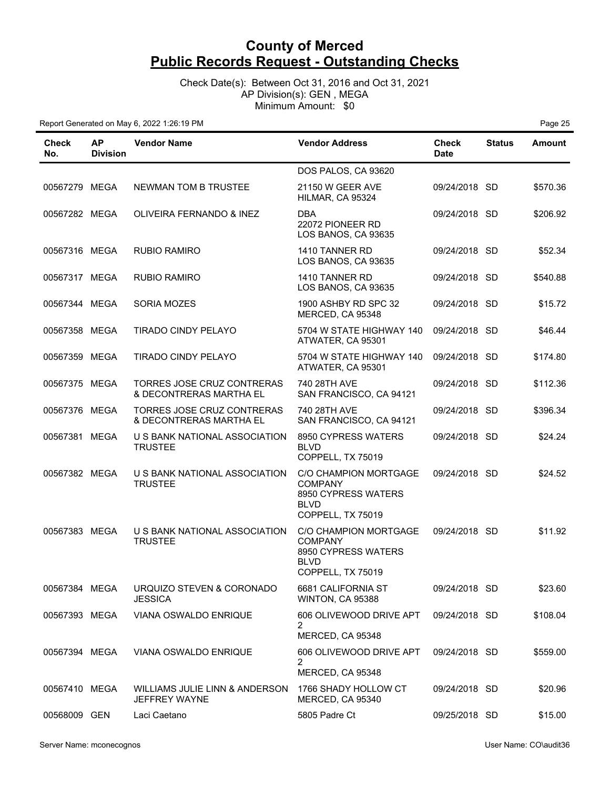Check Date(s): Between Oct 31, 2016 and Oct 31, 2021 AP Division(s): GEN , MEGA Minimum Amount: \$0

| <b>Check</b><br>No. | <b>AP</b><br><b>Division</b> | <b>Vendor Name</b>                                    | <b>Vendor Address</b>                                                                              | Check<br><b>Date</b> | <b>Status</b> | Amount   |
|---------------------|------------------------------|-------------------------------------------------------|----------------------------------------------------------------------------------------------------|----------------------|---------------|----------|
|                     |                              |                                                       | DOS PALOS, CA 93620                                                                                |                      |               |          |
| 00567279 MEGA       |                              | NEWMAN TOM B TRUSTEE                                  | <b>21150 W GEER AVE</b><br>HILMAR, CA 95324                                                        | 09/24/2018 SD        |               | \$570.36 |
| 00567282 MEGA       |                              | OLIVEIRA FERNANDO & INEZ                              | DBA<br>22072 PIONEER RD<br>LOS BANOS, CA 93635                                                     | 09/24/2018 SD        |               | \$206.92 |
| 00567316 MEGA       |                              | <b>RUBIO RAMIRO</b>                                   | 1410 TANNER RD<br>LOS BANOS, CA 93635                                                              | 09/24/2018 SD        |               | \$52.34  |
| 00567317 MEGA       |                              | <b>RUBIO RAMIRO</b>                                   | 1410 TANNER RD<br>LOS BANOS, CA 93635                                                              | 09/24/2018 SD        |               | \$540.88 |
| 00567344 MEGA       |                              | SORIA MOZES                                           | 1900 ASHBY RD SPC 32<br>MERCED, CA 95348                                                           | 09/24/2018 SD        |               | \$15.72  |
| 00567358 MEGA       |                              | <b>TIRADO CINDY PELAYO</b>                            | 5704 W STATE HIGHWAY 140<br>ATWATER, CA 95301                                                      | 09/24/2018 SD        |               | \$46.44  |
| 00567359 MEGA       |                              | <b>TIRADO CINDY PELAYO</b>                            | 5704 W STATE HIGHWAY 140<br>ATWATER, CA 95301                                                      | 09/24/2018 SD        |               | \$174.80 |
| 00567375 MEGA       |                              | TORRES JOSE CRUZ CONTRERAS<br>& DECONTRERAS MARTHA EL | 740 28TH AVE<br>SAN FRANCISCO, CA 94121                                                            | 09/24/2018 SD        |               | \$112.36 |
| 00567376 MEGA       |                              | TORRES JOSE CRUZ CONTRERAS<br>& DECONTRERAS MARTHA EL | 740 28TH AVE<br>SAN FRANCISCO, CA 94121                                                            | 09/24/2018 SD        |               | \$396.34 |
| 00567381 MEGA       |                              | U S BANK NATIONAL ASSOCIATION<br><b>TRUSTEE</b>       | 8950 CYPRESS WATERS<br><b>BLVD</b><br>COPPELL, TX 75019                                            | 09/24/2018 SD        |               | \$24.24  |
| 00567382 MEGA       |                              | U S BANK NATIONAL ASSOCIATION<br><b>TRUSTEE</b>       | C/O CHAMPION MORTGAGE<br><b>COMPANY</b><br>8950 CYPRESS WATERS<br><b>BLVD</b><br>COPPELL, TX 75019 | 09/24/2018 SD        |               | \$24.52  |
| 00567383 MEGA       |                              | U S BANK NATIONAL ASSOCIATION<br><b>TRUSTEE</b>       | C/O CHAMPION MORTGAGE<br><b>COMPANY</b><br>8950 CYPRESS WATERS<br><b>BLVD</b><br>COPPELL, TX 75019 | 09/24/2018 SD        |               | \$11.92  |
| 00567384 MEGA       |                              | URQUIZO STEVEN & CORONADO<br><b>JESSICA</b>           | 6681 CALIFORNIA ST<br>WINTON, CA 95388                                                             | 09/24/2018 SD        |               | \$23.60  |
| 00567393 MEGA       |                              | VIANA OSWALDO ENRIQUE                                 | 606 OLIVEWOOD DRIVE APT<br>2                                                                       | 09/24/2018 SD        |               | \$108.04 |
|                     |                              |                                                       | MERCED, CA 95348                                                                                   |                      |               |          |
| 00567394 MEGA       |                              | VIANA OSWALDO ENRIQUE                                 | 606 OLIVEWOOD DRIVE APT<br>2                                                                       | 09/24/2018 SD        |               | \$559.00 |
| 00567410 MEGA       |                              | WILLIAMS JULIE LINN & ANDERSON                        | MERCED, CA 95348<br>1766 SHADY HOLLOW CT                                                           | 09/24/2018 SD        |               |          |
|                     |                              | JEFFREY WAYNE                                         | MERCED, CA 95340                                                                                   |                      |               | \$20.96  |
| 00568009 GEN        |                              | Laci Caetano                                          | 5805 Padre Ct                                                                                      | 09/25/2018 SD        |               | \$15.00  |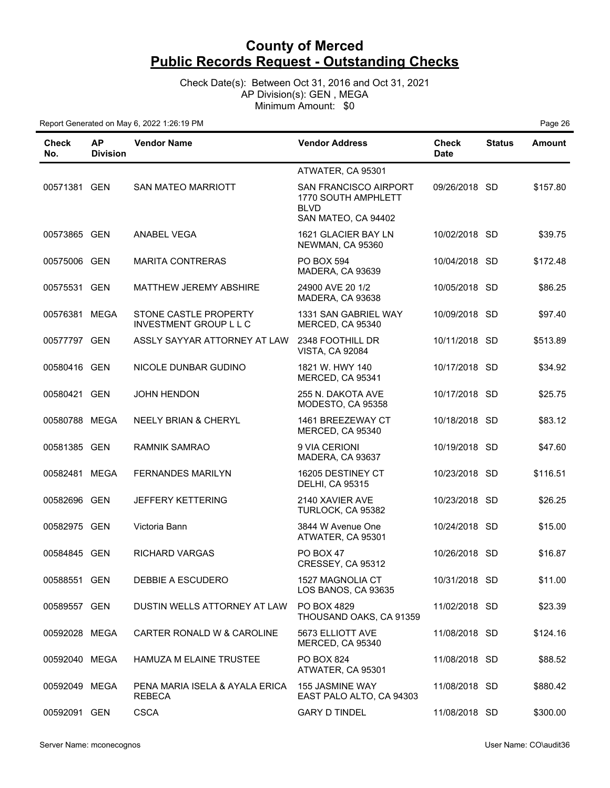Check Date(s): Between Oct 31, 2016 and Oct 31, 2021 AP Division(s): GEN , MEGA Minimum Amount: \$0

| Check<br>No.  | АP<br><b>Division</b> | <b>Vendor Name</b>                                     | <b>Vendor Address</b>                                                                     | <b>Check</b><br><b>Date</b> | <b>Status</b> | <b>Amount</b> |
|---------------|-----------------------|--------------------------------------------------------|-------------------------------------------------------------------------------------------|-----------------------------|---------------|---------------|
|               |                       |                                                        | ATWATER, CA 95301                                                                         |                             |               |               |
| 00571381 GEN  |                       | <b>SAN MATEO MARRIOTT</b>                              | <b>SAN FRANCISCO AIRPORT</b><br>1770 SOUTH AMPHLETT<br><b>BLVD</b><br>SAN MATEO, CA 94402 | 09/26/2018 SD               |               | \$157.80      |
| 00573865 GEN  |                       | <b>ANABEL VEGA</b>                                     | 1621 GLACIER BAY LN<br>NEWMAN, CA 95360                                                   | 10/02/2018 SD               |               | \$39.75       |
| 00575006 GEN  |                       | <b>MARITA CONTRERAS</b>                                | <b>PO BOX 594</b><br>MADERA, CA 93639                                                     | 10/04/2018 SD               |               | \$172.48      |
| 00575531 GEN  |                       | <b>MATTHEW JEREMY ABSHIRE</b>                          | 24900 AVE 20 1/2<br>MADERA, CA 93638                                                      | 10/05/2018 SD               |               | \$86.25       |
| 00576381 MEGA |                       | STONE CASTLE PROPERTY<br><b>INVESTMENT GROUP L L C</b> | 1331 SAN GABRIEL WAY<br>MERCED, CA 95340                                                  | 10/09/2018 SD               |               | \$97.40       |
| 00577797 GEN  |                       | ASSLY SAYYAR ATTORNEY AT LAW                           | 2348 FOOTHILL DR<br><b>VISTA, CA 92084</b>                                                | 10/11/2018 SD               |               | \$513.89      |
| 00580416 GEN  |                       | NICOLE DUNBAR GUDINO                                   | 1821 W. HWY 140<br>MERCED, CA 95341                                                       | 10/17/2018 SD               |               | \$34.92       |
| 00580421 GEN  |                       | <b>JOHN HENDON</b>                                     | 255 N. DAKOTA AVE<br>MODESTO, CA 95358                                                    | 10/17/2018 SD               |               | \$25.75       |
| 00580788 MEGA |                       | <b>NEELY BRIAN &amp; CHERYL</b>                        | 1461 BREEZEWAY CT<br>MERCED, CA 95340                                                     | 10/18/2018 SD               |               | \$83.12       |
| 00581385 GEN  |                       | <b>RAMNIK SAMRAO</b>                                   | 9 VIA CERIONI<br>MADERA, CA 93637                                                         | 10/19/2018 SD               |               | \$47.60       |
| 00582481 MEGA |                       | <b>FERNANDES MARILYN</b>                               | 16205 DESTINEY CT<br><b>DELHI, CA 95315</b>                                               | 10/23/2018 SD               |               | \$116.51      |
| 00582696 GEN  |                       | <b>JEFFERY KETTERING</b>                               | 2140 XAVIER AVE<br>TURLOCK, CA 95382                                                      | 10/23/2018 SD               |               | \$26.25       |
| 00582975 GEN  |                       | Victoria Bann                                          | 3844 W Avenue One<br>ATWATER, CA 95301                                                    | 10/24/2018 SD               |               | \$15.00       |
| 00584845 GEN  |                       | RICHARD VARGAS                                         | PO BOX 47<br>CRESSEY, CA 95312                                                            | 10/26/2018 SD               |               | \$16.87       |
| 00588551 GEN  |                       | DEBBIE A ESCUDERO                                      | 1527 MAGNOLIA CT<br>LOS BANOS, CA 93635                                                   | 10/31/2018 SD               |               | \$11.00       |
| 00589557 GEN  |                       | DUSTIN WELLS ATTORNEY AT LAW                           | PO BOX 4829<br>THOUSAND OAKS, CA 91359                                                    | 11/02/2018 SD               |               | \$23.39       |
| 00592028 MEGA |                       | CARTER RONALD W & CAROLINE                             | 5673 ELLIOTT AVE<br>MERCED, CA 95340                                                      | 11/08/2018 SD               |               | \$124.16      |
| 00592040 MEGA |                       | HAMUZA M ELAINE TRUSTEE                                | PO BOX 824<br>ATWATER, CA 95301                                                           | 11/08/2018 SD               |               | \$88.52       |
| 00592049 MEGA |                       | PENA MARIA ISELA & AYALA ERICA<br><b>REBECA</b>        | <b>155 JASMINE WAY</b><br>EAST PALO ALTO, CA 94303                                        | 11/08/2018 SD               |               | \$880.42      |
| 00592091 GEN  |                       | <b>CSCA</b>                                            | <b>GARY D TINDEL</b>                                                                      | 11/08/2018 SD               |               | \$300.00      |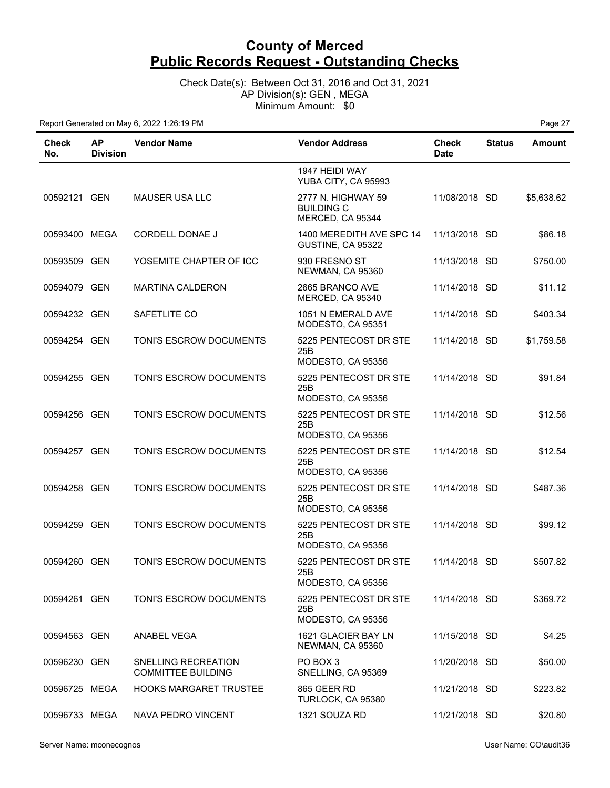Check Date(s): Between Oct 31, 2016 and Oct 31, 2021 AP Division(s): GEN , MEGA Minimum Amount: \$0

| Check<br>No.  | <b>AP</b><br><b>Division</b> | <b>Vendor Name</b>                               | <b>Vendor Address</b>                                       | <b>Check</b><br><b>Date</b> | <b>Status</b> | <b>Amount</b> |
|---------------|------------------------------|--------------------------------------------------|-------------------------------------------------------------|-----------------------------|---------------|---------------|
|               |                              |                                                  | 1947 HEIDI WAY<br>YUBA CITY, CA 95993                       |                             |               |               |
| 00592121 GEN  |                              | <b>MAUSER USA LLC</b>                            | 2777 N. HIGHWAY 59<br><b>BUILDING C</b><br>MERCED, CA 95344 | 11/08/2018 SD               |               | \$5,638.62    |
| 00593400 MEGA |                              | CORDELL DONAE J                                  | 1400 MEREDITH AVE SPC 14<br>GUSTINE, CA 95322               | 11/13/2018 SD               |               | \$86.18       |
| 00593509 GEN  |                              | YOSEMITE CHAPTER OF ICC                          | 930 FRESNO ST<br>NEWMAN, CA 95360                           | 11/13/2018 SD               |               | \$750.00      |
| 00594079 GEN  |                              | <b>MARTINA CALDERON</b>                          | 2665 BRANCO AVE<br>MERCED, CA 95340                         | 11/14/2018 SD               |               | \$11.12       |
| 00594232 GEN  |                              | SAFETLITE CO                                     | 1051 N EMERALD AVE<br>MODESTO, CA 95351                     | 11/14/2018 SD               |               | \$403.34      |
| 00594254 GEN  |                              | TONI'S ESCROW DOCUMENTS                          | 5225 PENTECOST DR STE<br>25B<br>MODESTO, CA 95356           | 11/14/2018 SD               |               | \$1,759.58    |
| 00594255 GEN  |                              | TONI'S ESCROW DOCUMENTS                          | 5225 PENTECOST DR STE<br>25B<br>MODESTO, CA 95356           | 11/14/2018 SD               |               | \$91.84       |
| 00594256 GEN  |                              | TONI'S ESCROW DOCUMENTS                          | 5225 PENTECOST DR STE<br>25B<br>MODESTO, CA 95356           | 11/14/2018 SD               |               | \$12.56       |
| 00594257 GEN  |                              | TONI'S ESCROW DOCUMENTS                          | 5225 PENTECOST DR STE<br>25B<br>MODESTO, CA 95356           | 11/14/2018 SD               |               | \$12.54       |
| 00594258 GEN  |                              | TONI'S ESCROW DOCUMENTS                          | 5225 PENTECOST DR STE<br>25B<br>MODESTO, CA 95356           | 11/14/2018 SD               |               | \$487.36      |
| 00594259 GEN  |                              | TONI'S ESCROW DOCUMENTS                          | 5225 PENTECOST DR STE<br>25B<br>MODESTO, CA 95356           | 11/14/2018 SD               |               | \$99.12       |
| 00594260 GEN  |                              | TONI'S ESCROW DOCUMENTS                          | 5225 PENTECOST DR STE<br>25B<br>MODESTO, CA 95356           | 11/14/2018 SD               |               | \$507.82      |
| 00594261 GEN  |                              | TONI'S ESCROW DOCUMENTS                          | 5225 PENTECOST DR STE<br>25B<br>MODESTO, CA 95356           | 11/14/2018 SD               |               | \$369.72      |
| 00594563 GEN  |                              | <b>ANABEL VEGA</b>                               | 1621 GLACIER BAY LN<br>NEWMAN, CA 95360                     | 11/15/2018 SD               |               | \$4.25        |
| 00596230 GEN  |                              | SNELLING RECREATION<br><b>COMMITTEE BUILDING</b> | PO BOX 3<br>SNELLING, CA 95369                              | 11/20/2018 SD               |               | \$50.00       |
| 00596725 MEGA |                              | <b>HOOKS MARGARET TRUSTEE</b>                    | 865 GEER RD<br>TURLOCK, CA 95380                            | 11/21/2018 SD               |               | \$223.82      |
| 00596733 MEGA |                              | NAVA PEDRO VINCENT                               | 1321 SOUZA RD                                               | 11/21/2018 SD               |               | \$20.80       |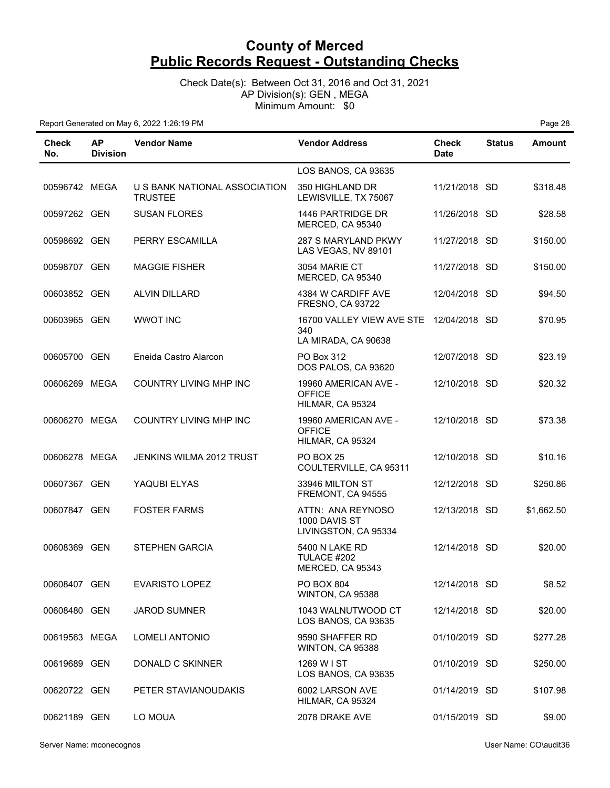Check Date(s): Between Oct 31, 2016 and Oct 31, 2021 AP Division(s): GEN , MEGA Minimum Amount: \$0

| Check<br>No.  | <b>AP</b><br><b>Division</b> | <b>Vendor Name</b>                              | <b>Vendor Address</b>                                                 | <b>Check</b><br><b>Date</b> | <b>Status</b> | <b>Amount</b> |
|---------------|------------------------------|-------------------------------------------------|-----------------------------------------------------------------------|-----------------------------|---------------|---------------|
|               |                              |                                                 | LOS BANOS, CA 93635                                                   |                             |               |               |
| 00596742 MEGA |                              | U S BANK NATIONAL ASSOCIATION<br><b>TRUSTEE</b> | 350 HIGHLAND DR<br>LEWISVILLE, TX 75067                               | 11/21/2018 SD               |               | \$318.48      |
| 00597262 GEN  |                              | <b>SUSAN FLORES</b>                             | 1446 PARTRIDGE DR<br>MERCED, CA 95340                                 | 11/26/2018 SD               |               | \$28.58       |
| 00598692 GEN  |                              | PERRY ESCAMILLA                                 | 287 S MARYLAND PKWY<br>LAS VEGAS, NV 89101                            | 11/27/2018 SD               |               | \$150.00      |
| 00598707 GEN  |                              | <b>MAGGIE FISHER</b>                            | 3054 MARIE CT<br>MERCED, CA 95340                                     | 11/27/2018 SD               |               | \$150.00      |
| 00603852 GEN  |                              | <b>ALVIN DILLARD</b>                            | 4384 W CARDIFF AVE<br><b>FRESNO, CA 93722</b>                         | 12/04/2018 SD               |               | \$94.50       |
| 00603965 GEN  |                              | <b>WWOT INC</b>                                 | 16700 VALLEY VIEW AVE STE 12/04/2018 SD<br>340<br>LA MIRADA, CA 90638 |                             |               | \$70.95       |
| 00605700 GEN  |                              | Eneida Castro Alarcon                           | PO Box 312<br>DOS PALOS, CA 93620                                     | 12/07/2018 SD               |               | \$23.19       |
| 00606269 MEGA |                              | COUNTRY LIVING MHP INC                          | 19960 AMERICAN AVE -<br><b>OFFICE</b><br>HILMAR, CA 95324             | 12/10/2018 SD               |               | \$20.32       |
| 00606270 MEGA |                              | <b>COUNTRY LIVING MHP INC</b>                   | 19960 AMERICAN AVE -<br><b>OFFICE</b><br>HILMAR, CA 95324             | 12/10/2018 SD               |               | \$73.38       |
| 00606278 MEGA |                              | JENKINS WILMA 2012 TRUST                        | PO BOX 25<br>COULTERVILLE, CA 95311                                   | 12/10/2018 SD               |               | \$10.16       |
| 00607367 GEN  |                              | YAQUBI ELYAS                                    | 33946 MILTON ST<br>FREMONT, CA 94555                                  | 12/12/2018 SD               |               | \$250.86      |
| 00607847 GEN  |                              | <b>FOSTER FARMS</b>                             | ATTN: ANA REYNOSO<br>1000 DAVIS ST<br>LIVINGSTON, CA 95334            | 12/13/2018 SD               |               | \$1,662.50    |
| 00608369      | GEN                          | <b>STEPHEN GARCIA</b>                           | 5400 N LAKE RD<br>TULACE #202<br>MERCED, CA 95343                     | 12/14/2018 SD               |               | \$20.00       |
| 00608407 GEN  |                              | <b>EVARISTO LOPEZ</b>                           | PO BOX 804<br>WINTON, CA 95388                                        | 12/14/2018 SD               |               | \$8.52        |
| 00608480 GEN  |                              | <b>JAROD SUMNER</b>                             | 1043 WALNUTWOOD CT<br>LOS BANOS, CA 93635                             | 12/14/2018 SD               |               | \$20.00       |
| 00619563 MEGA |                              | <b>LOMELI ANTONIO</b>                           | 9590 SHAFFER RD<br>WINTON, CA 95388                                   | 01/10/2019 SD               |               | \$277.28      |
| 00619689 GEN  |                              | DONALD C SKINNER                                | 1269 W I ST<br>LOS BANOS, CA 93635                                    | 01/10/2019 SD               |               | \$250.00      |
| 00620722 GEN  |                              | PETER STAVIANOUDAKIS                            | 6002 LARSON AVE<br>HILMAR, CA 95324                                   | 01/14/2019 SD               |               | \$107.98      |
| 00621189 GEN  |                              | LO MOUA                                         | 2078 DRAKE AVE                                                        | 01/15/2019 SD               |               | \$9.00        |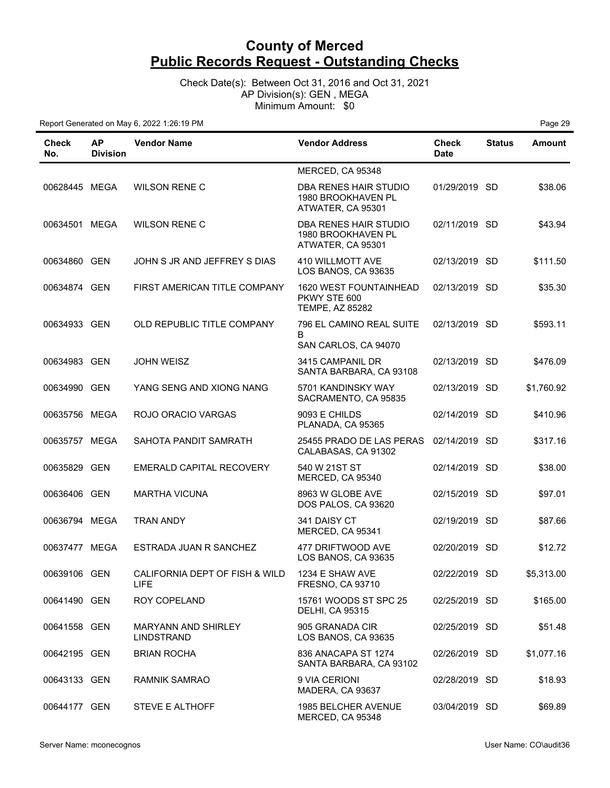Check Date(s): Between Oct 31, 2016 and Oct 31, 2021 AP Division(s): GEN , MEGA Minimum Amount: \$0

| Check<br>No.  | ΑP<br><b>Division</b> | <b>Vendor Name</b>                       | <b>Vendor Address</b>                                                   | <b>Check</b><br><b>Date</b> | <b>Status</b> | <b>Amount</b> |
|---------------|-----------------------|------------------------------------------|-------------------------------------------------------------------------|-----------------------------|---------------|---------------|
|               |                       |                                          | MERCED, CA 95348                                                        |                             |               |               |
| 00628445 MEGA |                       | <b>WILSON RENE C</b>                     | DBA RENES HAIR STUDIO<br>1980 BROOKHAVEN PL<br>ATWATER, CA 95301        | 01/29/2019 SD               |               | \$38.06       |
| 00634501 MEGA |                       | <b>WILSON RENE C</b>                     | DBA RENES HAIR STUDIO<br>1980 BROOKHAVEN PL<br>ATWATER, CA 95301        | 02/11/2019 SD               |               | \$43.94       |
| 00634860 GEN  |                       | JOHN S JR AND JEFFREY S DIAS             | 410 WILLMOTT AVE<br>LOS BANOS, CA 93635                                 | 02/13/2019 SD               |               | \$111.50      |
| 00634874 GEN  |                       | FIRST AMERICAN TITLE COMPANY             | <b>1620 WEST FOUNTAINHEAD</b><br>PKWY STE 600<br><b>TEMPE, AZ 85282</b> | 02/13/2019 SD               |               | \$35.30       |
| 00634933 GEN  |                       | OLD REPUBLIC TITLE COMPANY               | 796 EL CAMINO REAL SUITE<br>B<br>SAN CARLOS, CA 94070                   | 02/13/2019 SD               |               | \$593.11      |
| 00634983 GEN  |                       | <b>JOHN WEISZ</b>                        | 3415 CAMPANIL DR<br>SANTA BARBARA, CA 93108                             | 02/13/2019 SD               |               | \$476.09      |
| 00634990 GEN  |                       | YANG SENG AND XIONG NANG                 | 5701 KANDINSKY WAY<br>SACRAMENTO, CA 95835                              | 02/13/2019 SD               |               | \$1,760.92    |
| 00635756 MEGA |                       | ROJO ORACIO VARGAS                       | 9093 E CHILDS<br>PLANADA, CA 95365                                      | 02/14/2019 SD               |               | \$410.96      |
| 00635757 MEGA |                       | SAHOTA PANDIT SAMRATH                    | 25455 PRADO DE LAS PERAS<br>CALABASAS, CA 91302                         | 02/14/2019 SD               |               | \$317.16      |
| 00635829 GEN  |                       | EMERALD CAPITAL RECOVERY                 | 540 W 21ST ST<br>MERCED, CA 95340                                       | 02/14/2019 SD               |               | \$38.00       |
| 00636406 GEN  |                       | <b>MARTHA VICUNA</b>                     | 8963 W GLOBE AVE<br>DOS PALOS, CA 93620                                 | 02/15/2019 SD               |               | \$97.01       |
| 00636794 MEGA |                       | <b>TRAN ANDY</b>                         | 341 DAISY CT<br>MERCED, CA 95341                                        | 02/19/2019 SD               |               | \$87.66       |
| 00637477 MEGA |                       | ESTRADA JUAN R SANCHEZ                   | 477 DRIFTWOOD AVE<br>LOS BANOS, CA 93635                                | 02/20/2019 SD               |               | \$12.72       |
| 00639106 GEN  |                       | CALIFORNIA DEPT OF FISH & WILD<br>LIFE.  | 1234 E SHAW AVE<br><b>FRESNO, CA 93710</b>                              | 02/22/2019 SD               |               | \$5,313.00    |
| 00641490 GEN  |                       | ROY COPELAND                             | 15761 WOODS ST SPC 25<br><b>DELHI, CA 95315</b>                         | 02/25/2019 SD               |               | \$165.00      |
| 00641558 GEN  |                       | <b>MARYANN AND SHIRLEY</b><br>LINDSTRAND | 905 GRANADA CIR<br>LOS BANOS, CA 93635                                  | 02/25/2019 SD               |               | \$51.48       |
| 00642195 GEN  |                       | <b>BRIAN ROCHA</b>                       | 836 ANACAPA ST 1274<br>SANTA BARBARA, CA 93102                          | 02/26/2019 SD               |               | \$1,077.16    |
| 00643133 GEN  |                       | <b>RAMNIK SAMRAO</b>                     | 9 VIA CERIONI<br>MADERA, CA 93637                                       | 02/28/2019 SD               |               | \$18.93       |
| 00644177 GEN  |                       | STEVE E ALTHOFF                          | 1985 BELCHER AVENUE<br>MERCED, CA 95348                                 | 03/04/2019 SD               |               | \$69.89       |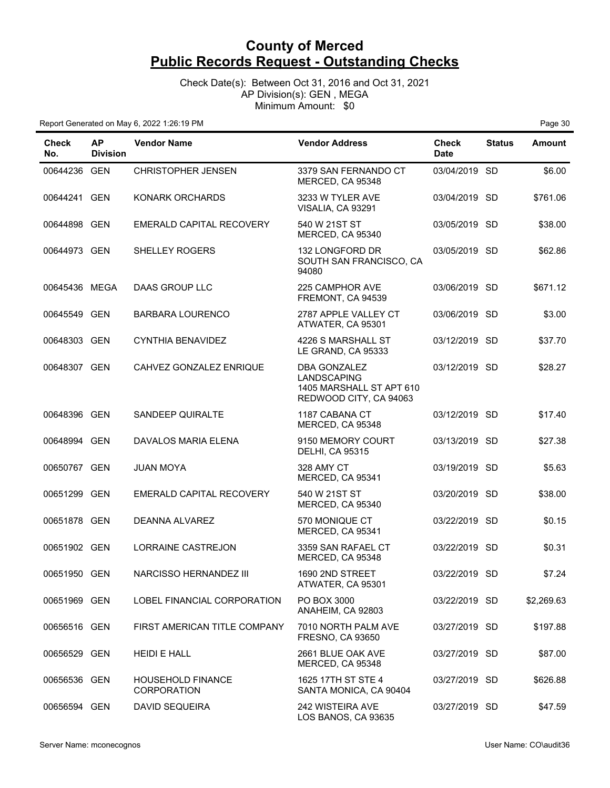Check Date(s): Between Oct 31, 2016 and Oct 31, 2021 AP Division(s): GEN , MEGA Minimum Amount: \$0

| Check<br>No.  | <b>AP</b><br><b>Division</b> | <b>Vendor Name</b>                             | <b>Vendor Address</b>                                                             | Check<br><b>Date</b> | <b>Status</b> | Amount     |
|---------------|------------------------------|------------------------------------------------|-----------------------------------------------------------------------------------|----------------------|---------------|------------|
| 00644236 GEN  |                              | <b>CHRISTOPHER JENSEN</b>                      | 3379 SAN FERNANDO CT<br>MERCED, CA 95348                                          | 03/04/2019 SD        |               | \$6.00     |
| 00644241 GEN  |                              | <b>KONARK ORCHARDS</b>                         | 3233 W TYLER AVE<br>VISALIA, CA 93291                                             | 03/04/2019 SD        |               | \$761.06   |
| 00644898 GEN  |                              | EMERALD CAPITAL RECOVERY                       | 540 W 21ST ST<br>MERCED, CA 95340                                                 | 03/05/2019 SD        |               | \$38.00    |
| 00644973 GEN  |                              | SHELLEY ROGERS                                 | 132 LONGFORD DR<br>SOUTH SAN FRANCISCO, CA<br>94080                               | 03/05/2019 SD        |               | \$62.86    |
| 00645436 MEGA |                              | DAAS GROUP LLC                                 | 225 CAMPHOR AVE<br>FREMONT, CA 94539                                              | 03/06/2019 SD        |               | \$671.12   |
| 00645549 GEN  |                              | <b>BARBARA LOURENCO</b>                        | 2787 APPLE VALLEY CT<br>ATWATER, CA 95301                                         | 03/06/2019 SD        |               | \$3.00     |
| 00648303 GEN  |                              | <b>CYNTHIA BENAVIDEZ</b>                       | 4226 S MARSHALL ST<br>LE GRAND, CA 95333                                          | 03/12/2019 SD        |               | \$37.70    |
| 00648307 GEN  |                              | CAHVEZ GONZALEZ ENRIQUE                        | DBA GONZALEZ<br>LANDSCAPING<br>1405 MARSHALL ST APT 610<br>REDWOOD CITY, CA 94063 | 03/12/2019 SD        |               | \$28.27    |
| 00648396 GEN  |                              | SANDEEP QUIRALTE                               | 1187 CABANA CT<br>MERCED, CA 95348                                                | 03/12/2019 SD        |               | \$17.40    |
| 00648994 GEN  |                              | DAVALOS MARIA ELENA                            | 9150 MEMORY COURT<br><b>DELHI, CA 95315</b>                                       | 03/13/2019 SD        |               | \$27.38    |
| 00650767 GEN  |                              | <b>JUAN MOYA</b>                               | 328 AMY CT<br>MERCED, CA 95341                                                    | 03/19/2019 SD        |               | \$5.63     |
| 00651299 GEN  |                              | EMERALD CAPITAL RECOVERY                       | 540 W 21ST ST<br>MERCED, CA 95340                                                 | 03/20/2019 SD        |               | \$38.00    |
| 00651878 GEN  |                              | <b>DEANNA ALVAREZ</b>                          | 570 MONIQUE CT<br>MERCED, CA 95341                                                | 03/22/2019 SD        |               | \$0.15     |
| 00651902 GEN  |                              | LORRAINE CASTREJON                             | 3359 SAN RAFAEL CT<br>MERCED, CA 95348                                            | 03/22/2019 SD        |               | \$0.31     |
| 00651950 GEN  |                              | NARCISSO HERNANDEZ III                         | 1690 2ND STREET<br>ATWATER, CA 95301                                              | 03/22/2019 SD        |               | \$7.24     |
| 00651969 GEN  |                              | LOBEL FINANCIAL CORPORATION                    | PO BOX 3000<br>ANAHEIM, CA 92803                                                  | 03/22/2019 SD        |               | \$2,269.63 |
| 00656516 GEN  |                              | FIRST AMERICAN TITLE COMPANY                   | 7010 NORTH PALM AVE<br><b>FRESNO, CA 93650</b>                                    | 03/27/2019 SD        |               | \$197.88   |
| 00656529 GEN  |                              | <b>HEIDI E HALL</b>                            | 2661 BLUE OAK AVE<br>MERCED, CA 95348                                             | 03/27/2019 SD        |               | \$87.00    |
| 00656536 GEN  |                              | <b>HOUSEHOLD FINANCE</b><br><b>CORPORATION</b> | 1625 17TH ST STE 4<br>SANTA MONICA, CA 90404                                      | 03/27/2019 SD        |               | \$626.88   |
| 00656594 GEN  |                              | <b>DAVID SEQUEIRA</b>                          | 242 WISTEIRA AVE<br>LOS BANOS, CA 93635                                           | 03/27/2019 SD        |               | \$47.59    |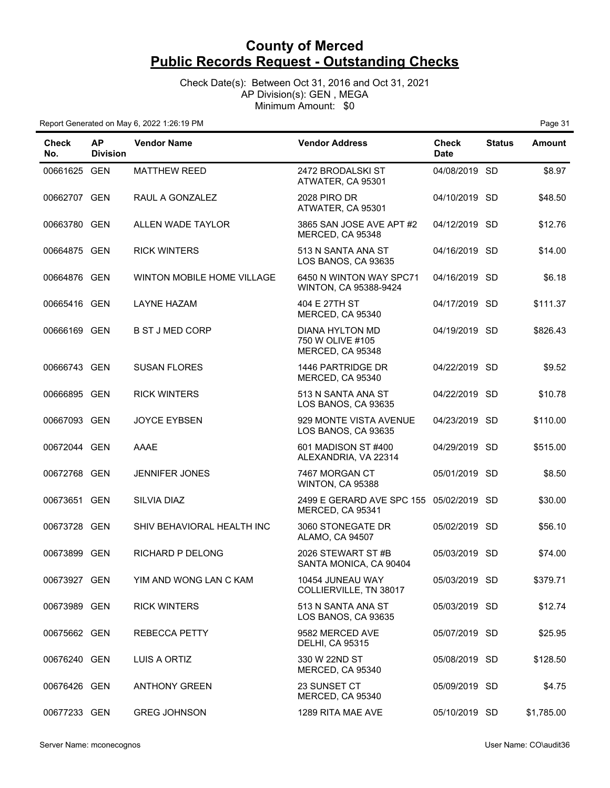Check Date(s): Between Oct 31, 2016 and Oct 31, 2021 AP Division(s): GEN , MEGA Minimum Amount: \$0

| <b>Check</b><br>No. | <b>AP</b><br><b>Division</b> | <b>Vendor Name</b>         | <b>Vendor Address</b>                                   | <b>Check</b><br><b>Date</b> | <b>Status</b> | Amount     |
|---------------------|------------------------------|----------------------------|---------------------------------------------------------|-----------------------------|---------------|------------|
| 00661625 GEN        |                              | <b>MATTHEW REED</b>        | 2472 BRODALSKI ST<br>ATWATER, CA 95301                  | 04/08/2019 SD               |               | \$8.97     |
| 00662707 GEN        |                              | RAUL A GONZALEZ            | <b>2028 PIRO DR</b><br>ATWATER, CA 95301                | 04/10/2019 SD               |               | \$48.50    |
| 00663780 GEN        |                              | ALLEN WADE TAYLOR          | 3865 SAN JOSE AVE APT #2<br>MERCED, CA 95348            | 04/12/2019 SD               |               | \$12.76    |
| 00664875 GEN        |                              | <b>RICK WINTERS</b>        | 513 N SANTA ANA ST<br>LOS BANOS, CA 93635               | 04/16/2019 SD               |               | \$14.00    |
| 00664876 GEN        |                              | WINTON MOBILE HOME VILLAGE | 6450 N WINTON WAY SPC71<br>WINTON, CA 95388-9424        | 04/16/2019 SD               |               | \$6.18     |
| 00665416 GEN        |                              | <b>LAYNE HAZAM</b>         | 404 E 27TH ST<br>MERCED, CA 95340                       | 04/17/2019 SD               |               | \$111.37   |
| 00666169 GEN        |                              | <b>B ST J MED CORP</b>     | DIANA HYLTON MD<br>750 W OLIVE #105<br>MERCED, CA 95348 | 04/19/2019 SD               |               | \$826.43   |
| 00666743 GEN        |                              | <b>SUSAN FLORES</b>        | 1446 PARTRIDGE DR<br>MERCED, CA 95340                   | 04/22/2019 SD               |               | \$9.52     |
| 00666895 GEN        |                              | <b>RICK WINTERS</b>        | 513 N SANTA ANA ST<br>LOS BANOS, CA 93635               | 04/22/2019 SD               |               | \$10.78    |
| 00667093 GEN        |                              | <b>JOYCE EYBSEN</b>        | 929 MONTE VISTA AVENUE<br>LOS BANOS, CA 93635           | 04/23/2019 SD               |               | \$110.00   |
| 00672044 GEN        |                              | AAAE                       | 601 MADISON ST #400<br>ALEXANDRIA, VA 22314             | 04/29/2019 SD               |               | \$515.00   |
| 00672768 GEN        |                              | <b>JENNIFER JONES</b>      | 7467 MORGAN CT<br>WINTON, CA 95388                      | 05/01/2019 SD               |               | \$8.50     |
| 00673651 GEN        |                              | SILVIA DIAZ                | 2499 E GERARD AVE SPC 155<br>MERCED, CA 95341           | 05/02/2019 SD               |               | \$30.00    |
| 00673728 GEN        |                              | SHIV BEHAVIORAL HEALTH INC | 3060 STONEGATE DR<br>ALAMO, CA 94507                    | 05/02/2019 SD               |               | \$56.10    |
| 00673899 GEN        |                              | RICHARD P DELONG           | 2026 STEWART ST#B<br>SANTA MONICA, CA 90404             | 05/03/2019 SD               |               | \$74.00    |
| 00673927 GEN        |                              | YIM AND WONG LAN C KAM     | 10454 JUNEAU WAY<br>COLLIERVILLE, TN 38017              | 05/03/2019 SD               |               | \$379.71   |
| 00673989 GEN        |                              | <b>RICK WINTERS</b>        | 513 N SANTA ANA ST<br>LOS BANOS, CA 93635               | 05/03/2019 SD               |               | \$12.74    |
| 00675662 GEN        |                              | <b>REBECCA PETTY</b>       | 9582 MERCED AVE<br><b>DELHI, CA 95315</b>               | 05/07/2019 SD               |               | \$25.95    |
| 00676240 GEN        |                              | LUIS A ORTIZ               | 330 W 22ND ST<br>MERCED, CA 95340                       | 05/08/2019 SD               |               | \$128.50   |
| 00676426 GEN        |                              | <b>ANTHONY GREEN</b>       | 23 SUNSET CT<br>MERCED, CA 95340                        | 05/09/2019 SD               |               | \$4.75     |
| 00677233 GEN        |                              | <b>GREG JOHNSON</b>        | 1289 RITA MAE AVE                                       | 05/10/2019 SD               |               | \$1,785.00 |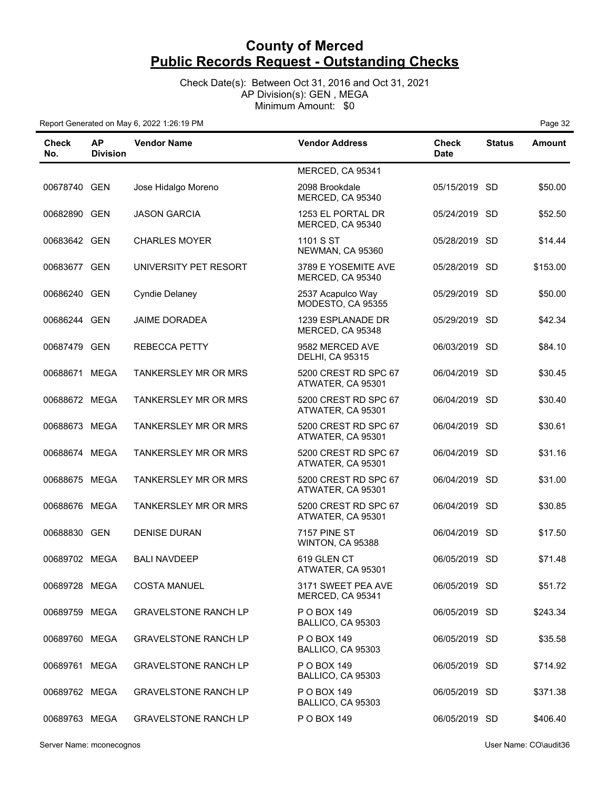Check Date(s): Between Oct 31, 2016 and Oct 31, 2021 AP Division(s): GEN , MEGA Minimum Amount: \$0

| Check<br>No.  | <b>AP</b><br><b>Division</b> | <b>Vendor Name</b>          | <b>Vendor Address</b>                     | <b>Check</b><br><b>Date</b> | <b>Status</b> | <b>Amount</b> |
|---------------|------------------------------|-----------------------------|-------------------------------------------|-----------------------------|---------------|---------------|
|               |                              |                             | MERCED, CA 95341                          |                             |               |               |
| 00678740 GEN  |                              | Jose Hidalgo Moreno         | 2098 Brookdale<br>MERCED, CA 95340        | 05/15/2019 SD               |               | \$50.00       |
| 00682890 GEN  |                              | <b>JASON GARCIA</b>         | 1253 EL PORTAL DR<br>MERCED, CA 95340     | 05/24/2019 SD               |               | \$52.50       |
| 00683642 GEN  |                              | <b>CHARLES MOYER</b>        | 1101 S ST<br>NEWMAN, CA 95360             | 05/28/2019 SD               |               | \$14.44       |
| 00683677 GEN  |                              | UNIVERSITY PET RESORT       | 3789 E YOSEMITE AVE<br>MERCED, CA 95340   | 05/28/2019 SD               |               | \$153.00      |
| 00686240 GEN  |                              | <b>Cyndie Delaney</b>       | 2537 Acapulco Way<br>MODESTO, CA 95355    | 05/29/2019 SD               |               | \$50.00       |
| 00686244 GEN  |                              | <b>JAIME DORADEA</b>        | 1239 ESPLANADE DR<br>MERCED, CA 95348     | 05/29/2019 SD               |               | \$42.34       |
| 00687479 GEN  |                              | <b>REBECCA PETTY</b>        | 9582 MERCED AVE<br><b>DELHI, CA 95315</b> | 06/03/2019 SD               |               | \$84.10       |
| 00688671 MEGA |                              | <b>TANKERSLEY MR OR MRS</b> | 5200 CREST RD SPC 67<br>ATWATER, CA 95301 | 06/04/2019 SD               |               | \$30.45       |
| 00688672 MEGA |                              | <b>TANKERSLEY MR OR MRS</b> | 5200 CREST RD SPC 67<br>ATWATER, CA 95301 | 06/04/2019 SD               |               | \$30.40       |
| 00688673 MEGA |                              | <b>TANKERSLEY MR OR MRS</b> | 5200 CREST RD SPC 67<br>ATWATER, CA 95301 | 06/04/2019 SD               |               | \$30.61       |
| 00688674 MEGA |                              | <b>TANKERSLEY MR OR MRS</b> | 5200 CREST RD SPC 67<br>ATWATER, CA 95301 | 06/04/2019 SD               |               | \$31.16       |
| 00688675 MEGA |                              | TANKERSLEY MR OR MRS        | 5200 CREST RD SPC 67<br>ATWATER, CA 95301 | 06/04/2019 SD               |               | \$31.00       |
| 00688676 MEGA |                              | <b>TANKERSLEY MR OR MRS</b> | 5200 CREST RD SPC 67<br>ATWATER, CA 95301 | 06/04/2019 SD               |               | \$30.85       |
| 00688830 GEN  |                              | <b>DENISE DURAN</b>         | <b>7157 PINE ST</b><br>WINTON, CA 95388   | 06/04/2019 SD               |               | \$17.50       |
| 00689702 MEGA |                              | <b>BALI NAVDEEP</b>         | 619 GLEN CT<br>ATWATER, CA 95301          | 06/05/2019                  | SD.           | \$71.48       |
| 00689728 MEGA |                              | <b>COSTA MANUEL</b>         | 3171 SWEET PEA AVE<br>MERCED, CA 95341    | 06/05/2019 SD               |               | \$51.72       |
| 00689759 MEGA |                              | <b>GRAVELSTONE RANCH LP</b> | P O BOX 149<br>BALLICO, CA 95303          | 06/05/2019 SD               |               | \$243.34      |
| 00689760 MEGA |                              | <b>GRAVELSTONE RANCH LP</b> | P O BOX 149<br>BALLICO, CA 95303          | 06/05/2019 SD               |               | \$35.58       |
| 00689761 MEGA |                              | <b>GRAVELSTONE RANCH LP</b> | P O BOX 149<br>BALLICO, CA 95303          | 06/05/2019 SD               |               | \$714.92      |
| 00689762 MEGA |                              | <b>GRAVELSTONE RANCH LP</b> | P O BOX 149<br>BALLICO, CA 95303          | 06/05/2019 SD               |               | \$371.38      |
| 00689763 MEGA |                              | <b>GRAVELSTONE RANCH LP</b> | P O BOX 149                               | 06/05/2019 SD               |               | \$406.40      |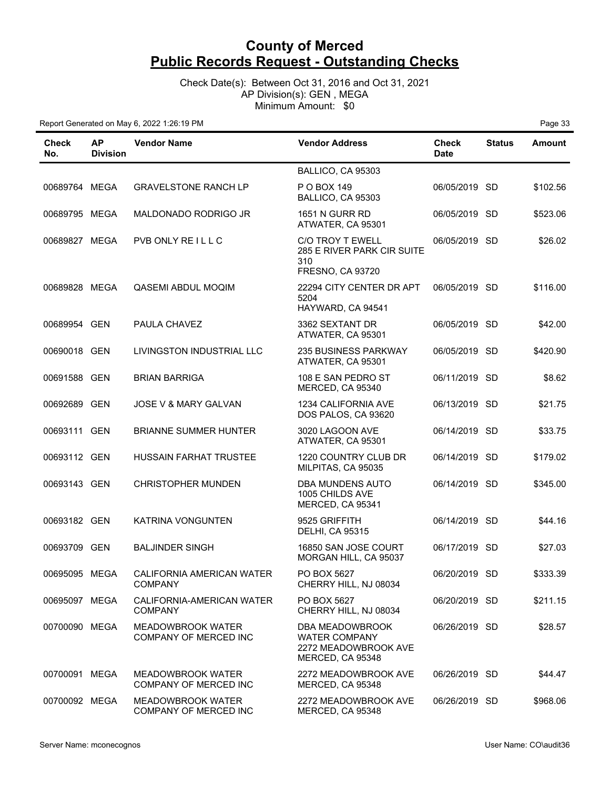Check Date(s): Between Oct 31, 2016 and Oct 31, 2021 AP Division(s): GEN , MEGA Minimum Amount: \$0

| Check<br>No.  | <b>AP</b><br><b>Division</b> | <b>Vendor Name</b>                                       | <b>Vendor Address</b>                                                               | <b>Check</b><br><b>Date</b> | <b>Status</b> | <b>Amount</b> |
|---------------|------------------------------|----------------------------------------------------------|-------------------------------------------------------------------------------------|-----------------------------|---------------|---------------|
|               |                              |                                                          | BALLICO, CA 95303                                                                   |                             |               |               |
| 00689764 MEGA |                              | <b>GRAVELSTONE RANCH LP</b>                              | P O BOX 149<br>BALLICO, CA 95303                                                    | 06/05/2019 SD               |               | \$102.56      |
| 00689795 MEGA |                              | MALDONADO RODRIGO JR                                     | <b>1651 N GURR RD</b><br>ATWATER, CA 95301                                          | 06/05/2019 SD               |               | \$523.06      |
| 00689827 MEGA |                              | PVB ONLY REILLC                                          | C/O TROY T EWELL<br>285 E RIVER PARK CIR SUITE<br>310<br>FRESNO, CA 93720           | 06/05/2019 SD               |               | \$26.02       |
| 00689828 MEGA |                              | QASEMI ABDUL MOQIM                                       | 22294 CITY CENTER DR APT<br>5204<br>HAYWARD, CA 94541                               | 06/05/2019 SD               |               | \$116.00      |
| 00689954 GEN  |                              | PAULA CHAVEZ                                             | 3362 SEXTANT DR<br>ATWATER, CA 95301                                                | 06/05/2019 SD               |               | \$42.00       |
| 00690018 GEN  |                              | LIVINGSTON INDUSTRIAL LLC                                | <b>235 BUSINESS PARKWAY</b><br>ATWATER, CA 95301                                    | 06/05/2019 SD               |               | \$420.90      |
| 00691588 GEN  |                              | <b>BRIAN BARRIGA</b>                                     | 108 E SAN PEDRO ST<br>MERCED, CA 95340                                              | 06/11/2019 SD               |               | \$8.62        |
| 00692689 GEN  |                              | <b>JOSE V &amp; MARY GALVAN</b>                          | 1234 CALIFORNIA AVE<br>DOS PALOS, CA 93620                                          | 06/13/2019 SD               |               | \$21.75       |
| 00693111 GEN  |                              | <b>BRIANNE SUMMER HUNTER</b>                             | 3020 LAGOON AVE<br>ATWATER, CA 95301                                                | 06/14/2019 SD               |               | \$33.75       |
| 00693112 GEN  |                              | <b>HUSSAIN FARHAT TRUSTEE</b>                            | 1220 COUNTRY CLUB DR<br>MILPITAS, CA 95035                                          | 06/14/2019 SD               |               | \$179.02      |
| 00693143 GEN  |                              | <b>CHRISTOPHER MUNDEN</b>                                | <b>DBA MUNDENS AUTO</b><br>1005 CHILDS AVE<br>MERCED, CA 95341                      | 06/14/2019 SD               |               | \$345.00      |
| 00693182 GEN  |                              | KATRINA VONGUNTEN                                        | 9525 GRIFFITH<br><b>DELHI, CA 95315</b>                                             | 06/14/2019 SD               |               | \$44.16       |
| 00693709 GEN  |                              | <b>BALJINDER SINGH</b>                                   | 16850 SAN JOSE COURT<br>MORGAN HILL, CA 95037                                       | 06/17/2019 SD               |               | \$27.03       |
| 00695095 MEGA |                              | CALIFORNIA AMERICAN WATER<br><b>COMPANY</b>              | PO BOX 5627<br>CHERRY HILL, NJ 08034                                                | 06/20/2019 SD               |               | \$333.39      |
| 00695097 MEGA |                              | CALIFORNIA-AMERICAN WATER<br><b>COMPANY</b>              | PO BOX 5627<br>CHERRY HILL, NJ 08034                                                | 06/20/2019 SD               |               | \$211.15      |
| 00700090 MEGA |                              | <b>MEADOWBROOK WATER</b><br><b>COMPANY OF MERCED INC</b> | DBA MEADOWBROOK<br><b>WATER COMPANY</b><br>2272 MEADOWBROOK AVE<br>MERCED, CA 95348 | 06/26/2019 SD               |               | \$28.57       |
| 00700091 MEGA |                              | <b>MEADOWBROOK WATER</b><br>COMPANY OF MERCED INC        | 2272 MEADOWBROOK AVE<br>MERCED, CA 95348                                            | 06/26/2019 SD               |               | \$44.47       |
| 00700092 MEGA |                              | <b>MEADOWBROOK WATER</b><br>COMPANY OF MERCED INC        | 2272 MEADOWBROOK AVE<br>MERCED, CA 95348                                            | 06/26/2019 SD               |               | \$968.06      |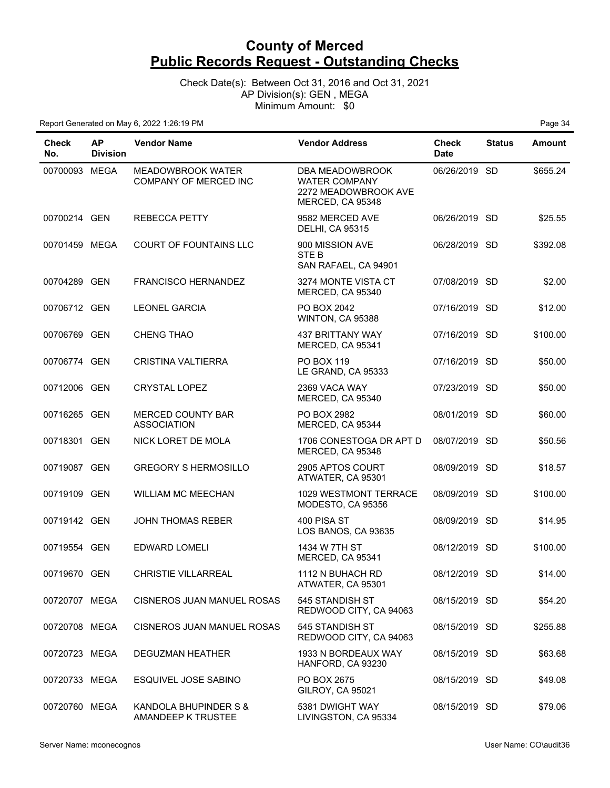Check Date(s): Between Oct 31, 2016 and Oct 31, 2021 AP Division(s): GEN , MEGA Minimum Amount: \$0

| <b>Check</b><br>No. | <b>AP</b><br><b>Division</b> | <b>Vendor Name</b>                          | <b>Vendor Address</b>                                                               | <b>Check</b><br><b>Date</b> | <b>Status</b> | Amount   |
|---------------------|------------------------------|---------------------------------------------|-------------------------------------------------------------------------------------|-----------------------------|---------------|----------|
| 00700093 MEGA       |                              | MEADOWBROOK WATER<br>COMPANY OF MERCED INC  | DBA MEADOWBROOK<br><b>WATER COMPANY</b><br>2272 MEADOWBROOK AVE<br>MERCED, CA 95348 | 06/26/2019 SD               |               | \$655.24 |
| 00700214 GEN        |                              | <b>REBECCA PETTY</b>                        | 9582 MERCED AVE<br><b>DELHI, CA 95315</b>                                           | 06/26/2019 SD               |               | \$25.55  |
| 00701459 MEGA       |                              | <b>COURT OF FOUNTAINS LLC</b>               | 900 MISSION AVE<br>STE B<br>SAN RAFAEL, CA 94901                                    | 06/28/2019 SD               |               | \$392.08 |
| 00704289 GEN        |                              | <b>FRANCISCO HERNANDEZ</b>                  | 3274 MONTE VISTA CT<br>MERCED, CA 95340                                             | 07/08/2019 SD               |               | \$2.00   |
| 00706712 GEN        |                              | <b>LEONEL GARCIA</b>                        | PO BOX 2042<br>WINTON, CA 95388                                                     | 07/16/2019 SD               |               | \$12.00  |
| 00706769 GEN        |                              | CHENG THAO                                  | <b>437 BRITTANY WAY</b><br>MERCED, CA 95341                                         | 07/16/2019 SD               |               | \$100.00 |
| 00706774 GEN        |                              | <b>CRISTINA VALTIERRA</b>                   | <b>PO BOX 119</b><br>LE GRAND, CA 95333                                             | 07/16/2019 SD               |               | \$50.00  |
| 00712006 GEN        |                              | <b>CRYSTAL LOPEZ</b>                        | 2369 VACA WAY<br>MERCED, CA 95340                                                   | 07/23/2019 SD               |               | \$50.00  |
| 00716265 GEN        |                              | MERCED COUNTY BAR<br><b>ASSOCIATION</b>     | PO BOX 2982<br>MERCED, CA 95344                                                     | 08/01/2019 SD               |               | \$60.00  |
| 00718301 GEN        |                              | NICK LORET DE MOLA                          | 1706 CONESTOGA DR APT D<br>MERCED, CA 95348                                         | 08/07/2019 SD               |               | \$50.56  |
| 00719087 GEN        |                              | <b>GREGORY S HERMOSILLO</b>                 | 2905 APTOS COURT<br>ATWATER, CA 95301                                               | 08/09/2019 SD               |               | \$18.57  |
| 00719109 GEN        |                              | <b>WILLIAM MC MEECHAN</b>                   | 1029 WESTMONT TERRACE<br>MODESTO, CA 95356                                          | 08/09/2019 SD               |               | \$100.00 |
| 00719142 GEN        |                              | <b>JOHN THOMAS REBER</b>                    | 400 PISA ST<br>LOS BANOS, CA 93635                                                  | 08/09/2019 SD               |               | \$14.95  |
| 00719554 GEN        |                              | <b>EDWARD LOMELI</b>                        | 1434 W 7TH ST<br>MERCED, CA 95341                                                   | 08/12/2019 SD               |               | \$100.00 |
| 00719670 GEN        |                              | CHRISTIE VILLARREAL                         | 1112 N BUHACH RD<br>ATWATER, CA 95301                                               | 08/12/2019 SD               |               | \$14.00  |
| 00720707 MEGA       |                              | CISNEROS JUAN MANUEL ROSAS                  | 545 STANDISH ST<br>REDWOOD CITY, CA 94063                                           | 08/15/2019 SD               |               | \$54.20  |
| 00720708 MEGA       |                              | CISNEROS JUAN MANUEL ROSAS                  | 545 STANDISH ST<br>REDWOOD CITY, CA 94063                                           | 08/15/2019 SD               |               | \$255.88 |
| 00720723 MEGA       |                              | DEGUZMAN HEATHER                            | 1933 N BORDEAUX WAY<br>HANFORD, CA 93230                                            | 08/15/2019 SD               |               | \$63.68  |
| 00720733 MEGA       |                              | ESQUIVEL JOSE SABINO                        | PO BOX 2675<br>GILROY, CA 95021                                                     | 08/15/2019 SD               |               | \$49.08  |
| 00720760 MEGA       |                              | KANDOLA BHUPINDER S &<br>AMANDEEP K TRUSTEE | 5381 DWIGHT WAY<br>LIVINGSTON, CA 95334                                             | 08/15/2019 SD               |               | \$79.06  |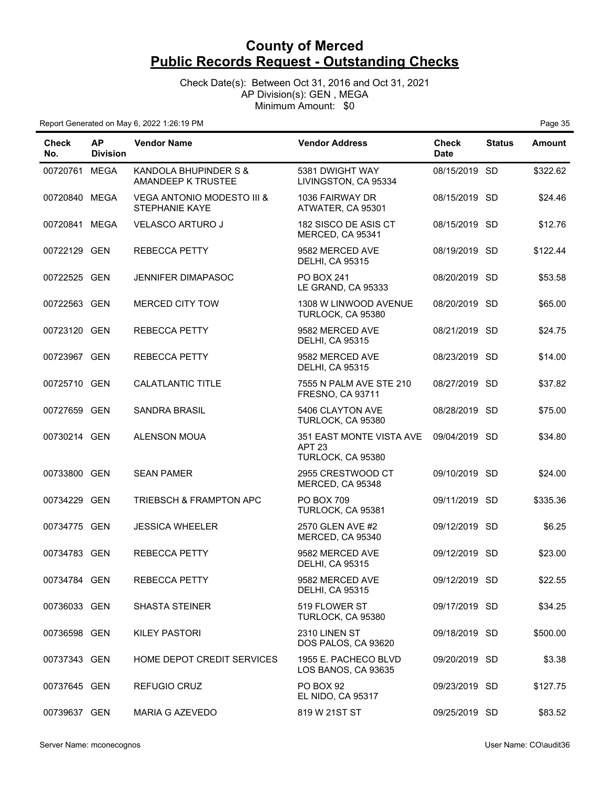Check Date(s): Between Oct 31, 2016 and Oct 31, 2021 AP Division(s): GEN , MEGA Minimum Amount: \$0

| <b>Check</b><br>No. | <b>AP</b><br><b>Division</b> | <b>Vendor Name</b>                                             | <b>Vendor Address</b>                                              | <b>Check</b><br><b>Date</b> | <b>Status</b> | Amount   |
|---------------------|------------------------------|----------------------------------------------------------------|--------------------------------------------------------------------|-----------------------------|---------------|----------|
| 00720761 MEGA       |                              | KANDOLA BHUPINDER S &<br>AMANDEEP K TRUSTEE                    | 5381 DWIGHT WAY<br>LIVINGSTON, CA 95334                            | 08/15/2019 SD               |               | \$322.62 |
| 00720840 MEGA       |                              | <b>VEGA ANTONIO MODESTO III &amp;</b><br><b>STEPHANIE KAYE</b> | 1036 FAIRWAY DR<br>ATWATER, CA 95301                               | 08/15/2019 SD               |               | \$24.46  |
| 00720841 MEGA       |                              | <b>VELASCO ARTURO J</b>                                        | 182 SISCO DE ASIS CT<br>MERCED, CA 95341                           | 08/15/2019 SD               |               | \$12.76  |
| 00722129 GEN        |                              | <b>REBECCA PETTY</b>                                           | 9582 MERCED AVE<br><b>DELHI, CA 95315</b>                          | 08/19/2019 SD               |               | \$122.44 |
| 00722525 GEN        |                              | <b>JENNIFER DIMAPASOC</b>                                      | <b>PO BOX 241</b><br>LE GRAND, CA 95333                            | 08/20/2019 SD               |               | \$53.58  |
| 00722563 GEN        |                              | MERCED CITY TOW                                                | 1308 W LINWOOD AVENUE<br>TURLOCK, CA 95380                         | 08/20/2019 SD               |               | \$65.00  |
| 00723120 GEN        |                              | <b>REBECCA PETTY</b>                                           | 9582 MERCED AVE<br><b>DELHI, CA 95315</b>                          | 08/21/2019 SD               |               | \$24.75  |
| 00723967 GEN        |                              | <b>REBECCA PETTY</b>                                           | 9582 MERCED AVE<br><b>DELHI, CA 95315</b>                          | 08/23/2019 SD               |               | \$14.00  |
| 00725710 GEN        |                              | CALATLANTIC TITLE                                              | 7555 N PALM AVE STE 210<br><b>FRESNO, CA 93711</b>                 | 08/27/2019 SD               |               | \$37.82  |
| 00727659 GEN        |                              | <b>SANDRA BRASIL</b>                                           | 5406 CLAYTON AVE<br>TURLOCK, CA 95380                              | 08/28/2019 SD               |               | \$75.00  |
| 00730214 GEN        |                              | <b>ALENSON MOUA</b>                                            | 351 EAST MONTE VISTA AVE<br>APT <sub>23</sub><br>TURLOCK, CA 95380 | 09/04/2019 SD               |               | \$34.80  |
| 00733800 GEN        |                              | <b>SEAN PAMER</b>                                              | 2955 CRESTWOOD CT<br>MERCED, CA 95348                              | 09/10/2019 SD               |               | \$24.00  |
| 00734229 GEN        |                              | <b>TRIEBSCH &amp; FRAMPTON APC</b>                             | <b>PO BOX 709</b><br>TURLOCK, CA 95381                             | 09/11/2019 SD               |               | \$335.36 |
| 00734775 GEN        |                              | <b>JESSICA WHEELER</b>                                         | 2570 GLEN AVE #2<br>MERCED, CA 95340                               | 09/12/2019 SD               |               | \$6.25   |
| 00734783 GEN        |                              | <b>REBECCA PETTY</b>                                           | 9582 MERCED AVE<br><b>DELHI, CA 95315</b>                          | 09/12/2019 SD               |               | \$23.00  |
| 00734784 GEN        |                              | REBECCA PETTY                                                  | 9582 MERCED AVE<br><b>DELHI, CA 95315</b>                          | 09/12/2019 SD               |               | \$22.55  |
| 00736033 GEN        |                              | <b>SHASTA STEINER</b>                                          | 519 FLOWER ST<br>TURLOCK, CA 95380                                 | 09/17/2019 SD               |               | \$34.25  |
| 00736598 GEN        |                              | <b>KILEY PASTORI</b>                                           | 2310 LINEN ST<br>DOS PALOS, CA 93620                               | 09/18/2019 SD               |               | \$500.00 |
| 00737343 GEN        |                              | HOME DEPOT CREDIT SERVICES                                     | 1955 E. PACHECO BLVD<br>LOS BANOS, CA 93635                        | 09/20/2019 SD               |               | \$3.38   |
| 00737645 GEN        |                              | <b>REFUGIO CRUZ</b>                                            | PO BOX 92<br>EL NIDO, CA 95317                                     | 09/23/2019 SD               |               | \$127.75 |
| 00739637 GEN        |                              | MARIA G AZEVEDO                                                | 819 W 21ST ST                                                      | 09/25/2019 SD               |               | \$83.52  |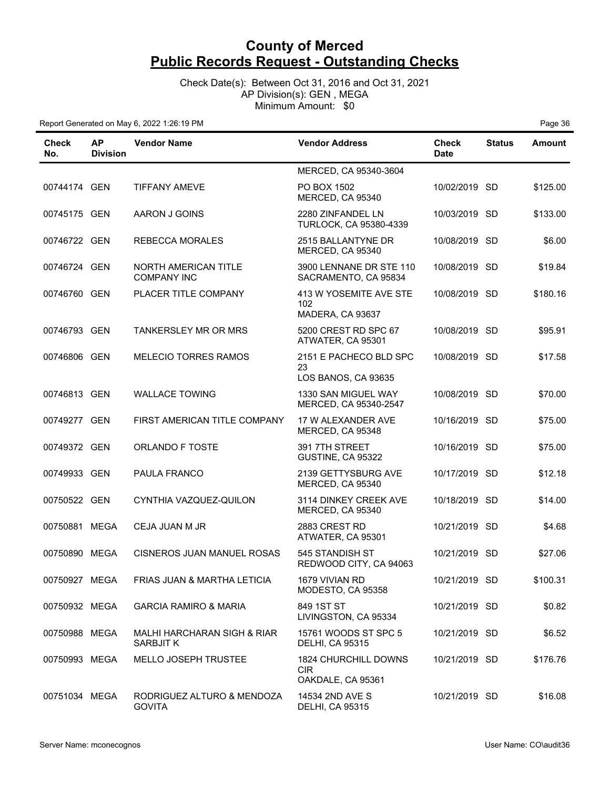Check Date(s): Between Oct 31, 2016 and Oct 31, 2021 AP Division(s): GEN , MEGA Minimum Amount: \$0

| Check<br>No.  | <b>AP</b><br><b>Division</b> | <b>Vendor Name</b>                                  | <b>Vendor Address</b>                                          | <b>Check</b><br><b>Date</b> | <b>Status</b> | <b>Amount</b> |
|---------------|------------------------------|-----------------------------------------------------|----------------------------------------------------------------|-----------------------------|---------------|---------------|
|               |                              |                                                     | MERCED, CA 95340-3604                                          |                             |               |               |
| 00744174 GEN  |                              | TIFFANY AMEVE                                       | PO BOX 1502<br>MERCED, CA 95340                                | 10/02/2019 SD               |               | \$125.00      |
| 00745175 GEN  |                              | AARON J GOINS                                       | 2280 ZINFANDEL LN<br>TURLOCK, CA 95380-4339                    | 10/03/2019 SD               |               | \$133.00      |
| 00746722 GEN  |                              | <b>REBECCA MORALES</b>                              | 2515 BALLANTYNE DR<br>MERCED, CA 95340                         | 10/08/2019 SD               |               | \$6.00        |
| 00746724 GEN  |                              | NORTH AMERICAN TITLE<br><b>COMPANY INC</b>          | 3900 LENNANE DR STE 110<br>SACRAMENTO, CA 95834                | 10/08/2019 SD               |               | \$19.84       |
| 00746760 GEN  |                              | PLACER TITLE COMPANY                                | 413 W YOSEMITE AVE STE<br>102<br>MADERA, CA 93637              | 10/08/2019 SD               |               | \$180.16      |
| 00746793 GEN  |                              | <b>TANKERSLEY MR OR MRS</b>                         | 5200 CREST RD SPC 67<br>ATWATER, CA 95301                      | 10/08/2019 SD               |               | \$95.91       |
| 00746806 GEN  |                              | <b>MELECIO TORRES RAMOS</b>                         | 2151 E PACHECO BLD SPC<br>23<br>LOS BANOS, CA 93635            | 10/08/2019 SD               |               | \$17.58       |
| 00746813 GEN  |                              | <b>WALLACE TOWING</b>                               | 1330 SAN MIGUEL WAY<br>MERCED, CA 95340-2547                   | 10/08/2019 SD               |               | \$70.00       |
| 00749277 GEN  |                              | FIRST AMERICAN TITLE COMPANY                        | 17 W ALEXANDER AVE<br>MERCED, CA 95348                         | 10/16/2019 SD               |               | \$75.00       |
| 00749372 GEN  |                              | <b>ORLANDO F TOSTE</b>                              | 391 7TH STREET<br>GUSTINE, CA 95322                            | 10/16/2019 SD               |               | \$75.00       |
| 00749933 GEN  |                              | PAULA FRANCO                                        | 2139 GETTYSBURG AVE<br>MERCED, CA 95340                        | 10/17/2019 SD               |               | \$12.18       |
| 00750522 GEN  |                              | CYNTHIA VAZQUEZ-QUILON                              | 3114 DINKEY CREEK AVE<br>MERCED, CA 95340                      | 10/18/2019 SD               |               | \$14.00       |
| 00750881 MEGA |                              | CEJA JUAN M JR                                      | 2883 CREST RD<br>ATWATER, CA 95301                             | 10/21/2019 SD               |               | \$4.68        |
| 00750890 MEGA |                              | CISNEROS JUAN MANUEL ROSAS                          | 545 STANDISH ST<br>REDWOOD CITY, CA 94063                      | 10/21/2019 SD               |               | \$27.06       |
| 00750927 MEGA |                              | FRIAS JUAN & MARTHA LETICIA                         | 1679 VIVIAN RD<br>MODESTO, CA 95358                            | 10/21/2019 SD               |               | \$100.31      |
| 00750932 MEGA |                              | <b>GARCIA RAMIRO &amp; MARIA</b>                    | 849 1ST ST<br>LIVINGSTON, CA 95334                             | 10/21/2019 SD               |               | \$0.82        |
| 00750988 MEGA |                              | <b>MALHI HARCHARAN SIGH &amp; RIAR</b><br>SARBJIT K | 15761 WOODS ST SPC 5<br><b>DELHI, CA 95315</b>                 | 10/21/2019 SD               |               | \$6.52        |
| 00750993 MEGA |                              | <b>MELLO JOSEPH TRUSTEE</b>                         | <b>1824 CHURCHILL DOWNS</b><br><b>CIR</b><br>OAKDALE, CA 95361 | 10/21/2019 SD               |               | \$176.76      |
| 00751034 MEGA |                              | RODRIGUEZ ALTURO & MENDOZA<br><b>GOVITA</b>         | 14534 2ND AVE S<br><b>DELHI, CA 95315</b>                      | 10/21/2019 SD               |               | \$16.08       |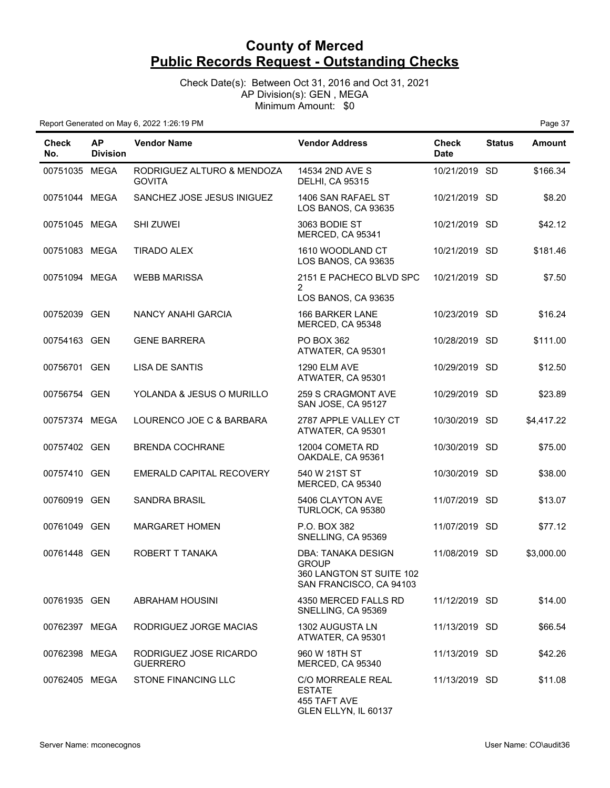Check Date(s): Between Oct 31, 2016 and Oct 31, 2021 AP Division(s): GEN , MEGA Minimum Amount: \$0

| Check<br>No.  | <b>AP</b><br><b>Division</b> | <b>Vendor Name</b>                          | <b>Vendor Address</b>                                                                            | <b>Check</b><br><b>Date</b> | <b>Status</b> | Amount     |
|---------------|------------------------------|---------------------------------------------|--------------------------------------------------------------------------------------------------|-----------------------------|---------------|------------|
| 00751035 MEGA |                              | RODRIGUEZ ALTURO & MENDOZA<br><b>GOVITA</b> | 14534 2ND AVE S<br><b>DELHI, CA 95315</b>                                                        | 10/21/2019 SD               |               | \$166.34   |
| 00751044 MEGA |                              | SANCHEZ JOSE JESUS INIGUEZ                  | 1406 SAN RAFAEL ST<br>LOS BANOS, CA 93635                                                        | 10/21/2019 SD               |               | \$8.20     |
| 00751045 MEGA |                              | <b>SHI ZUWEI</b>                            | 3063 BODIE ST<br>MERCED, CA 95341                                                                | 10/21/2019 SD               |               | \$42.12    |
| 00751083 MEGA |                              | <b>TIRADO ALEX</b>                          | 1610 WOODLAND CT<br>LOS BANOS, CA 93635                                                          | 10/21/2019 SD               |               | \$181.46   |
| 00751094 MEGA |                              | <b>WEBB MARISSA</b>                         | 2151 E PACHECO BLVD SPC                                                                          | 10/21/2019 SD               |               | \$7.50     |
|               |                              |                                             | $\overline{2}$<br>LOS BANOS, CA 93635                                                            |                             |               |            |
| 00752039 GEN  |                              | NANCY ANAHI GARCIA                          | 166 BARKER LANE<br>MERCED, CA 95348                                                              | 10/23/2019 SD               |               | \$16.24    |
| 00754163 GEN  |                              | <b>GENE BARRERA</b>                         | PO BOX 362<br>ATWATER, CA 95301                                                                  | 10/28/2019 SD               |               | \$111.00   |
| 00756701 GEN  |                              | <b>LISA DE SANTIS</b>                       | <b>1290 ELM AVE</b><br>ATWATER, CA 95301                                                         | 10/29/2019 SD               |               | \$12.50    |
| 00756754 GEN  |                              | YOLANDA & JESUS O MURILLO                   | <b>259 S CRAGMONT AVE</b><br>SAN JOSE, CA 95127                                                  | 10/29/2019 SD               |               | \$23.89    |
| 00757374 MEGA |                              | LOURENCO JOE C & BARBARA                    | 2787 APPLE VALLEY CT<br>ATWATER, CA 95301                                                        | 10/30/2019 SD               |               | \$4,417.22 |
| 00757402 GEN  |                              | <b>BRENDA COCHRANE</b>                      | 12004 COMETA RD<br>OAKDALE, CA 95361                                                             | 10/30/2019 SD               |               | \$75.00    |
| 00757410 GEN  |                              | EMERALD CAPITAL RECOVERY                    | 540 W 21ST ST<br>MERCED, CA 95340                                                                | 10/30/2019 SD               |               | \$38.00    |
| 00760919 GEN  |                              | <b>SANDRA BRASIL</b>                        | 5406 CLAYTON AVE<br>TURLOCK, CA 95380                                                            | 11/07/2019 SD               |               | \$13.07    |
| 00761049 GEN  |                              | <b>MARGARET HOMEN</b>                       | P.O. BOX 382<br>SNELLING, CA 95369                                                               | 11/07/2019 SD               |               | \$77.12    |
| 00761448 GEN  |                              | ROBERT T TANAKA                             | <b>DBA: TANAKA DESIGN</b><br><b>GROUP</b><br>360 LANGTON ST SUITE 102<br>SAN FRANCISCO, CA 94103 | 11/08/2019 SD               |               | \$3,000.00 |
| 00761935 GEN  |                              | <b>ABRAHAM HOUSINI</b>                      | 4350 MERCED FALLS RD<br>SNELLING, CA 95369                                                       | 11/12/2019 SD               |               | \$14.00    |
| 00762397 MEGA |                              | RODRIGUEZ JORGE MACIAS                      | 1302 AUGUSTA LN<br>ATWATER, CA 95301                                                             | 11/13/2019 SD               |               | \$66.54    |
| 00762398 MEGA |                              | RODRIGUEZ JOSE RICARDO<br><b>GUERRERO</b>   | 960 W 18TH ST<br>MERCED, CA 95340                                                                | 11/13/2019 SD               |               | \$42.26    |
| 00762405 MEGA |                              | <b>STONE FINANCING LLC</b>                  | <b>C/O MORREALE REAL</b><br><b>ESTATE</b><br>455 TAFT AVE<br>GLEN ELLYN, IL 60137                | 11/13/2019 SD               |               | \$11.08    |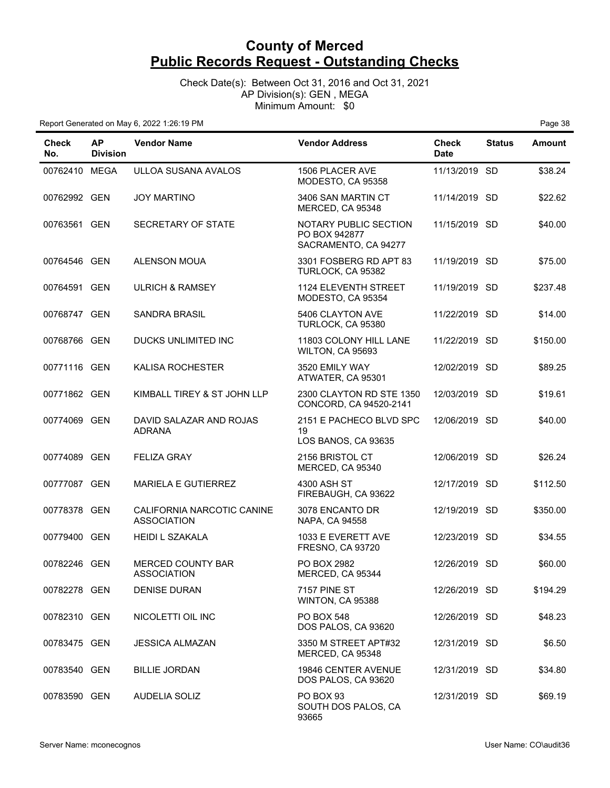Check Date(s): Between Oct 31, 2016 and Oct 31, 2021 AP Division(s): GEN , MEGA Minimum Amount: \$0

| Check<br>No.  | <b>AP</b><br><b>Division</b> | <b>Vendor Name</b>                               | <b>Vendor Address</b>                                          | <b>Check</b><br><b>Date</b> | <b>Status</b> | Amount   |
|---------------|------------------------------|--------------------------------------------------|----------------------------------------------------------------|-----------------------------|---------------|----------|
| 00762410 MEGA |                              | ULLOA SUSANA AVALOS                              | 1506 PLACER AVE<br>MODESTO, CA 95358                           | 11/13/2019 SD               |               | \$38.24  |
| 00762992 GEN  |                              | <b>JOY MARTINO</b>                               | 3406 SAN MARTIN CT<br>MERCED, CA 95348                         | 11/14/2019 SD               |               | \$22.62  |
| 00763561 GEN  |                              | SECRETARY OF STATE                               | NOTARY PUBLIC SECTION<br>PO BOX 942877<br>SACRAMENTO, CA 94277 | 11/15/2019 SD               |               | \$40.00  |
| 00764546 GEN  |                              | <b>ALENSON MOUA</b>                              | 3301 FOSBERG RD APT 83<br>TURLOCK, CA 95382                    | 11/19/2019 SD               |               | \$75.00  |
| 00764591 GEN  |                              | <b>ULRICH &amp; RAMSEY</b>                       | <b>1124 ELEVENTH STREET</b><br>MODESTO, CA 95354               | 11/19/2019 SD               |               | \$237.48 |
| 00768747 GEN  |                              | <b>SANDRA BRASIL</b>                             | 5406 CLAYTON AVE<br>TURLOCK, CA 95380                          | 11/22/2019 SD               |               | \$14.00  |
| 00768766 GEN  |                              | DUCKS UNLIMITED INC                              | 11803 COLONY HILL LANE<br>WILTON, CA 95693                     | 11/22/2019 SD               |               | \$150.00 |
| 00771116 GEN  |                              | <b>KALISA ROCHESTER</b>                          | 3520 EMILY WAY<br>ATWATER, CA 95301                            | 12/02/2019 SD               |               | \$89.25  |
| 00771862 GEN  |                              | KIMBALL TIREY & ST JOHN LLP                      | 2300 CLAYTON RD STE 1350<br>CONCORD, CA 94520-2141             | 12/03/2019 SD               |               | \$19.61  |
| 00774069 GEN  |                              | DAVID SALAZAR AND ROJAS<br><b>ADRANA</b>         | 2151 E PACHECO BLVD SPC<br>19<br>LOS BANOS, CA 93635           | 12/06/2019 SD               |               | \$40.00  |
| 00774089 GEN  |                              | <b>FELIZA GRAY</b>                               | 2156 BRISTOL CT<br>MERCED, CA 95340                            | 12/06/2019 SD               |               | \$26.24  |
| 00777087 GEN  |                              | MARIELA E GUTIERREZ                              | 4300 ASH ST<br>FIREBAUGH, CA 93622                             | 12/17/2019 SD               |               | \$112.50 |
| 00778378 GEN  |                              | CALIFORNIA NARCOTIC CANINE<br><b>ASSOCIATION</b> | 3078 ENCANTO DR<br>NAPA, CA 94558                              | 12/19/2019 SD               |               | \$350.00 |
| 00779400 GEN  |                              | <b>HEIDI L SZAKALA</b>                           | 1033 E EVERETT AVE<br>FRESNO, CA 93720                         | 12/23/2019 SD               |               | \$34.55  |
| 00782246 GEN  |                              | <b>MERCED COUNTY BAR</b><br><b>ASSOCIATION</b>   | PO BOX 2982<br>MERCED, CA 95344                                | 12/26/2019 SD               |               | \$60.00  |
| 00782278 GEN  |                              | <b>DENISE DURAN</b>                              | <b>7157 PINE ST</b><br>WINTON, CA 95388                        | 12/26/2019 SD               |               | \$194.29 |
| 00782310 GEN  |                              | NICOLETTI OIL INC                                | PO BOX 548<br>DOS PALOS, CA 93620                              | 12/26/2019 SD               |               | \$48.23  |
| 00783475 GEN  |                              | <b>JESSICA ALMAZAN</b>                           | 3350 M STREET APT#32<br>MERCED, CA 95348                       | 12/31/2019 SD               |               | \$6.50   |
| 00783540 GEN  |                              | <b>BILLIE JORDAN</b>                             | 19846 CENTER AVENUE<br>DOS PALOS, CA 93620                     | 12/31/2019 SD               |               | \$34.80  |
| 00783590 GEN  |                              | <b>AUDELIA SOLIZ</b>                             | PO BOX 93<br>SOUTH DOS PALOS, CA<br>93665                      | 12/31/2019 SD               |               | \$69.19  |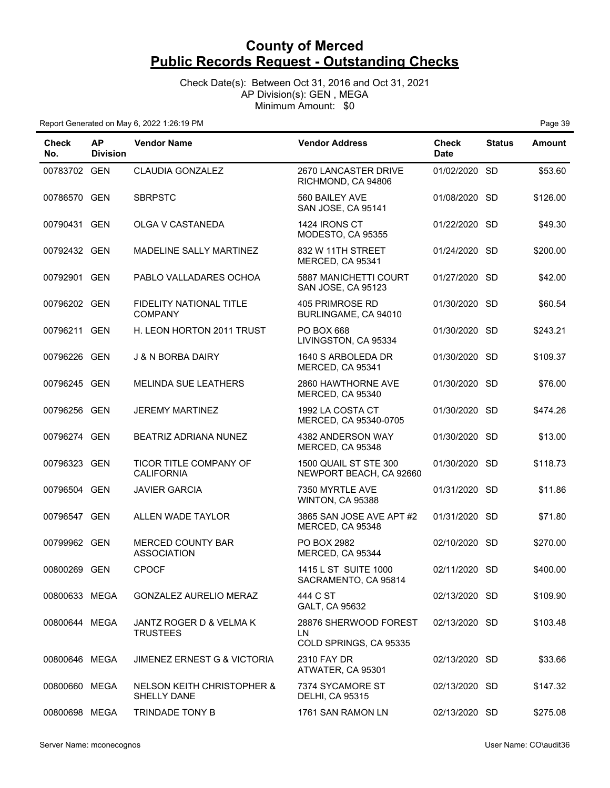Check Date(s): Between Oct 31, 2016 and Oct 31, 2021 AP Division(s): GEN , MEGA Minimum Amount: \$0

| <b>Check</b><br>No. | <b>AP</b><br><b>Division</b> | <b>Vendor Name</b>                          | <b>Vendor Address</b>                                   | <b>Check</b><br><b>Date</b> | <b>Status</b> | <b>Amount</b> |
|---------------------|------------------------------|---------------------------------------------|---------------------------------------------------------|-----------------------------|---------------|---------------|
| 00783702 GEN        |                              | <b>CLAUDIA GONZALEZ</b>                     | 2670 LANCASTER DRIVE<br>RICHMOND, CA 94806              | 01/02/2020 SD               |               | \$53.60       |
| 00786570 GEN        |                              | <b>SBRPSTC</b>                              | 560 BAILEY AVE<br>SAN JOSE, CA 95141                    | 01/08/2020 SD               |               | \$126.00      |
| 00790431 GEN        |                              | OLGA V CASTANEDA                            | 1424 IRONS CT<br>MODESTO, CA 95355                      | 01/22/2020 SD               |               | \$49.30       |
| 00792432 GEN        |                              | MADELINE SALLY MARTINEZ                     | 832 W 11TH STREET<br>MERCED, CA 95341                   | 01/24/2020 SD               |               | \$200.00      |
| 00792901 GEN        |                              | PABLO VALLADARES OCHOA                      | 5887 MANICHETTI COURT<br>SAN JOSE, CA 95123             | 01/27/2020 SD               |               | \$42.00       |
| 00796202 GEN        |                              | FIDELITY NATIONAL TITLE<br><b>COMPANY</b>   | 405 PRIMROSE RD<br>BURLINGAME, CA 94010                 | 01/30/2020 SD               |               | \$60.54       |
| 00796211 GEN        |                              | H. LEON HORTON 2011 TRUST                   | <b>PO BOX 668</b><br>LIVINGSTON, CA 95334               | 01/30/2020 SD               |               | \$243.21      |
| 00796226 GEN        |                              | <b>J &amp; N BORBA DAIRY</b>                | 1640 S ARBOLEDA DR<br>MERCED, CA 95341                  | 01/30/2020 SD               |               | \$109.37      |
| 00796245 GEN        |                              | <b>MELINDA SUE LEATHERS</b>                 | 2860 HAWTHORNE AVE<br>MERCED, CA 95340                  | 01/30/2020 SD               |               | \$76.00       |
| 00796256 GEN        |                              | <b>JEREMY MARTINEZ</b>                      | 1992 LA COSTA CT<br>MERCED, CA 95340-0705               | 01/30/2020 SD               |               | \$474.26      |
| 00796274 GEN        |                              | BEATRIZ ADRIANA NUNEZ                       | 4382 ANDERSON WAY<br>MERCED, CA 95348                   | 01/30/2020 SD               |               | \$13.00       |
| 00796323 GEN        |                              | TICOR TITLE COMPANY OF<br><b>CALIFORNIA</b> | <b>1500 QUAIL ST STE 300</b><br>NEWPORT BEACH, CA 92660 | 01/30/2020                  | -SD           | \$118.73      |
| 00796504 GEN        |                              | <b>JAVIER GARCIA</b>                        | 7350 MYRTLE AVE<br>WINTON, CA 95388                     | 01/31/2020 SD               |               | \$11.86       |
| 00796547 GEN        |                              | ALLEN WADE TAYLOR                           | 3865 SAN JOSE AVE APT #2<br>MERCED, CA 95348            | 01/31/2020 SD               |               | \$71.80       |
| 00799962 GEN        |                              | MERCED COUNTY BAR<br><b>ASSOCIATION</b>     | PO BOX 2982<br>MERCED, CA 95344                         | 02/10/2020 SD               |               | \$270.00      |
| 00800269 GEN        |                              | <b>CPOCF</b>                                | 1415 L ST SUITE 1000<br>SACRAMENTO, CA 95814            | 02/11/2020 SD               |               | \$400.00      |
| 00800633 MEGA       |                              | GONZALEZ AURELIO MERAZ                      | 444 C ST<br>GALT, CA 95632                              | 02/13/2020 SD               |               | \$109.90      |
| 00800644 MEGA       |                              | JANTZ ROGER D & VELMA K<br><b>TRUSTEES</b>  | 28876 SHERWOOD FOREST<br>LN<br>COLD SPRINGS, CA 95335   | 02/13/2020 SD               |               | \$103.48      |
| 00800646 MEGA       |                              | <b>JIMENEZ ERNEST G &amp; VICTORIA</b>      | 2310 FAY DR<br>ATWATER, CA 95301                        | 02/13/2020 SD               |               | \$33.66       |
| 00800660 MEGA       |                              | NELSON KEITH CHRISTOPHER &<br>SHELLY DANE   | 7374 SYCAMORE ST<br><b>DELHI, CA 95315</b>              | 02/13/2020 SD               |               | \$147.32      |
| 00800698 MEGA       |                              | TRINDADE TONY B                             | 1761 SAN RAMON LN                                       | 02/13/2020 SD               |               | \$275.08      |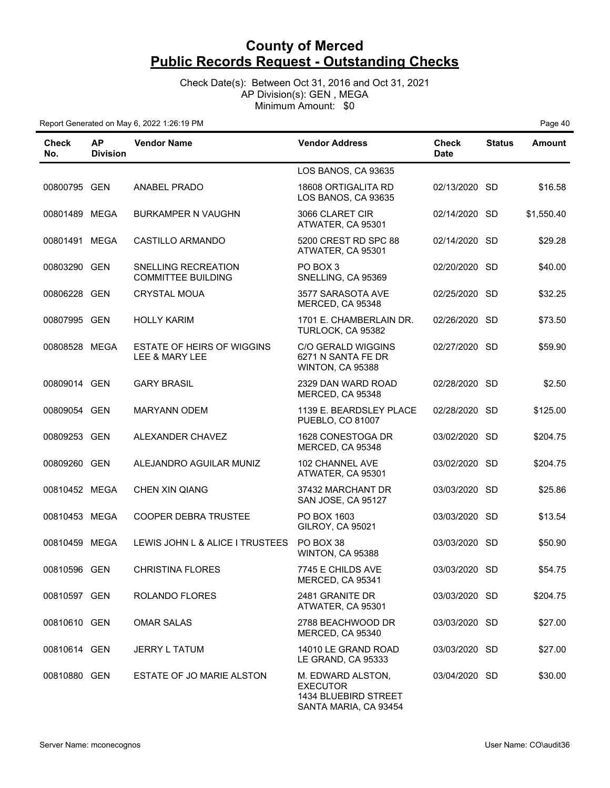Check Date(s): Between Oct 31, 2016 and Oct 31, 2021 AP Division(s): GEN , MEGA Minimum Amount: \$0

| Check<br>No.  | <b>AP</b><br><b>Division</b> | <b>Vendor Name</b>                                  | <b>Vendor Address</b>                                                                 | Check<br><b>Date</b> | <b>Status</b> | <b>Amount</b> |
|---------------|------------------------------|-----------------------------------------------------|---------------------------------------------------------------------------------------|----------------------|---------------|---------------|
|               |                              |                                                     | LOS BANOS, CA 93635                                                                   |                      |               |               |
| 00800795 GEN  |                              | <b>ANABEL PRADO</b>                                 | 18608 ORTIGALITA RD<br>LOS BANOS, CA 93635                                            | 02/13/2020 SD        |               | \$16.58       |
| 00801489 MEGA |                              | <b>BURKAMPER N VAUGHN</b>                           | 3066 CLARET CIR<br>ATWATER, CA 95301                                                  | 02/14/2020 SD        |               | \$1,550.40    |
| 00801491 MEGA |                              | CASTILLO ARMANDO                                    | 5200 CREST RD SPC 88<br>ATWATER, CA 95301                                             | 02/14/2020 SD        |               | \$29.28       |
| 00803290 GEN  |                              | SNELLING RECREATION<br><b>COMMITTEE BUILDING</b>    | PO BOX 3<br>SNELLING, CA 95369                                                        | 02/20/2020 SD        |               | \$40.00       |
| 00806228 GEN  |                              | <b>CRYSTAL MOUA</b>                                 | 3577 SARASOTA AVE<br>MERCED, CA 95348                                                 | 02/25/2020 SD        |               | \$32.25       |
| 00807995 GEN  |                              | <b>HOLLY KARIM</b>                                  | 1701 E. CHAMBERLAIN DR.<br>TURLOCK, CA 95382                                          | 02/26/2020 SD        |               | \$73.50       |
| 00808528 MEGA |                              | <b>ESTATE OF HEIRS OF WIGGINS</b><br>LEE & MARY LEE | <b>C/O GERALD WIGGINS</b><br>6271 N SANTA FE DR<br>WINTON, CA 95388                   | 02/27/2020 SD        |               | \$59.90       |
| 00809014 GEN  |                              | <b>GARY BRASIL</b>                                  | 2329 DAN WARD ROAD<br>MERCED, CA 95348                                                | 02/28/2020 SD        |               | \$2.50        |
| 00809054 GEN  |                              | <b>MARYANN ODEM</b>                                 | 1139 E. BEARDSLEY PLACE<br>PUEBLO, CO 81007                                           | 02/28/2020 SD        |               | \$125.00      |
| 00809253 GEN  |                              | ALEXANDER CHAVEZ                                    | 1628 CONESTOGA DR<br>MERCED, CA 95348                                                 | 03/02/2020 SD        |               | \$204.75      |
| 00809260 GEN  |                              | ALEJANDRO AGUILAR MUNIZ                             | 102 CHANNEL AVE<br>ATWATER, CA 95301                                                  | 03/02/2020 SD        |               | \$204.75      |
| 00810452 MEGA |                              | CHEN XIN QIANG                                      | 37432 MARCHANT DR<br>SAN JOSE, CA 95127                                               | 03/03/2020 SD        |               | \$25.86       |
| 00810453 MEGA |                              | <b>COOPER DEBRA TRUSTEE</b>                         | PO BOX 1603<br>GILROY, CA 95021                                                       | 03/03/2020 SD        |               | \$13.54       |
| 00810459 MEGA |                              | LEWIS JOHN L & ALICE I TRUSTEES                     | PO BOX 38<br>WINTON, CA 95388                                                         | 03/03/2020 SD        |               | \$50.90       |
| 00810596 GEN  |                              | <b>CHRISTINA FLORES</b>                             | 7745 E CHILDS AVE<br>MERCED, CA 95341                                                 | 03/03/2020 SD        |               | \$54.75       |
| 00810597 GEN  |                              | <b>ROLANDO FLORES</b>                               | 2481 GRANITE DR<br>ATWATER, CA 95301                                                  | 03/03/2020 SD        |               | \$204.75      |
| 00810610 GEN  |                              | <b>OMAR SALAS</b>                                   | 2788 BEACHWOOD DR<br>MERCED, CA 95340                                                 | 03/03/2020 SD        |               | \$27.00       |
| 00810614 GEN  |                              | <b>JERRY L TATUM</b>                                | 14010 LE GRAND ROAD<br>LE GRAND, CA 95333                                             | 03/03/2020 SD        |               | \$27.00       |
| 00810880 GEN  |                              | ESTATE OF JO MARIE ALSTON                           | M. EDWARD ALSTON,<br><b>EXECUTOR</b><br>1434 BLUEBIRD STREET<br>SANTA MARIA, CA 93454 | 03/04/2020 SD        |               | \$30.00       |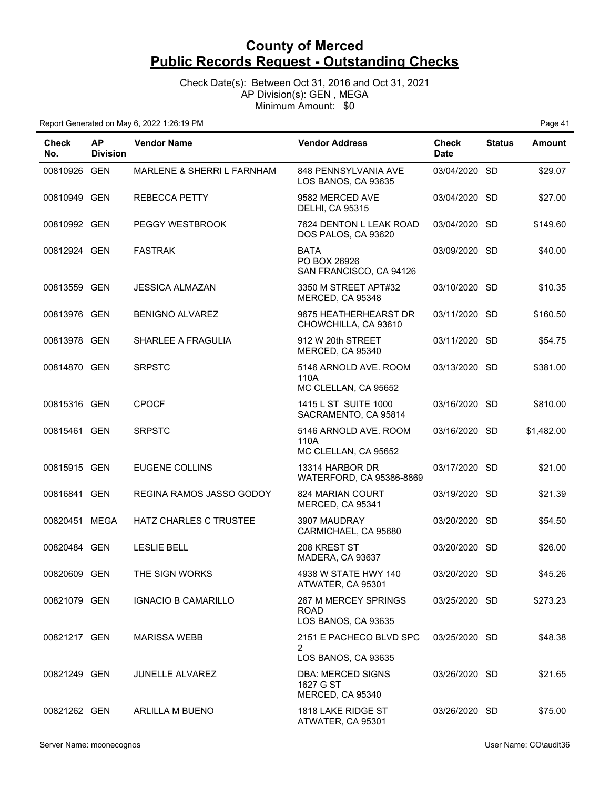Check Date(s): Between Oct 31, 2016 and Oct 31, 2021 AP Division(s): GEN , MEGA Minimum Amount: \$0

| <b>Check</b><br>No. | <b>AP</b><br><b>Division</b> | <b>Vendor Name</b>              | <b>Vendor Address</b>                                      | <b>Check</b><br><b>Date</b> | <b>Status</b> | Amount     |
|---------------------|------------------------------|---------------------------------|------------------------------------------------------------|-----------------------------|---------------|------------|
| 00810926 GEN        |                              | MARLENE & SHERRI L FARNHAM      | 848 PENNSYLVANIA AVE<br>LOS BANOS, CA 93635                | 03/04/2020 SD               |               | \$29.07    |
| 00810949 GEN        |                              | <b>REBECCA PETTY</b>            | 9582 MERCED AVE<br><b>DELHI, CA 95315</b>                  | 03/04/2020 SD               |               | \$27.00    |
| 00810992 GEN        |                              | PEGGY WESTBROOK                 | 7624 DENTON L LEAK ROAD<br>DOS PALOS, CA 93620             | 03/04/2020 SD               |               | \$149.60   |
| 00812924 GEN        |                              | <b>FASTRAK</b>                  | <b>BATA</b><br>PO BOX 26926<br>SAN FRANCISCO, CA 94126     | 03/09/2020 SD               |               | \$40.00    |
| 00813559 GEN        |                              | <b>JESSICA ALMAZAN</b>          | 3350 M STREET APT#32<br>MERCED, CA 95348                   | 03/10/2020 SD               |               | \$10.35    |
| 00813976 GEN        |                              | <b>BENIGNO ALVAREZ</b>          | 9675 HEATHERHEARST DR<br>CHOWCHILLA, CA 93610              | 03/11/2020 SD               |               | \$160.50   |
| 00813978 GEN        |                              | <b>SHARLEE A FRAGULIA</b>       | 912 W 20th STREET<br>MERCED, CA 95340                      | 03/11/2020 SD               |               | \$54.75    |
| 00814870 GEN        |                              | <b>SRPSTC</b>                   | 5146 ARNOLD AVE, ROOM<br>110A<br>MC CLELLAN, CA 95652      | 03/13/2020 SD               |               | \$381.00   |
| 00815316 GEN        |                              | <b>CPOCF</b>                    | 1415 L ST SUITE 1000<br>SACRAMENTO, CA 95814               | 03/16/2020 SD               |               | \$810.00   |
| 00815461 GEN        |                              | <b>SRPSTC</b>                   | 5146 ARNOLD AVE. ROOM<br>110A<br>MC CLELLAN, CA 95652      | 03/16/2020 SD               |               | \$1,482.00 |
| 00815915 GEN        |                              | <b>EUGENE COLLINS</b>           | 13314 HARBOR DR<br>WATERFORD, CA 95386-8869                | 03/17/2020 SD               |               | \$21.00    |
| 00816841 GEN        |                              | <b>REGINA RAMOS JASSO GODOY</b> | 824 MARIAN COURT<br>MERCED, CA 95341                       | 03/19/2020 SD               |               | \$21.39    |
| 00820451 MEGA       |                              | HATZ CHARLES C TRUSTEE          | 3907 MAUDRAY<br>CARMICHAEL, CA 95680                       | 03/20/2020 SD               |               | \$54.50    |
| 00820484 GEN        |                              | <b>LESLIE BELL</b>              | 208 KREST ST<br>MADERA, CA 93637                           | 03/20/2020 SD               |               | \$26.00    |
| 00820609 GEN        |                              | THE SIGN WORKS                  | 4938 W STATE HWY 140<br>ATWATER, CA 95301                  | 03/20/2020 SD               |               | \$45.26    |
| 00821079 GEN        |                              | <b>IGNACIO B CAMARILLO</b>      | 267 M MERCEY SPRINGS<br><b>ROAD</b><br>LOS BANOS, CA 93635 | 03/25/2020 SD               |               | \$273.23   |
| 00821217 GEN        |                              | <b>MARISSA WEBB</b>             | 2151 E PACHECO BLVD SPC<br>2<br>LOS BANOS, CA 93635        | 03/25/2020 SD               |               | \$48.38    |
| 00821249 GEN        |                              | <b>JUNELLE ALVAREZ</b>          | <b>DBA: MERCED SIGNS</b><br>1627 G ST<br>MERCED, CA 95340  | 03/26/2020 SD               |               | \$21.65    |
| 00821262 GEN        |                              | ARLILLA M BUENO                 | 1818 LAKE RIDGE ST<br>ATWATER, CA 95301                    | 03/26/2020 SD               |               | \$75.00    |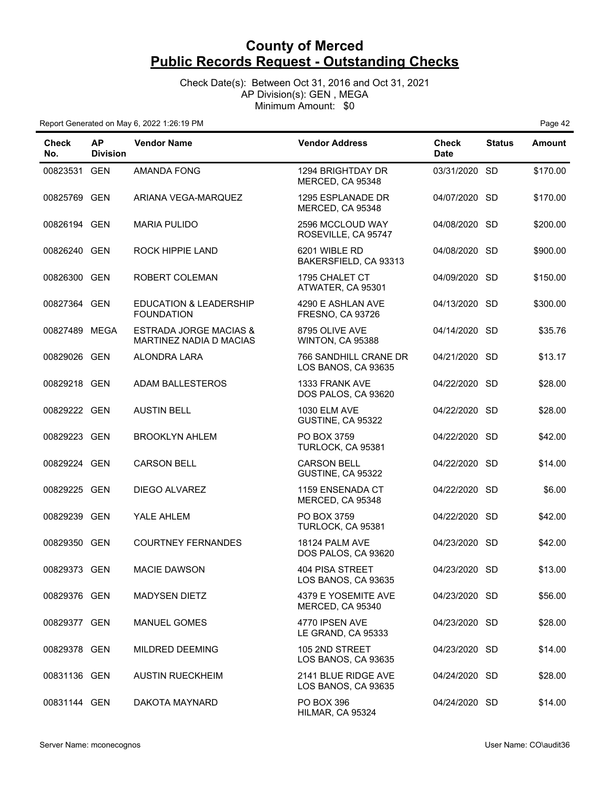Check Date(s): Between Oct 31, 2016 and Oct 31, 2021 AP Division(s): GEN , MEGA Minimum Amount: \$0

| <b>Check</b><br>No. | <b>AP</b><br><b>Division</b> | <b>Vendor Name</b>                                           | <b>Vendor Address</b>                         | <b>Check</b><br><b>Date</b> | <b>Status</b> | Amount   |
|---------------------|------------------------------|--------------------------------------------------------------|-----------------------------------------------|-----------------------------|---------------|----------|
| 00823531 GEN        |                              | <b>AMANDA FONG</b>                                           | 1294 BRIGHTDAY DR<br>MERCED, CA 95348         | 03/31/2020 SD               |               | \$170.00 |
| 00825769 GEN        |                              | ARIANA VEGA-MARQUEZ                                          | 1295 ESPLANADE DR<br>MERCED, CA 95348         | 04/07/2020 SD               |               | \$170.00 |
| 00826194 GEN        |                              | <b>MARIA PULIDO</b>                                          | 2596 MCCLOUD WAY<br>ROSEVILLE, CA 95747       | 04/08/2020 SD               |               | \$200.00 |
| 00826240 GEN        |                              | ROCK HIPPIE LAND                                             | 6201 WIBLE RD<br>BAKERSFIELD, CA 93313        | 04/08/2020 SD               |               | \$900.00 |
| 00826300 GEN        |                              | ROBERT COLEMAN                                               | 1795 CHALET CT<br>ATWATER, CA 95301           | 04/09/2020 SD               |               | \$150.00 |
| 00827364 GEN        |                              | <b>EDUCATION &amp; LEADERSHIP</b><br><b>FOUNDATION</b>       | 4290 E ASHLAN AVE<br><b>FRESNO, CA 93726</b>  | 04/13/2020 SD               |               | \$300.00 |
| 00827489 MEGA       |                              | <b>ESTRADA JORGE MACIAS &amp;</b><br>MARTINEZ NADIA D MACIAS | 8795 OLIVE AVE<br>WINTON, CA 95388            | 04/14/2020 SD               |               | \$35.76  |
| 00829026 GEN        |                              | ALONDRA LARA                                                 | 766 SANDHILL CRANE DR<br>LOS BANOS, CA 93635  | 04/21/2020 SD               |               | \$13.17  |
| 00829218 GEN        |                              | ADAM BALLESTEROS                                             | 1333 FRANK AVE<br>DOS PALOS, CA 93620         | 04/22/2020 SD               |               | \$28.00  |
| 00829222 GEN        |                              | <b>AUSTIN BELL</b>                                           | <b>1030 ELM AVE</b><br>GUSTINE, CA 95322      | 04/22/2020 SD               |               | \$28.00  |
| 00829223 GEN        |                              | <b>BROOKLYN AHLEM</b>                                        | PO BOX 3759<br>TURLOCK, CA 95381              | 04/22/2020 SD               |               | \$42.00  |
| 00829224 GEN        |                              | <b>CARSON BELL</b>                                           | <b>CARSON BELL</b><br>GUSTINE, CA 95322       | 04/22/2020 SD               |               | \$14.00  |
| 00829225 GEN        |                              | DIEGO ALVAREZ                                                | 1159 ENSENADA CT<br>MERCED, CA 95348          | 04/22/2020 SD               |               | \$6.00   |
| 00829239 GEN        |                              | YALE AHLEM                                                   | PO BOX 3759<br>TURLOCK, CA 95381              | 04/22/2020 SD               |               | \$42.00  |
| 00829350 GEN        |                              | <b>COURTNEY FERNANDES</b>                                    | 18124 PALM AVE<br>DOS PALOS, CA 93620         | 04/23/2020 SD               |               | \$42.00  |
| 00829373 GEN        |                              | <b>MACIE DAWSON</b>                                          | <b>404 PISA STREET</b><br>LOS BANOS, CA 93635 | 04/23/2020 SD               |               | \$13.00  |
| 00829376 GEN        |                              | <b>MADYSEN DIETZ</b>                                         | 4379 E YOSEMITE AVE<br>MERCED, CA 95340       | 04/23/2020 SD               |               | \$56.00  |
| 00829377 GEN        |                              | <b>MANUEL GOMES</b>                                          | 4770 IPSEN AVE<br>LE GRAND, CA 95333          | 04/23/2020 SD               |               | \$28.00  |
| 00829378 GEN        |                              | <b>MILDRED DEEMING</b>                                       | 105 2ND STREET<br>LOS BANOS, CA 93635         | 04/23/2020 SD               |               | \$14.00  |
| 00831136 GEN        |                              | <b>AUSTIN RUECKHEIM</b>                                      | 2141 BLUE RIDGE AVE<br>LOS BANOS, CA 93635    | 04/24/2020 SD               |               | \$28.00  |
| 00831144 GEN        |                              | DAKOTA MAYNARD                                               | PO BOX 396<br>HILMAR, CA 95324                | 04/24/2020 SD               |               | \$14.00  |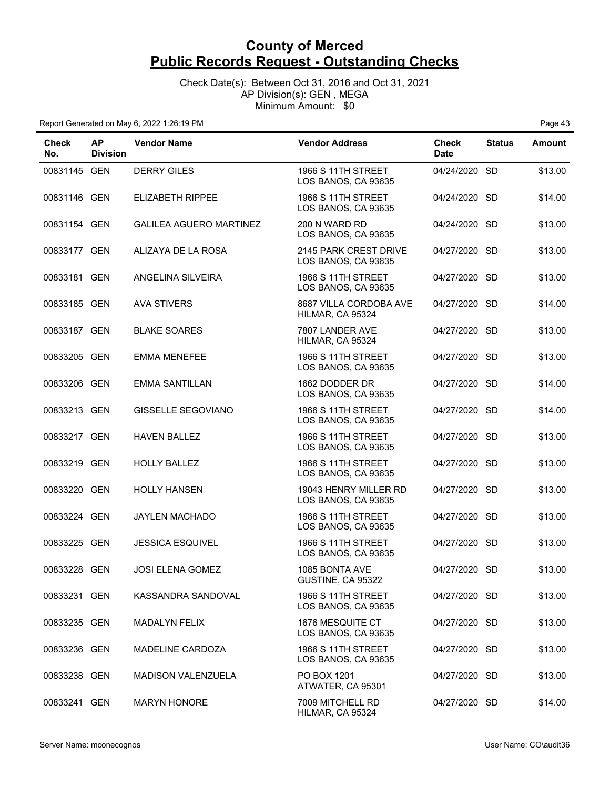Check Date(s): Between Oct 31, 2016 and Oct 31, 2021 AP Division(s): GEN , MEGA Minimum Amount: \$0

| Check<br>No. | <b>AP</b><br><b>Division</b> | <b>Vendor Name</b>             | <b>Vendor Address</b>                            | <b>Check</b><br><b>Date</b> | <b>Status</b> | Amount  |
|--------------|------------------------------|--------------------------------|--------------------------------------------------|-----------------------------|---------------|---------|
| 00831145 GEN |                              | <b>DERRY GILES</b>             | <b>1966 S 11TH STREET</b><br>LOS BANOS, CA 93635 | 04/24/2020 SD               |               | \$13.00 |
| 00831146 GEN |                              | <b>ELIZABETH RIPPEE</b>        | <b>1966 S 11TH STREET</b><br>LOS BANOS, CA 93635 | 04/24/2020 SD               |               | \$14.00 |
| 00831154 GEN |                              | <b>GALILEA AGUERO MARTINEZ</b> | 200 N WARD RD<br>LOS BANOS, CA 93635             | 04/24/2020 SD               |               | \$13.00 |
| 00833177 GEN |                              | ALIZAYA DE LA ROSA             | 2145 PARK CREST DRIVE<br>LOS BANOS, CA 93635     | 04/27/2020 SD               |               | \$13.00 |
| 00833181 GEN |                              | ANGELINA SILVEIRA              | <b>1966 S 11TH STREET</b><br>LOS BANOS, CA 93635 | 04/27/2020 SD               |               | \$13.00 |
| 00833185 GEN |                              | <b>AVA STIVERS</b>             | 8687 VILLA CORDOBA AVE<br>HILMAR, CA 95324       | 04/27/2020 SD               |               | \$14.00 |
| 00833187 GEN |                              | <b>BLAKE SOARES</b>            | 7807 LANDER AVE<br>HILMAR, CA 95324              | 04/27/2020 SD               |               | \$13.00 |
| 00833205 GEN |                              | <b>EMMA MENEFEE</b>            | <b>1966 S 11TH STREET</b><br>LOS BANOS, CA 93635 | 04/27/2020 SD               |               | \$13.00 |
| 00833206 GEN |                              | <b>EMMA SANTILLAN</b>          | 1662 DODDER DR<br>LOS BANOS, CA 93635            | 04/27/2020 SD               |               | \$14.00 |
| 00833213 GEN |                              | <b>GISSELLE SEGOVIANO</b>      | <b>1966 S 11TH STREET</b><br>LOS BANOS, CA 93635 | 04/27/2020 SD               |               | \$14.00 |
| 00833217 GEN |                              | <b>HAVEN BALLEZ</b>            | <b>1966 S 11TH STREET</b><br>LOS BANOS, CA 93635 | 04/27/2020 SD               |               | \$13.00 |
| 00833219 GEN |                              | <b>HOLLY BALLEZ</b>            | <b>1966 S 11TH STREET</b><br>LOS BANOS, CA 93635 | 04/27/2020 SD               |               | \$13.00 |
| 00833220 GEN |                              | <b>HOLLY HANSEN</b>            | 19043 HENRY MILLER RD<br>LOS BANOS, CA 93635     | 04/27/2020 SD               |               | \$13.00 |
| 00833224 GEN |                              | <b>JAYLEN MACHADO</b>          | <b>1966 S 11TH STREET</b><br>LOS BANOS, CA 93635 | 04/27/2020 SD               |               | \$13.00 |
| 00833225 GEN |                              | <b>JESSICA ESQUIVEL</b>        | 1966 S 11TH STREET<br>LOS BANOS, CA 93635        | 04/27/2020 SD               |               | \$13.00 |
| 00833228 GEN |                              | <b>JOSI ELENA GOMEZ</b>        | 1085 BONTA AVE<br>GUSTINE, CA 95322              | 04/27/2020 SD               |               | \$13.00 |
| 00833231 GEN |                              | KASSANDRA SANDOVAL             | <b>1966 S 11TH STREET</b><br>LOS BANOS, CA 93635 | 04/27/2020 SD               |               | \$13.00 |
| 00833235 GEN |                              | <b>MADALYN FELIX</b>           | <b>1676 MESQUITE CT</b><br>LOS BANOS, CA 93635   | 04/27/2020 SD               |               | \$13.00 |
| 00833236 GEN |                              | <b>MADELINE CARDOZA</b>        | <b>1966 S 11TH STREET</b><br>LOS BANOS, CA 93635 | 04/27/2020 SD               |               | \$13.00 |
| 00833238 GEN |                              | <b>MADISON VALENZUELA</b>      | PO BOX 1201<br>ATWATER, CA 95301                 | 04/27/2020 SD               |               | \$13.00 |
| 00833241 GEN |                              | <b>MARYN HONORE</b>            | 7009 MITCHELL RD<br>HILMAR, CA 95324             | 04/27/2020 SD               |               | \$14.00 |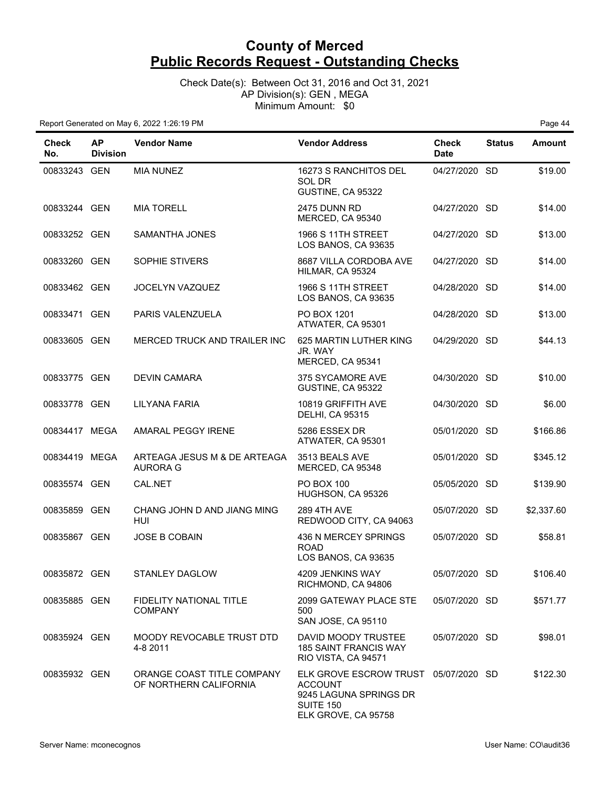Check Date(s): Between Oct 31, 2016 and Oct 31, 2021 AP Division(s): GEN , MEGA Minimum Amount: \$0

| <b>Check</b><br>No. | <b>AP</b><br><b>Division</b> | <b>Vendor Name</b>                                   | <b>Vendor Address</b>                                                                                                | <b>Check</b><br><b>Date</b> | <b>Status</b> | <b>Amount</b> |
|---------------------|------------------------------|------------------------------------------------------|----------------------------------------------------------------------------------------------------------------------|-----------------------------|---------------|---------------|
| 00833243 GEN        |                              | <b>MIA NUNEZ</b>                                     | 16273 S RANCHITOS DEL<br>SOL DR<br>GUSTINE, CA 95322                                                                 | 04/27/2020 SD               |               | \$19.00       |
| 00833244 GEN        |                              | <b>MIA TORELL</b>                                    | <b>2475 DUNN RD</b><br>MERCED, CA 95340                                                                              | 04/27/2020 SD               |               | \$14.00       |
| 00833252 GEN        |                              | <b>SAMANTHA JONES</b>                                | 1966 S 11TH STREET<br>LOS BANOS, CA 93635                                                                            | 04/27/2020 SD               |               | \$13.00       |
| 00833260 GEN        |                              | SOPHIE STIVERS                                       | 8687 VILLA CORDOBA AVE<br>HILMAR, CA 95324                                                                           | 04/27/2020 SD               |               | \$14.00       |
| 00833462 GEN        |                              | JOCELYN VAZQUEZ                                      | <b>1966 S 11TH STREET</b><br>LOS BANOS, CA 93635                                                                     | 04/28/2020 SD               |               | \$14.00       |
| 00833471 GEN        |                              | PARIS VALENZUELA                                     | PO BOX 1201<br>ATWATER, CA 95301                                                                                     | 04/28/2020 SD               |               | \$13.00       |
| 00833605 GEN        |                              | MERCED TRUCK AND TRAILER INC                         | 625 MARTIN LUTHER KING<br>JR. WAY<br>MERCED, CA 95341                                                                | 04/29/2020 SD               |               | \$44.13       |
| 00833775 GEN        |                              | <b>DEVIN CAMARA</b>                                  | 375 SYCAMORE AVE<br>GUSTINE, CA 95322                                                                                | 04/30/2020 SD               |               | \$10.00       |
| 00833778 GEN        |                              | <b>LILYANA FARIA</b>                                 | 10819 GRIFFITH AVE<br><b>DELHI, CA 95315</b>                                                                         | 04/30/2020 SD               |               | \$6.00        |
| 00834417 MEGA       |                              | AMARAL PEGGY IRENE                                   | 5286 ESSEX DR<br>ATWATER, CA 95301                                                                                   | 05/01/2020 SD               |               | \$166.86      |
| 00834419 MEGA       |                              | ARTEAGA JESUS M & DE ARTEAGA<br><b>AURORA G</b>      | 3513 BEALS AVE<br>MERCED, CA 95348                                                                                   | 05/01/2020 SD               |               | \$345.12      |
| 00835574 GEN        |                              | CAL.NET                                              | <b>PO BOX 100</b><br>HUGHSON, CA 95326                                                                               | 05/05/2020 SD               |               | \$139.90      |
| 00835859 GEN        |                              | CHANG JOHN D AND JIANG MING<br>HUI                   | <b>289 4TH AVE</b><br>REDWOOD CITY, CA 94063                                                                         | 05/07/2020 SD               |               | \$2,337.60    |
| 00835867 GEN        |                              | <b>JOSE B COBAIN</b>                                 | 436 N MERCEY SPRINGS<br><b>ROAD</b><br>LOS BANOS, CA 93635                                                           | 05/07/2020 SD               |               | \$58.81       |
| 00835872 GEN        |                              | STANLEY DAGLOW                                       | 4209 JENKINS WAY<br>RICHMOND, CA 94806                                                                               | 05/07/2020 SD               |               | \$106.40      |
| 00835885 GEN        |                              | <b>FIDELITY NATIONAL TITLE</b><br><b>COMPANY</b>     | 2099 GATEWAY PLACE STE<br>500<br>SAN JOSE, CA 95110                                                                  | 05/07/2020 SD               |               | \$571.77      |
| 00835924 GEN        |                              | MOODY REVOCABLE TRUST DTD<br>4-8 2011                | DAVID MOODY TRUSTEE<br><b>185 SAINT FRANCIS WAY</b><br>RIO VISTA, CA 94571                                           | 05/07/2020 SD               |               | \$98.01       |
| 00835932 GEN        |                              | ORANGE COAST TITLE COMPANY<br>OF NORTHERN CALIFORNIA | ELK GROVE ESCROW TRUST 05/07/2020 SD<br><b>ACCOUNT</b><br>9245 LAGUNA SPRINGS DR<br>SUITE 150<br>ELK GROVE, CA 95758 |                             |               | \$122.30      |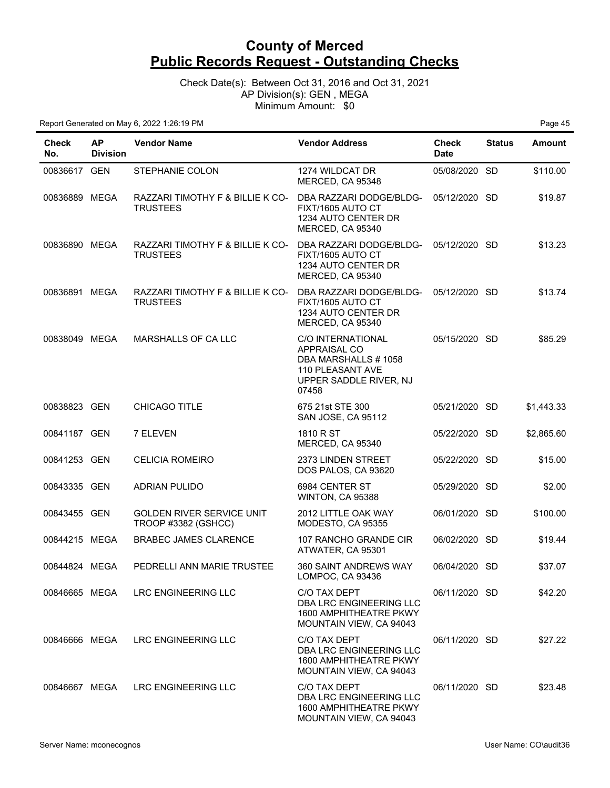Check Date(s): Between Oct 31, 2016 and Oct 31, 2021 AP Division(s): GEN , MEGA Minimum Amount: \$0

| Check<br>No.  | <b>AP</b><br><b>Division</b> | <b>Vendor Name</b>                                      | <b>Vendor Address</b>                                                                                                  | <b>Check</b><br><b>Date</b> | <b>Status</b> | Amount     |
|---------------|------------------------------|---------------------------------------------------------|------------------------------------------------------------------------------------------------------------------------|-----------------------------|---------------|------------|
| 00836617 GEN  |                              | STEPHANIE COLON                                         | 1274 WILDCAT DR<br>MERCED, CA 95348                                                                                    | 05/08/2020 SD               |               | \$110.00   |
| 00836889 MEGA |                              | RAZZARI TIMOTHY F & BILLIE K CO-<br><b>TRUSTEES</b>     | DBA RAZZARI DODGE/BLDG-<br>FIXT/1605 AUTO CT<br>1234 AUTO CENTER DR<br>MERCED, CA 95340                                | 05/12/2020 SD               |               | \$19.87    |
| 00836890 MEGA |                              | RAZZARI TIMOTHY F & BILLIE K CO-<br><b>TRUSTEES</b>     | DBA RAZZARI DODGE/BLDG-<br>FIXT/1605 AUTO CT<br>1234 AUTO CENTER DR<br>MERCED, CA 95340                                | 05/12/2020 SD               |               | \$13.23    |
| 00836891 MEGA |                              | RAZZARI TIMOTHY F & BILLIE K CO-<br><b>TRUSTEES</b>     | DBA RAZZARI DODGE/BLDG-<br>FIXT/1605 AUTO CT<br>1234 AUTO CENTER DR<br>MERCED, CA 95340                                | 05/12/2020 SD               |               | \$13.74    |
| 00838049 MEGA |                              | <b>MARSHALLS OF CA LLC</b>                              | <b>C/O INTERNATIONAL</b><br>APPRAISAL CO<br>DBA MARSHALLS #1058<br>110 PLEASANT AVE<br>UPPER SADDLE RIVER, NJ<br>07458 | 05/15/2020 SD               |               | \$85.29    |
| 00838823 GEN  |                              | CHICAGO TITLE                                           | 675 21st STE 300<br>SAN JOSE, CA 95112                                                                                 | 05/21/2020 SD               |               | \$1,443.33 |
| 00841187 GEN  |                              | 7 ELEVEN                                                | 1810 R ST<br>MERCED, CA 95340                                                                                          | 05/22/2020 SD               |               | \$2,865.60 |
| 00841253 GEN  |                              | <b>CELICIA ROMEIRO</b>                                  | 2373 LINDEN STREET<br>DOS PALOS, CA 93620                                                                              | 05/22/2020 SD               |               | \$15.00    |
| 00843335 GEN  |                              | <b>ADRIAN PULIDO</b>                                    | 6984 CENTER ST<br>WINTON, CA 95388                                                                                     | 05/29/2020 SD               |               | \$2.00     |
| 00843455 GEN  |                              | <b>GOLDEN RIVER SERVICE UNIT</b><br>TROOP #3382 (GSHCC) | 2012 LITTLE OAK WAY<br>MODESTO, CA 95355                                                                               | 06/01/2020 SD               |               | \$100.00   |
| 00844215 MEGA |                              | <b>BRABEC JAMES CLARENCE</b>                            | 107 RANCHO GRANDE CIR<br>ATWATER, CA 95301                                                                             | 06/02/2020 SD               |               | \$19.44    |
| 00844824 MEGA |                              | PEDRELLI ANN MARIE TRUSTEE                              | 360 SAINT ANDREWS WAY<br>LOMPOC, CA 93436                                                                              | 06/04/2020 SD               |               | \$37.07    |
| 00846665 MEGA |                              | <b>LRC ENGINEERING LLC</b>                              | C/O TAX DEPT<br>DBA LRC ENGINEERING LLC<br>1600 AMPHITHEATRE PKWY<br>MOUNTAIN VIEW, CA 94043                           | 06/11/2020 SD               |               | \$42.20    |
| 00846666 MEGA |                              | LRC ENGINEERING LLC                                     | C/O TAX DEPT<br>DBA LRC ENGINEERING LLC<br>1600 AMPHITHEATRE PKWY<br>MOUNTAIN VIEW, CA 94043                           | 06/11/2020 SD               |               | \$27.22    |
| 00846667 MEGA |                              | LRC ENGINEERING LLC                                     | C/O TAX DEPT<br>DBA LRC ENGINEERING LLC<br>1600 AMPHITHEATRE PKWY<br>MOUNTAIN VIEW, CA 94043                           | 06/11/2020 SD               |               | \$23.48    |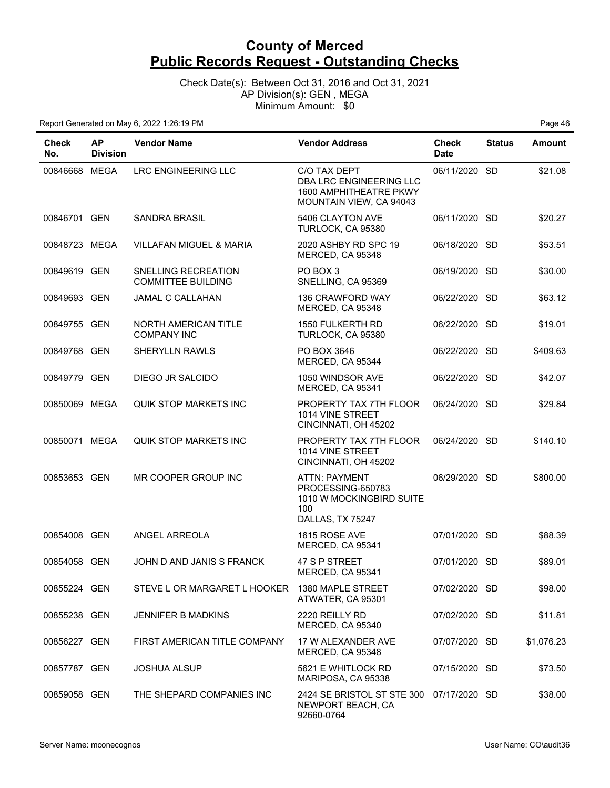Check Date(s): Between Oct 31, 2016 and Oct 31, 2021 AP Division(s): GEN , MEGA Minimum Amount: \$0

| Check<br>No.  | <b>AP</b><br><b>Division</b> | <b>Vendor Name</b>                               | <b>Vendor Address</b>                                                                            | Check<br><b>Date</b> | <b>Status</b> | <b>Amount</b> |
|---------------|------------------------------|--------------------------------------------------|--------------------------------------------------------------------------------------------------|----------------------|---------------|---------------|
| 00846668 MEGA |                              | LRC ENGINEERING LLC                              | C/O TAX DEPT<br>DBA LRC ENGINEERING LLC<br>1600 AMPHITHEATRE PKWY<br>MOUNTAIN VIEW, CA 94043     | 06/11/2020 SD        |               | \$21.08       |
| 00846701 GEN  |                              | <b>SANDRA BRASIL</b>                             | 5406 CLAYTON AVE<br>TURLOCK, CA 95380                                                            | 06/11/2020 SD        |               | \$20.27       |
| 00848723 MEGA |                              | <b>VILLAFAN MIGUEL &amp; MARIA</b>               | 2020 ASHBY RD SPC 19<br>MERCED, CA 95348                                                         | 06/18/2020 SD        |               | \$53.51       |
| 00849619 GEN  |                              | SNELLING RECREATION<br><b>COMMITTEE BUILDING</b> | PO BOX 3<br>SNELLING, CA 95369                                                                   | 06/19/2020 SD        |               | \$30.00       |
| 00849693 GEN  |                              | JAMAL C CALLAHAN                                 | 136 CRAWFORD WAY<br>MERCED, CA 95348                                                             | 06/22/2020 SD        |               | \$63.12       |
| 00849755 GEN  |                              | NORTH AMERICAN TITLE<br><b>COMPANY INC</b>       | 1550 FULKERTH RD<br>TURLOCK, CA 95380                                                            | 06/22/2020 SD        |               | \$19.01       |
| 00849768 GEN  |                              | <b>SHERYLLN RAWLS</b>                            | PO BOX 3646<br>MERCED, CA 95344                                                                  | 06/22/2020 SD        |               | \$409.63      |
| 00849779 GEN  |                              | DIEGO JR SALCIDO                                 | 1050 WINDSOR AVE<br>MERCED, CA 95341                                                             | 06/22/2020 SD        |               | \$42.07       |
| 00850069 MEGA |                              | <b>QUIK STOP MARKETS INC</b>                     | PROPERTY TAX 7TH FLOOR<br>1014 VINE STREET<br>CINCINNATI, OH 45202                               | 06/24/2020 SD        |               | \$29.84       |
| 00850071 MEGA |                              | <b>QUIK STOP MARKETS INC</b>                     | PROPERTY TAX 7TH FLOOR<br>1014 VINE STREET<br>CINCINNATI, OH 45202                               | 06/24/2020 SD        |               | \$140.10      |
| 00853653 GEN  |                              | MR COOPER GROUP INC                              | <b>ATTN: PAYMENT</b><br>PROCESSING-650783<br>1010 W MOCKINGBIRD SUITE<br>100<br>DALLAS, TX 75247 | 06/29/2020 SD        |               | \$800.00      |
| 00854008 GEN  |                              | ANGEL ARREOLA                                    | 1615 ROSE AVE<br>MERCED, CA 95341                                                                | 07/01/2020 SD        |               | \$88.39       |
| 00854058 GEN  |                              | JOHN D AND JANIS S FRANCK                        | 47 S P STREET<br>MERCED, CA 95341                                                                | 07/01/2020 SD        |               | \$89.01       |
| 00855224 GEN  |                              | STEVE L OR MARGARET L HOOKER 1380 MAPLE STREET   | ATWATER, CA 95301                                                                                | 07/02/2020 SD        |               | \$98.00       |
| 00855238 GEN  |                              | <b>JENNIFER B MADKINS</b>                        | 2220 REILLY RD<br>MERCED, CA 95340                                                               | 07/02/2020 SD        |               | \$11.81       |
| 00856227 GEN  |                              | FIRST AMERICAN TITLE COMPANY                     | 17 W ALEXANDER AVE<br>MERCED, CA 95348                                                           | 07/07/2020 SD        |               | \$1,076.23    |
| 00857787 GEN  |                              | <b>JOSHUA ALSUP</b>                              | 5621 E WHITLOCK RD<br>MARIPOSA, CA 95338                                                         | 07/15/2020 SD        |               | \$73.50       |
| 00859058 GEN  |                              | THE SHEPARD COMPANIES INC                        | 2424 SE BRISTOL ST STE 300 07/17/2020 SD<br>NEWPORT BEACH, CA<br>92660-0764                      |                      |               | \$38.00       |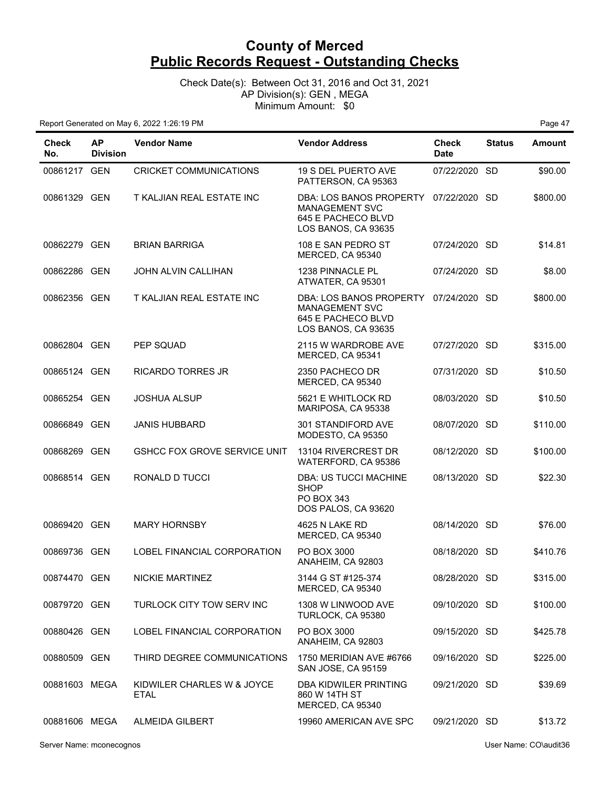Check Date(s): Between Oct 31, 2016 and Oct 31, 2021 AP Division(s): GEN , MEGA Minimum Amount: \$0

Report Generated on May 6, 2022 1:26:19 PM Page 47

| <b>Check</b><br>No. | <b>AP</b><br><b>Division</b> | <b>Vendor Name</b>                        | <b>Vendor Address</b>                                                                         | Check<br><b>Date</b> | <b>Status</b> | <b>Amount</b> |
|---------------------|------------------------------|-------------------------------------------|-----------------------------------------------------------------------------------------------|----------------------|---------------|---------------|
| 00861217 GEN        |                              | CRICKET COMMUNICATIONS                    | 19 S DEL PUERTO AVE<br>PATTERSON, CA 95363                                                    | 07/22/2020 SD        |               | \$90.00       |
| 00861329 GEN        |                              | T KALJIAN REAL ESTATE INC                 | DBA: LOS BANOS PROPERTY<br><b>MANAGEMENT SVC</b><br>645 E PACHECO BLVD<br>LOS BANOS, CA 93635 | 07/22/2020 SD        |               | \$800.00      |
| 00862279 GEN        |                              | <b>BRIAN BARRIGA</b>                      | 108 E SAN PEDRO ST<br>MERCED, CA 95340                                                        | 07/24/2020 SD        |               | \$14.81       |
| 00862286 GEN        |                              | <b>JOHN ALVIN CALLIHAN</b>                | 1238 PINNACLE PL<br>ATWATER, CA 95301                                                         | 07/24/2020 SD        |               | \$8.00        |
| 00862356 GEN        |                              | T KALJIAN REAL ESTATE INC                 | DBA: LOS BANOS PROPERTY<br><b>MANAGEMENT SVC</b><br>645 E PACHECO BLVD<br>LOS BANOS, CA 93635 | 07/24/2020 SD        |               | \$800.00      |
| 00862804 GEN        |                              | PEP SQUAD                                 | 2115 W WARDROBE AVE<br>MERCED, CA 95341                                                       | 07/27/2020 SD        |               | \$315.00      |
| 00865124 GEN        |                              | <b>RICARDO TORRES JR</b>                  | 2350 PACHECO DR<br>MERCED, CA 95340                                                           | 07/31/2020 SD        |               | \$10.50       |
| 00865254 GEN        |                              | <b>JOSHUA ALSUP</b>                       | 5621 E WHITLOCK RD<br>MARIPOSA, CA 95338                                                      | 08/03/2020 SD        |               | \$10.50       |
| 00866849 GEN        |                              | <b>JANIS HUBBARD</b>                      | 301 STANDIFORD AVE<br>MODESTO, CA 95350                                                       | 08/07/2020 SD        |               | \$110.00      |
| 00868269 GEN        |                              | <b>GSHCC FOX GROVE SERVICE UNIT</b>       | 13104 RIVERCREST DR<br>WATERFORD, CA 95386                                                    | 08/12/2020 SD        |               | \$100.00      |
| 00868514 GEN        |                              | RONALD D TUCCI                            | DBA: US TUCCI MACHINE<br><b>SHOP</b><br>PO BOX 343<br>DOS PALOS, CA 93620                     | 08/13/2020 SD        |               | \$22.30       |
| 00869420 GEN        |                              | <b>MARY HORNSBY</b>                       | <b>4625 N LAKE RD</b><br>MERCED, CA 95340                                                     | 08/14/2020 SD        |               | \$76.00       |
| 00869736 GEN        |                              | LOBEL FINANCIAL CORPORATION               | PO BOX 3000<br>ANAHEIM, CA 92803                                                              | 08/18/2020 SD        |               | \$410.76      |
| 00874470 GEN        |                              | NICKIE MARTINEZ                           | 3144 G ST #125-374<br>MERCED, CA 95340                                                        | 08/28/2020 SD        |               | \$315.00      |
| 00879720 GEN        |                              | TURLOCK CITY TOW SERV INC                 | 1308 W LINWOOD AVE<br>TURLOCK, CA 95380                                                       | 09/10/2020 SD        |               | \$100.00      |
| 00880426 GEN        |                              | LOBEL FINANCIAL CORPORATION               | PO BOX 3000<br>ANAHEIM, CA 92803                                                              | 09/15/2020 SD        |               | \$425.78      |
| 00880509 GEN        |                              | THIRD DEGREE COMMUNICATIONS               | 1750 MERIDIAN AVE #6766<br>SAN JOSE, CA 95159                                                 | 09/16/2020 SD        |               | \$225.00      |
| 00881603 MEGA       |                              | KIDWILER CHARLES W & JOYCE<br><b>ETAL</b> | <b>DBA KIDWILER PRINTING</b><br>860 W 14TH ST<br>MERCED, CA 95340                             | 09/21/2020 SD        |               | \$39.69       |
| 00881606 MEGA       |                              | <b>ALMEIDA GILBERT</b>                    | 19960 AMERICAN AVE SPC                                                                        | 09/21/2020 SD        |               | \$13.72       |

Server Name: mconecognos User Name: CO\audit36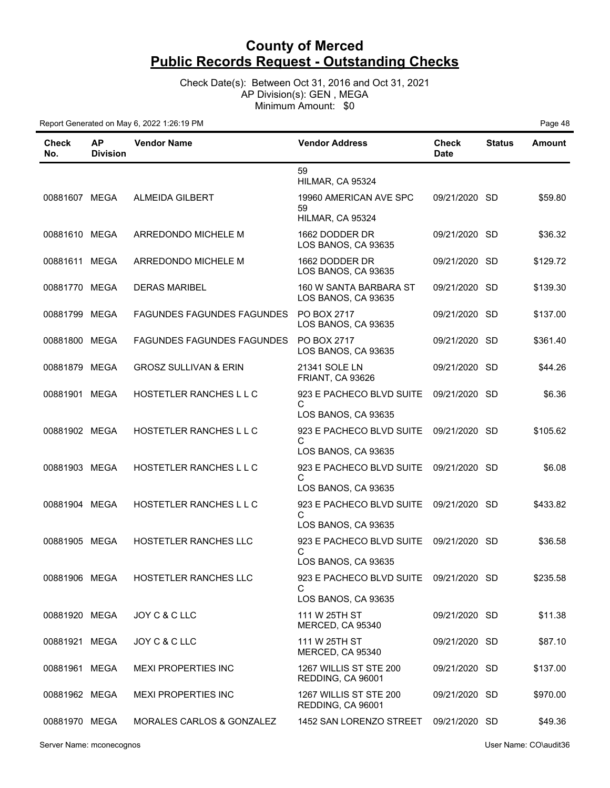Check Date(s): Between Oct 31, 2016 and Oct 31, 2021 AP Division(s): GEN , MEGA Minimum Amount: \$0

| Check<br>No.  | <b>AP</b><br><b>Division</b> | <b>Vendor Name</b>                | <b>Vendor Address</b>                                                       | <b>Check</b><br><b>Date</b> | <b>Status</b> | <b>Amount</b> |
|---------------|------------------------------|-----------------------------------|-----------------------------------------------------------------------------|-----------------------------|---------------|---------------|
|               |                              |                                   | 59<br>HILMAR, CA 95324                                                      |                             |               |               |
| 00881607 MEGA |                              | <b>ALMEIDA GILBERT</b>            | 19960 AMERICAN AVE SPC<br>59<br>HILMAR, CA 95324                            | 09/21/2020 SD               |               | \$59.80       |
| 00881610 MEGA |                              | ARREDONDO MICHELE M               | 1662 DODDER DR<br>LOS BANOS, CA 93635                                       | 09/21/2020 SD               |               | \$36.32       |
| 00881611 MEGA |                              | ARREDONDO MICHELE M               | 1662 DODDER DR<br>LOS BANOS, CA 93635                                       | 09/21/2020                  | -SD           | \$129.72      |
| 00881770 MEGA |                              | <b>DERAS MARIBEL</b>              | 160 W SANTA BARBARA ST<br>LOS BANOS, CA 93635                               | 09/21/2020                  | -SD           | \$139.30      |
| 00881799 MEGA |                              | <b>FAGUNDES FAGUNDES FAGUNDES</b> | PO BOX 2717<br>LOS BANOS, CA 93635                                          | 09/21/2020 SD               |               | \$137.00      |
| 00881800 MEGA |                              | <b>FAGUNDES FAGUNDES FAGUNDES</b> | PO BOX 2717<br>LOS BANOS, CA 93635                                          | 09/21/2020 SD               |               | \$361.40      |
| 00881879 MEGA |                              | <b>GROSZ SULLIVAN &amp; ERIN</b>  | 21341 SOLE LN<br><b>FRIANT, CA 93626</b>                                    | 09/21/2020 SD               |               | \$44.26       |
| 00881901 MEGA |                              | HOSTETLER RANCHES L L C           | 923 E PACHECO BLVD SUITE<br>С                                               | 09/21/2020 SD               |               | \$6.36        |
| 00881902 MEGA |                              | HOSTETLER RANCHES L L C           | LOS BANOS, CA 93635<br>923 E PACHECO BLVD SUITE<br>C                        | 09/21/2020 SD               |               | \$105.62      |
| 00881903 MEGA |                              | HOSTETLER RANCHES L L C           | LOS BANOS, CA 93635<br>923 E PACHECO BLVD SUITE<br>C<br>LOS BANOS, CA 93635 | 09/21/2020 SD               |               | \$6.08        |
| 00881904 MEGA |                              | HOSTETLER RANCHES L L C           | 923 E PACHECO BLVD SUITE<br>C<br>LOS BANOS, CA 93635                        | 09/21/2020 SD               |               | \$433.82      |
| 00881905 MEGA |                              | HOSTETLER RANCHES LLC             | 923 E PACHECO BLVD SUITE<br>C<br>LOS BANOS, CA 93635                        | 09/21/2020 SD               |               | \$36.58       |
| 00881906 MEGA |                              | HOSTETLER RANCHES LLC             | C<br>LOS BANOS, CA 93635                                                    |                             |               | \$235.58      |
| 00881920 MEGA |                              | JOY C & C LLC                     | 111 W 25TH ST<br>MERCED, CA 95340                                           | 09/21/2020 SD               |               | \$11.38       |
| 00881921 MEGA |                              | JOY C & C LLC                     | 111 W 25TH ST<br>MERCED, CA 95340                                           | 09/21/2020 SD               |               | \$87.10       |
| 00881961 MEGA |                              | <b>MEXI PROPERTIES INC</b>        | 1267 WILLIS ST STE 200<br>REDDING, CA 96001                                 | 09/21/2020 SD               |               | \$137.00      |
| 00881962 MEGA |                              | <b>MEXI PROPERTIES INC</b>        | 1267 WILLIS ST STE 200<br>REDDING, CA 96001                                 | 09/21/2020 SD               |               | \$970.00      |
| 00881970 MEGA |                              | MORALES CARLOS & GONZALEZ         | 1452 SAN LORENZO STREET                                                     | 09/21/2020 SD               |               | \$49.36       |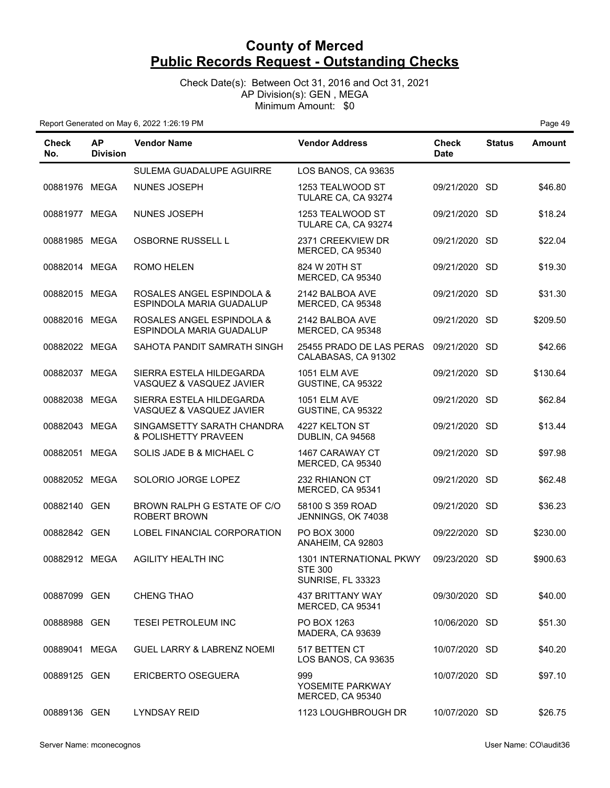Check Date(s): Between Oct 31, 2016 and Oct 31, 2021 AP Division(s): GEN , MEGA Minimum Amount: \$0

| Check<br>No.  | AP.<br><b>Division</b> | <b>Vendor Name</b>                                    | <b>Vendor Address</b>                                                 | <b>Check</b><br><b>Date</b> | <b>Status</b> | <b>Amount</b> |
|---------------|------------------------|-------------------------------------------------------|-----------------------------------------------------------------------|-----------------------------|---------------|---------------|
|               |                        | SULEMA GUADALUPE AGUIRRE                              | LOS BANOS, CA 93635                                                   |                             |               |               |
| 00881976 MEGA |                        | NUNES JOSEPH                                          | 1253 TEALWOOD ST<br>TULARE CA, CA 93274                               | 09/21/2020 SD               |               | \$46.80       |
| 00881977 MEGA |                        | <b>NUNES JOSEPH</b>                                   | 1253 TEALWOOD ST<br>TULARE CA, CA 93274                               | 09/21/2020 SD               |               | \$18.24       |
| 00881985 MEGA |                        | <b>OSBORNE RUSSELL L</b>                              | 2371 CREEKVIEW DR<br>MERCED, CA 95340                                 | 09/21/2020 SD               |               | \$22.04       |
| 00882014 MEGA |                        | ROMO HELEN                                            | 824 W 20TH ST<br>MERCED, CA 95340                                     | 09/21/2020 SD               |               | \$19.30       |
| 00882015 MEGA |                        | ROSALES ANGEL ESPINDOLA &<br>ESPINDOLA MARIA GUADALUP | 2142 BALBOA AVE<br>MERCED, CA 95348                                   | 09/21/2020 SD               |               | \$31.30       |
| 00882016 MEGA |                        | ROSALES ANGEL ESPINDOLA &<br>ESPINDOLA MARIA GUADALUP | 2142 BALBOA AVE<br>MERCED, CA 95348                                   | 09/21/2020 SD               |               | \$209.50      |
| 00882022 MEGA |                        | SAHOTA PANDIT SAMRATH SINGH                           | 25455 PRADO DE LAS PERAS<br>CALABASAS, CA 91302                       | 09/21/2020 SD               |               | \$42.66       |
| 00882037 MEGA |                        | SIERRA ESTELA HILDEGARDA<br>VASQUEZ & VASQUEZ JAVIER  | <b>1051 ELM AVE</b><br>GUSTINE, CA 95322                              | 09/21/2020 SD               |               | \$130.64      |
| 00882038 MEGA |                        | SIERRA ESTELA HILDEGARDA<br>VASQUEZ & VASQUEZ JAVIER  | <b>1051 ELM AVE</b><br>GUSTINE, CA 95322                              | 09/21/2020 SD               |               | \$62.84       |
| 00882043 MEGA |                        | SINGAMSETTY SARATH CHANDRA<br>& POLISHETTY PRAVEEN    | 4227 KELTON ST<br>DUBLIN, CA 94568                                    | 09/21/2020 SD               |               | \$13.44       |
| 00882051      | MEGA                   | SOLIS JADE B & MICHAEL C                              | 1467 CARAWAY CT<br>MERCED, CA 95340                                   | 09/21/2020 SD               |               | \$97.98       |
| 00882052 MEGA |                        | SOLORIO JORGE LOPEZ                                   | 232 RHIANON CT<br>MERCED, CA 95341                                    | 09/21/2020 SD               |               | \$62.48       |
| 00882140 GEN  |                        | BROWN RALPH G ESTATE OF C/O<br><b>ROBERT BROWN</b>    | 58100 S 359 ROAD<br>JENNINGS, OK 74038                                | 09/21/2020 SD               |               | \$36.23       |
| 00882842 GEN  |                        | LOBEL FINANCIAL CORPORATION                           | PO BOX 3000<br>ANAHEIM, CA 92803                                      | 09/22/2020 SD               |               | \$230.00      |
| 00882912 MEGA |                        | <b>AGILITY HEALTH INC</b>                             | 1301 INTERNATIONAL PKWY<br><b>STE 300</b><br><b>SUNRISE, FL 33323</b> | 09/23/2020                  | <b>SD</b>     | \$900.63      |
| 00887099 GEN  |                        | <b>CHENG THAO</b>                                     | <b>437 BRITTANY WAY</b><br>MERCED, CA 95341                           | 09/30/2020 SD               |               | \$40.00       |
| 00888988 GEN  |                        | <b>TESEI PETROLEUM INC</b>                            | PO BOX 1263<br>MADERA, CA 93639                                       | 10/06/2020 SD               |               | \$51.30       |
| 00889041 MEGA |                        | <b>GUEL LARRY &amp; LABRENZ NOEMI</b>                 | 517 BETTEN CT<br>LOS BANOS, CA 93635                                  | 10/07/2020 SD               |               | \$40.20       |
| 00889125 GEN  |                        | <b>ERICBERTO OSEGUERA</b>                             | 999<br>YOSEMITE PARKWAY<br>MERCED, CA 95340                           | 10/07/2020 SD               |               | \$97.10       |
| 00889136 GEN  |                        | <b>LYNDSAY REID</b>                                   | 1123 LOUGHBROUGH DR                                                   | 10/07/2020 SD               |               | \$26.75       |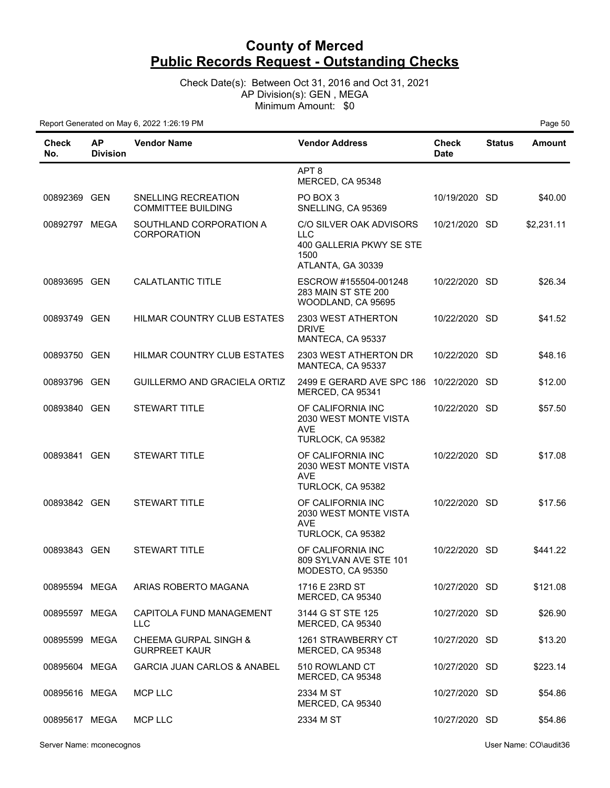Check Date(s): Between Oct 31, 2016 and Oct 31, 2021 AP Division(s): GEN , MEGA Minimum Amount: \$0

| <b>Check</b><br>No. | <b>AP</b><br><b>Division</b> | <b>Vendor Name</b>                               | <b>Vendor Address</b>                                                                   | <b>Check</b><br><b>Date</b> | <b>Status</b> | <b>Amount</b> |
|---------------------|------------------------------|--------------------------------------------------|-----------------------------------------------------------------------------------------|-----------------------------|---------------|---------------|
|                     |                              |                                                  | APT <sub>8</sub><br>MERCED, CA 95348                                                    |                             |               |               |
| 00892369 GEN        |                              | SNELLING RECREATION<br><b>COMMITTEE BUILDING</b> | PO BOX 3<br>SNELLING, CA 95369                                                          | 10/19/2020 SD               |               | \$40.00       |
| 00892797 MEGA       |                              | SOUTHLAND CORPORATION A<br><b>CORPORATION</b>    | C/O SILVER OAK ADVISORS<br>LLC<br>400 GALLERIA PKWY SE STE<br>1500<br>ATLANTA, GA 30339 | 10/21/2020 SD               |               | \$2,231.11    |
| 00893695 GEN        |                              | <b>CALATLANTIC TITLE</b>                         | ESCROW #155504-001248<br>283 MAIN ST STE 200<br>WOODLAND, CA 95695                      | 10/22/2020 SD               |               | \$26.34       |
| 00893749 GEN        |                              | HILMAR COUNTRY CLUB ESTATES                      | 2303 WEST ATHERTON<br><b>DRIVE</b><br>MANTECA, CA 95337                                 | 10/22/2020 SD               |               | \$41.52       |
| 00893750 GEN        |                              | HILMAR COUNTRY CLUB ESTATES                      | 2303 WEST ATHERTON DR<br>MANTECA, CA 95337                                              | 10/22/2020 SD               |               | \$48.16       |
| 00893796 GEN        |                              | GUILLERMO AND GRACIELA ORTIZ                     | 2499 E GERARD AVE SPC 186 10/22/2020 SD<br>MERCED, CA 95341                             |                             |               | \$12.00       |
| 00893840 GEN        |                              | <b>STEWART TITLE</b>                             | OF CALIFORNIA INC<br>2030 WEST MONTE VISTA<br><b>AVE</b><br>TURLOCK, CA 95382           | 10/22/2020 SD               |               | \$57.50       |
| 00893841 GEN        |                              | <b>STEWART TITLE</b>                             | OF CALIFORNIA INC<br>2030 WEST MONTE VISTA<br>AVE<br>TURLOCK, CA 95382                  | 10/22/2020 SD               |               | \$17.08       |
| 00893842 GEN        |                              | <b>STEWART TITLE</b>                             | OF CALIFORNIA INC<br>2030 WEST MONTE VISTA<br><b>AVE</b><br>TURLOCK, CA 95382           | 10/22/2020 SD               |               | \$17.56       |
| 00893843 GEN        |                              | <b>STEWART TITLE</b>                             | OF CALIFORNIA INC<br>809 SYLVAN AVE STE 101<br>MODESTO, CA 95350                        | 10/22/2020 SD               |               | \$441.22      |
| 00895594 MEGA       |                              | ARIAS ROBERTO MAGANA                             | 1716 E 23RD ST<br>MERCED, CA 95340                                                      | 10/27/2020 SD               |               | \$121.08      |
| 00895597 MEGA       |                              | CAPITOLA FUND MANAGEMENT<br><b>LLC</b>           | 3144 G ST STE 125<br>MERCED, CA 95340                                                   | 10/27/2020 SD               |               | \$26.90       |
| 00895599 MEGA       |                              | CHEEMA GURPAL SINGH &<br><b>GURPREET KAUR</b>    | 1261 STRAWBERRY CT<br>MERCED, CA 95348                                                  | 10/27/2020 SD               |               | \$13.20       |
| 00895604 MEGA       |                              | <b>GARCIA JUAN CARLOS &amp; ANABEL</b>           | 510 ROWLAND CT<br>MERCED, CA 95348                                                      | 10/27/2020 SD               |               | \$223.14      |
| 00895616 MEGA       |                              | <b>MCP LLC</b>                                   | 2334 M ST<br>MERCED, CA 95340                                                           | 10/27/2020 SD               |               | \$54.86       |
| 00895617 MEGA       |                              | <b>MCP LLC</b>                                   | 2334 M ST                                                                               | 10/27/2020 SD               |               | \$54.86       |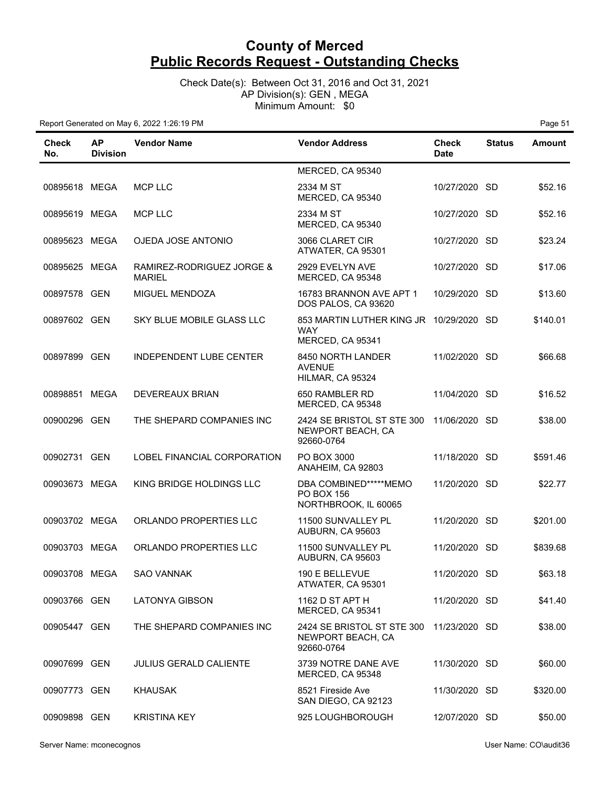Check Date(s): Between Oct 31, 2016 and Oct 31, 2021 AP Division(s): GEN , MEGA Minimum Amount: \$0

| Check<br>No.  | <b>AP</b><br><b>Division</b> | <b>Vendor Name</b>                         | <b>Vendor Address</b>                                                       | <b>Check</b><br><b>Date</b> | <b>Status</b> | <b>Amount</b> |
|---------------|------------------------------|--------------------------------------------|-----------------------------------------------------------------------------|-----------------------------|---------------|---------------|
|               |                              |                                            | MERCED, CA 95340                                                            |                             |               |               |
| 00895618 MEGA |                              | MCP LLC                                    | 2334 M ST<br>MERCED, CA 95340                                               | 10/27/2020 SD               |               | \$52.16       |
| 00895619 MEGA |                              | <b>MCP LLC</b>                             | 2334 M ST<br>MERCED, CA 95340                                               | 10/27/2020 SD               |               | \$52.16       |
| 00895623 MEGA |                              | OJEDA JOSE ANTONIO                         | 3066 CLARET CIR<br>ATWATER, CA 95301                                        | 10/27/2020 SD               |               | \$23.24       |
| 00895625 MEGA |                              | RAMIREZ-RODRIGUEZ JORGE &<br><b>MARIEL</b> | 2929 EVELYN AVE<br>MERCED, CA 95348                                         | 10/27/2020 SD               |               | \$17.06       |
| 00897578 GEN  |                              | MIGUEL MENDOZA                             | 16783 BRANNON AVE APT 1<br>DOS PALOS, CA 93620                              | 10/29/2020 SD               |               | \$13.60       |
| 00897602 GEN  |                              | SKY BLUE MOBILE GLASS LLC                  | 853 MARTIN LUTHER KING JR 10/29/2020 SD<br>WAY<br>MERCED, CA 95341          |                             |               | \$140.01      |
| 00897899 GEN  |                              | <b>INDEPENDENT LUBE CENTER</b>             | 8450 NORTH LANDER<br><b>AVENUE</b><br>HILMAR, CA 95324                      | 11/02/2020 SD               |               | \$66.68       |
| 00898851 MEGA |                              | <b>DEVEREAUX BRIAN</b>                     | 650 RAMBLER RD<br>MERCED, CA 95348                                          | 11/04/2020 SD               |               | \$16.52       |
| 00900296 GEN  |                              | THE SHEPARD COMPANIES INC                  | 2424 SE BRISTOL ST STE 300 11/06/2020 SD<br>NEWPORT BEACH, CA<br>92660-0764 |                             |               | \$38.00       |
| 00902731 GEN  |                              | LOBEL FINANCIAL CORPORATION                | PO BOX 3000<br>ANAHEIM, CA 92803                                            | 11/18/2020 SD               |               | \$591.46      |
| 00903673 MEGA |                              | KING BRIDGE HOLDINGS LLC                   | DBA COMBINED*****MEMO<br>PO BOX 156<br>NORTHBROOK, IL 60065                 | 11/20/2020 SD               |               | \$22.77       |
| 00903702 MEGA |                              | ORLANDO PROPERTIES LLC                     | 11500 SUNVALLEY PL<br>AUBURN, CA 95603                                      | 11/20/2020 SD               |               | \$201.00      |
| 00903703 MEGA |                              | ORLANDO PROPERTIES LLC                     | 11500 SUNVALLEY PL<br>AUBURN, CA 95603                                      | 11/20/2020 SD               |               | \$839.68      |
| 00903708 MEGA |                              | <b>SAO VANNAK</b>                          | $190$ F RFLL FVUF<br>ATWATER, CA 95301                                      | 11/20/2020 SD               |               | \$63.18       |
| 00903766 GEN  |                              | <b>LATONYA GIBSON</b>                      | 1162 D ST APT H<br>MERCED, CA 95341                                         | 11/20/2020 SD               |               | \$41.40       |
| 00905447 GEN  |                              | THE SHEPARD COMPANIES INC                  | 2424 SE BRISTOL ST STE 300 11/23/2020 SD<br>NEWPORT BEACH, CA<br>92660-0764 |                             |               | \$38.00       |
| 00907699 GEN  |                              | <b>JULIUS GERALD CALIENTE</b>              | 3739 NOTRE DANE AVE<br>MERCED, CA 95348                                     | 11/30/2020 SD               |               | \$60.00       |
| 00907773 GEN  |                              | <b>KHAUSAK</b>                             | 8521 Fireside Ave<br>SAN DIEGO, CA 92123                                    | 11/30/2020 SD               |               | \$320.00      |
| 00909898 GEN  |                              | <b>KRISTINA KEY</b>                        | 925 LOUGHBOROUGH                                                            | 12/07/2020 SD               |               | \$50.00       |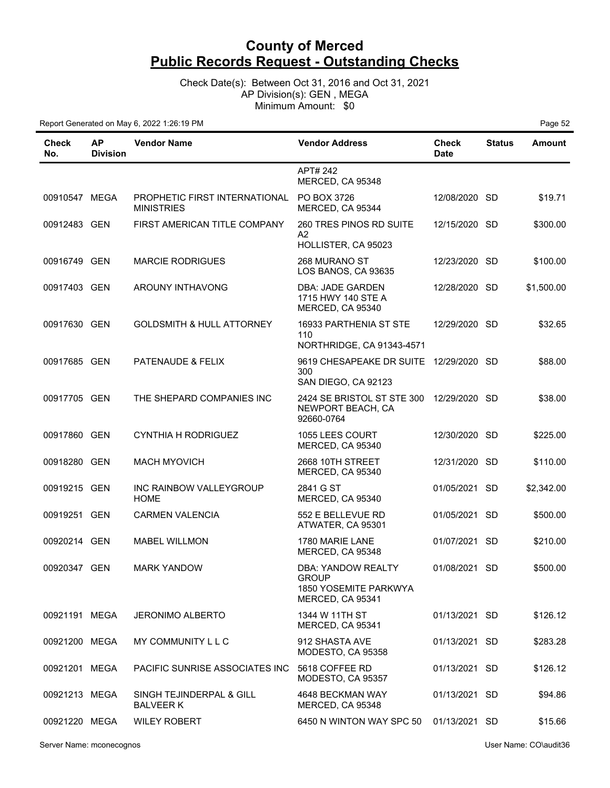Check Date(s): Between Oct 31, 2016 and Oct 31, 2021 AP Division(s): GEN , MEGA Minimum Amount: \$0

| Check<br>No.  | <b>AP</b><br><b>Division</b> | <b>Vendor Name</b>                                 | <b>Vendor Address</b>                                                           | <b>Check</b><br><b>Date</b> | <b>Status</b> | <b>Amount</b> |
|---------------|------------------------------|----------------------------------------------------|---------------------------------------------------------------------------------|-----------------------------|---------------|---------------|
|               |                              |                                                    | APT# 242<br>MERCED, CA 95348                                                    |                             |               |               |
| 00910547 MEGA |                              | PROPHETIC FIRST INTERNATIONAL<br><b>MINISTRIES</b> | PO BOX 3726<br>MERCED, CA 95344                                                 | 12/08/2020 SD               |               | \$19.71       |
| 00912483 GEN  |                              | FIRST AMERICAN TITLE COMPANY                       | 260 TRES PINOS RD SUITE<br>A2<br>HOLLISTER, CA 95023                            | 12/15/2020 SD               |               | \$300.00      |
| 00916749 GEN  |                              | <b>MARCIE RODRIGUES</b>                            | 268 MURANO ST<br>LOS BANOS, CA 93635                                            | 12/23/2020 SD               |               | \$100.00      |
| 00917403 GEN  |                              | AROUNY INTHAVONG                                   | DBA: JADE GARDEN<br>1715 HWY 140 STE A<br>MERCED, CA 95340                      | 12/28/2020 SD               |               | \$1,500.00    |
| 00917630 GEN  |                              | <b>GOLDSMITH &amp; HULL ATTORNEY</b>               | 16933 PARTHENIA ST STE<br>110<br>NORTHRIDGE, CA 91343-4571                      | 12/29/2020 SD               |               | \$32.65       |
| 00917685 GEN  |                              | PATENAUDE & FELIX                                  | 9619 CHESAPEAKE DR SUITE<br>300<br>SAN DIEGO, CA 92123                          | 12/29/2020                  | -SD           | \$88.00       |
| 00917705 GEN  |                              | THE SHEPARD COMPANIES INC                          | 2424 SE BRISTOL ST STE 300 12/29/2020 SD<br>NEWPORT BEACH, CA<br>92660-0764     |                             |               | \$38.00       |
| 00917860 GEN  |                              | <b>CYNTHIA H RODRIGUEZ</b>                         | 1055 LEES COURT<br>MERCED, CA 95340                                             | 12/30/2020 SD               |               | \$225.00      |
| 00918280 GEN  |                              | <b>MACH MYOVICH</b>                                | 2668 10TH STREET<br>MERCED, CA 95340                                            | 12/31/2020 SD               |               | \$110.00      |
| 00919215 GEN  |                              | INC RAINBOW VALLEYGROUP<br><b>HOME</b>             | 2841 G ST<br>MERCED, CA 95340                                                   | 01/05/2021                  | <b>SD</b>     | \$2,342.00    |
| 00919251 GEN  |                              | <b>CARMEN VALENCIA</b>                             | 552 E BELLEVUE RD<br>ATWATER, CA 95301                                          | 01/05/2021 SD               |               | \$500.00      |
| 00920214 GEN  |                              | <b>MABEL WILLMON</b>                               | 1780 MARIE LANE<br>MERCED, CA 95348                                             | 01/07/2021 SD               |               | \$210.00      |
| 00920347 GEN  |                              | <b>MARK YANDOW</b>                                 | <b>DBA: YANDOW REALTY</b><br>GROUP<br>1850 YOSEMITE PARKWYA<br>MERCED, CA 95341 | 01/08/2021 SD               |               | \$500.00      |
| 00921191 MEGA |                              | <b>JERONIMO ALBERTO</b>                            | 1344 W 11TH ST<br>MERCED, CA 95341                                              | 01/13/2021 SD               |               | \$126.12      |
| 00921200 MEGA |                              | MY COMMUNITY L L C                                 | 912 SHASTA AVE<br>MODESTO, CA 95358                                             | 01/13/2021 SD               |               | \$283.28      |
| 00921201 MEGA |                              | PACIFIC SUNRISE ASSOCIATES INC                     | 5618 COFFEE RD<br>MODESTO, CA 95357                                             | 01/13/2021 SD               |               | \$126.12      |
| 00921213 MEGA |                              | SINGH TEJINDERPAL & GILL<br><b>BALVEER K</b>       | 4648 BECKMAN WAY<br>MERCED, CA 95348                                            | 01/13/2021 SD               |               | \$94.86       |
| 00921220 MEGA |                              | <b>WILEY ROBERT</b>                                | 6450 N WINTON WAY SPC 50                                                        | 01/13/2021 SD               |               | \$15.66       |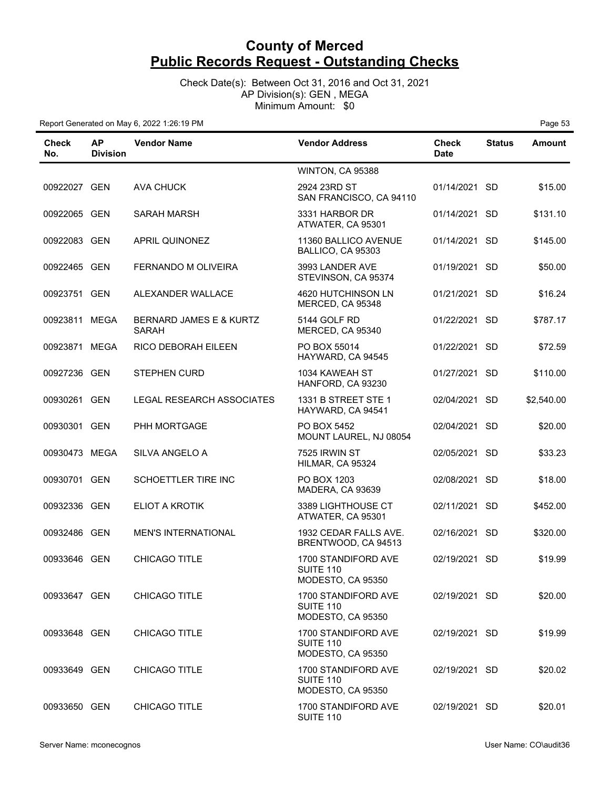Check Date(s): Between Oct 31, 2016 and Oct 31, 2021 AP Division(s): GEN , MEGA Minimum Amount: \$0

| <b>Check</b><br>No. | <b>AP</b><br><b>Division</b> | <b>Vendor Name</b>                      | <b>Vendor Address</b>                                        | <b>Check</b><br><b>Date</b> | <b>Status</b> | <b>Amount</b> |
|---------------------|------------------------------|-----------------------------------------|--------------------------------------------------------------|-----------------------------|---------------|---------------|
|                     |                              |                                         | WINTON, CA 95388                                             |                             |               |               |
| 00922027 GEN        |                              | <b>AVA CHUCK</b>                        | 2924 23RD ST<br>SAN FRANCISCO, CA 94110                      | 01/14/2021 SD               |               | \$15.00       |
| 00922065 GEN        |                              | <b>SARAH MARSH</b>                      | 3331 HARBOR DR<br>ATWATER, CA 95301                          | 01/14/2021 SD               |               | \$131.10      |
| 00922083 GEN        |                              | APRIL QUINONEZ                          | 11360 BALLICO AVENUE<br>BALLICO, CA 95303                    | 01/14/2021 SD               |               | \$145.00      |
| 00922465 GEN        |                              | FERNANDO M OLIVEIRA                     | 3993 LANDER AVE<br>STEVINSON, CA 95374                       | 01/19/2021 SD               |               | \$50.00       |
| 00923751 GEN        |                              | ALEXANDER WALLACE                       | 4620 HUTCHINSON LN<br>MERCED, CA 95348                       | 01/21/2021 SD               |               | \$16.24       |
| 00923811 MEGA       |                              | BERNARD JAMES E & KURTZ<br><b>SARAH</b> | 5144 GOLF RD<br>MERCED, CA 95340                             | 01/22/2021 SD               |               | \$787.17      |
| 00923871 MEGA       |                              | RICO DEBORAH EILEEN                     | PO BOX 55014<br>HAYWARD, CA 94545                            | 01/22/2021 SD               |               | \$72.59       |
| 00927236 GEN        |                              | <b>STEPHEN CURD</b>                     | 1034 KAWEAH ST<br>HANFORD, CA 93230                          | 01/27/2021 SD               |               | \$110.00      |
| 00930261 GEN        |                              | <b>LEGAL RESEARCH ASSOCIATES</b>        | 1331 B STREET STE 1<br>HAYWARD, CA 94541                     | 02/04/2021 SD               |               | \$2,540.00    |
| 00930301 GEN        |                              | PHH MORTGAGE                            | PO BOX 5452<br>MOUNT LAUREL, NJ 08054                        | 02/04/2021 SD               |               | \$20.00       |
| 00930473 MEGA       |                              | SILVA ANGELO A                          | 7525 IRWIN ST<br>HILMAR, CA 95324                            | 02/05/2021 SD               |               | \$33.23       |
| 00930701 GEN        |                              | SCHOETTLER TIRE INC                     | PO BOX 1203<br>MADERA, CA 93639                              | 02/08/2021 SD               |               | \$18.00       |
| 00932336 GEN        |                              | <b>ELIOT A KROTIK</b>                   | 3389 LIGHTHOUSE CT<br>ATWATER, CA 95301                      | 02/11/2021 SD               |               | \$452.00      |
| 00932486 GEN        |                              | <b>MEN'S INTERNATIONAL</b>              | 1932 CEDAR FALLS AVE.<br>BRENTWOOD, CA 94513                 | 02/16/2021 SD               |               | \$320.00      |
| 00933646 GEN        |                              | CHICAGO TITLE                           | 1700 STANDIFORD AVE<br><b>SUITE 110</b><br>MODESTO, CA 95350 | 02/19/2021 SD               |               | \$19.99       |
| 00933647 GEN        |                              | CHICAGO TITLE                           | 1700 STANDIFORD AVE<br>SUITE 110<br>MODESTO, CA 95350        | 02/19/2021 SD               |               | \$20.00       |
| 00933648 GEN        |                              | <b>CHICAGO TITLE</b>                    | 1700 STANDIFORD AVE<br>SUITE 110<br>MODESTO, CA 95350        | 02/19/2021 SD               |               | \$19.99       |
| 00933649 GEN        |                              | CHICAGO TITLE                           | 1700 STANDIFORD AVE<br>SUITE 110<br>MODESTO, CA 95350        | 02/19/2021 SD               |               | \$20.02       |
| 00933650 GEN        |                              | CHICAGO TITLE                           | 1700 STANDIFORD AVE<br><b>SUITE 110</b>                      | 02/19/2021 SD               |               | \$20.01       |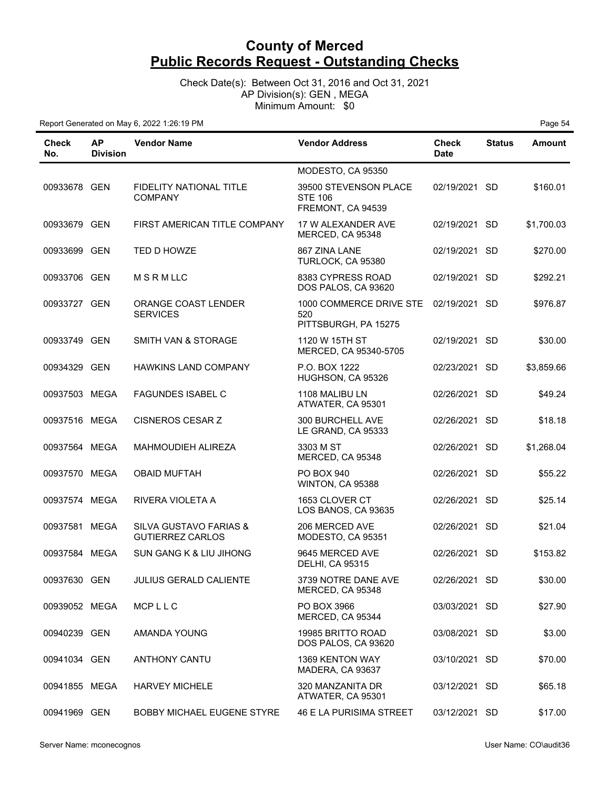Check Date(s): Between Oct 31, 2016 and Oct 31, 2021 AP Division(s): GEN , MEGA Minimum Amount: \$0

| Check<br>No.  | <b>AP</b><br><b>Division</b> | <b>Vendor Name</b>                                           | <b>Vendor Address</b>                                        | <b>Check</b><br><b>Date</b> | <b>Status</b> | <b>Amount</b> |
|---------------|------------------------------|--------------------------------------------------------------|--------------------------------------------------------------|-----------------------------|---------------|---------------|
|               |                              |                                                              | MODESTO, CA 95350                                            |                             |               |               |
| 00933678 GEN  |                              | FIDELITY NATIONAL TITLE<br><b>COMPANY</b>                    | 39500 STEVENSON PLACE<br><b>STE 106</b><br>FREMONT, CA 94539 | 02/19/2021 SD               |               | \$160.01      |
| 00933679 GEN  |                              | FIRST AMERICAN TITLE COMPANY                                 | 17 W ALEXANDER AVE<br>MERCED, CA 95348                       | 02/19/2021 SD               |               | \$1,700.03    |
| 00933699 GEN  |                              | TED D HOWZE                                                  | 867 ZINA LANE<br>TURLOCK, CA 95380                           | 02/19/2021 SD               |               | \$270.00      |
| 00933706 GEN  |                              | MSRMLLC                                                      | 8383 CYPRESS ROAD<br>DOS PALOS, CA 93620                     | 02/19/2021 SD               |               | \$292.21      |
| 00933727 GEN  |                              | ORANGE COAST LENDER<br><b>SERVICES</b>                       | 1000 COMMERCE DRIVE STE<br>520<br>PITTSBURGH, PA 15275       | 02/19/2021 SD               |               | \$976.87      |
| 00933749 GEN  |                              | SMITH VAN & STORAGE                                          | 1120 W 15TH ST<br>MERCED, CA 95340-5705                      | 02/19/2021 SD               |               | \$30.00       |
| 00934329 GEN  |                              | HAWKINS LAND COMPANY                                         | P.O. BOX 1222<br>HUGHSON, CA 95326                           | 02/23/2021 SD               |               | \$3,859.66    |
| 00937503 MEGA |                              | <b>FAGUNDES ISABEL C</b>                                     | 1108 MALIBU LN<br>ATWATER, CA 95301                          | 02/26/2021 SD               |               | \$49.24       |
| 00937516 MEGA |                              | <b>CISNEROS CESAR Z</b>                                      | 300 BURCHELL AVE<br>LE GRAND, CA 95333                       | 02/26/2021 SD               |               | \$18.18       |
| 00937564 MEGA |                              | MAHMOUDIEH ALIREZA                                           | 3303 M ST<br>MERCED, CA 95348                                | 02/26/2021 SD               |               | \$1,268.04    |
| 00937570 MEGA |                              | <b>OBAID MUFTAH</b>                                          | <b>PO BOX 940</b><br>WINTON, CA 95388                        | 02/26/2021 SD               |               | \$55.22       |
| 00937574 MEGA |                              | RIVERA VIOLETA A                                             | 1653 CLOVER CT<br>LOS BANOS, CA 93635                        | 02/26/2021 SD               |               | \$25.14       |
| 00937581 MEGA |                              | <b>SILVA GUSTAVO FARIAS &amp;</b><br><b>GUTIERREZ CARLOS</b> | 206 MERCED AVE<br>MODESTO, CA 95351                          | 02/26/2021 SD               |               | \$21.04       |
| 00937584 MEGA |                              | SUN GANG K & LIU JIHONG                                      | 9645 MERCED AVE<br><b>DELHI, CA 95315</b>                    | 02/26/2021 SD               |               | \$153.82      |
| 00937630 GEN  |                              | JULIUS GERALD CALIENTE                                       | 3739 NOTRE DANE AVE<br>MERCED, CA 95348                      | 02/26/2021 SD               |               | \$30.00       |
| 00939052 MEGA |                              | MCPLLC                                                       | PO BOX 3966<br>MERCED, CA 95344                              | 03/03/2021 SD               |               | \$27.90       |
| 00940239 GEN  |                              | AMANDA YOUNG                                                 | 19985 BRITTO ROAD<br>DOS PALOS, CA 93620                     | 03/08/2021 SD               |               | \$3.00        |
| 00941034 GEN  |                              | <b>ANTHONY CANTU</b>                                         | 1369 KENTON WAY<br>MADERA, CA 93637                          | 03/10/2021 SD               |               | \$70.00       |
| 00941855 MEGA |                              | <b>HARVEY MICHELE</b>                                        | 320 MANZANITA DR<br>ATWATER, CA 95301                        | 03/12/2021 SD               |               | \$65.18       |
| 00941969 GEN  |                              | BOBBY MICHAEL EUGENE STYRE                                   | 46 E LA PURISIMA STREET                                      | 03/12/2021 SD               |               | \$17.00       |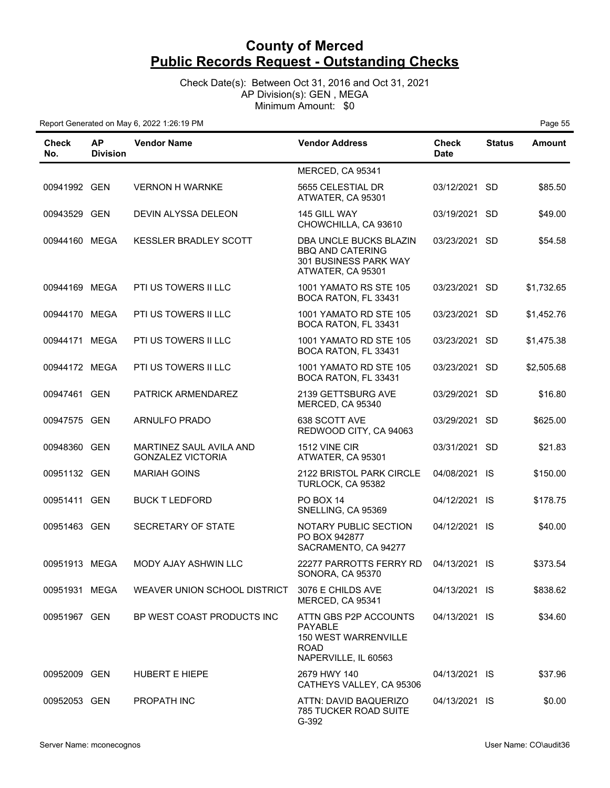Check Date(s): Between Oct 31, 2016 and Oct 31, 2021 AP Division(s): GEN , MEGA Minimum Amount: \$0

| Check<br>No.  | <b>AP</b><br><b>Division</b> | <b>Vendor Name</b>                                  | <b>Vendor Address</b>                                                                                  | <b>Check</b><br><b>Date</b> | <b>Status</b> | Amount     |
|---------------|------------------------------|-----------------------------------------------------|--------------------------------------------------------------------------------------------------------|-----------------------------|---------------|------------|
|               |                              |                                                     | MERCED, CA 95341                                                                                       |                             |               |            |
| 00941992 GEN  |                              | <b>VERNON H WARNKE</b>                              | 5655 CELESTIAL DR<br>ATWATER, CA 95301                                                                 | 03/12/2021 SD               |               | \$85.50    |
| 00943529 GEN  |                              | <b>DEVIN ALYSSA DELEON</b>                          | 145 GILL WAY<br>CHOWCHILLA, CA 93610                                                                   | 03/19/2021 SD               |               | \$49.00    |
| 00944160 MEGA |                              | KESSLER BRADLEY SCOTT                               | DBA UNCLE BUCKS BLAZIN<br><b>BBQ AND CATERING</b><br>301 BUSINESS PARK WAY<br>ATWATER, CA 95301        | 03/23/2021 SD               |               | \$54.58    |
| 00944169 MEGA |                              | PTI US TOWERS II LLC                                | <b>1001 YAMATO RS STE 105</b><br>BOCA RATON, FL 33431                                                  | 03/23/2021                  | <b>SD</b>     | \$1,732.65 |
| 00944170 MEGA |                              | PTI US TOWERS II LLC                                | 1001 YAMATO RD STE 105<br>BOCA RATON, FL 33431                                                         | 03/23/2021 SD               |               | \$1,452.76 |
| 00944171 MEGA |                              | PTI US TOWERS II LLC                                | 1001 YAMATO RD STE 105<br>BOCA RATON, FL 33431                                                         | 03/23/2021 SD               |               | \$1,475.38 |
| 00944172 MEGA |                              | <b>PTI US TOWERS II LLC</b>                         | 1001 YAMATO RD STE 105<br>BOCA RATON, FL 33431                                                         | 03/23/2021 SD               |               | \$2,505.68 |
| 00947461 GEN  |                              | PATRICK ARMENDAREZ                                  | 2139 GETTSBURG AVE<br>MERCED, CA 95340                                                                 | 03/29/2021 SD               |               | \$16.80    |
| 00947575 GEN  |                              | ARNULFO PRADO                                       | 638 SCOTT AVE<br>REDWOOD CITY, CA 94063                                                                | 03/29/2021 SD               |               | \$625.00   |
| 00948360 GEN  |                              | MARTINEZ SAUL AVILA AND<br><b>GONZALEZ VICTORIA</b> | 1512 VINE CIR<br>ATWATER, CA 95301                                                                     | 03/31/2021 SD               |               | \$21.83    |
| 00951132 GEN  |                              | <b>MARIAH GOINS</b>                                 | 2122 BRISTOL PARK CIRCLE<br>TURLOCK, CA 95382                                                          | 04/08/2021 IS               |               | \$150.00   |
| 00951411 GEN  |                              | <b>BUCK T LEDFORD</b>                               | PO BOX 14<br>SNELLING, CA 95369                                                                        | 04/12/2021 IS               |               | \$178.75   |
| 00951463 GEN  |                              | SECRETARY OF STATE                                  | NOTARY PUBLIC SECTION<br>PO BOX 942877<br>SACRAMENTO, CA 94277                                         | 04/12/2021 IS               |               | \$40.00    |
| 00951913 MEGA |                              | MODY AJAY ASHWIN LLC                                | 22277 PARROTTS FERRY RD<br>SONORA, CA 95370                                                            | 04/13/2021 IS               |               | \$373.54   |
| 00951931 MEGA |                              | WEAVER UNION SCHOOL DISTRICT                        | 3076 E CHILDS AVE<br>MERCED, CA 95341                                                                  | 04/13/2021 IS               |               | \$838.62   |
| 00951967 GEN  |                              | BP WEST COAST PRODUCTS INC                          | ATTN GBS P2P ACCOUNTS<br>PAYABLE<br><b>150 WEST WARRENVILLE</b><br><b>ROAD</b><br>NAPERVILLE, IL 60563 | 04/13/2021 IS               |               | \$34.60    |
| 00952009 GEN  |                              | <b>HUBERT E HIEPE</b>                               | 2679 HWY 140<br>CATHEYS VALLEY, CA 95306                                                               | 04/13/2021 IS               |               | \$37.96    |
| 00952053 GEN  |                              | PROPATH INC                                         | ATTN: DAVID BAQUERIZO<br><b>785 TUCKER ROAD SUITE</b><br>G-392                                         | 04/13/2021 IS               |               | \$0.00     |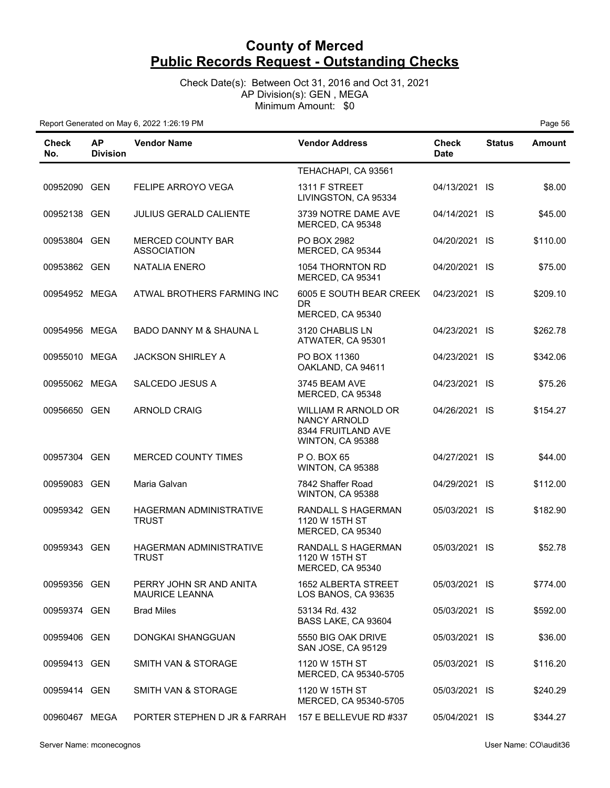Check Date(s): Between Oct 31, 2016 and Oct 31, 2021 AP Division(s): GEN , MEGA Minimum Amount: \$0

| Check<br>No.  | <b>AP</b><br><b>Division</b> | <b>Vendor Name</b>                             | <b>Vendor Address</b>                                                                       | Check<br><b>Date</b> | <b>Status</b> | <b>Amount</b> |
|---------------|------------------------------|------------------------------------------------|---------------------------------------------------------------------------------------------|----------------------|---------------|---------------|
|               |                              |                                                | TEHACHAPI, CA 93561                                                                         |                      |               |               |
| 00952090 GEN  |                              | <b>FELIPE ARROYO VEGA</b>                      | 1311 F STREET<br>LIVINGSTON, CA 95334                                                       | 04/13/2021 IS        |               | \$8.00        |
| 00952138 GEN  |                              | <b>JULIUS GERALD CALIENTE</b>                  | 3739 NOTRE DAME AVE<br>MERCED, CA 95348                                                     | 04/14/2021 IS        |               | \$45.00       |
| 00953804 GEN  |                              | <b>MERCED COUNTY BAR</b><br><b>ASSOCIATION</b> | PO BOX 2982<br>MERCED, CA 95344                                                             | 04/20/2021 IS        |               | \$110.00      |
| 00953862 GEN  |                              | <b>NATALIA ENERO</b>                           | 1054 THORNTON RD<br>MERCED, CA 95341                                                        | 04/20/2021 IS        |               | \$75.00       |
| 00954952 MEGA |                              | ATWAL BROTHERS FARMING INC                     | 6005 E SOUTH BEAR CREEK<br>DR.<br>MERCED, CA 95340                                          | 04/23/2021 IS        |               | \$209.10      |
| 00954956 MEGA |                              | <b>BADO DANNY M &amp; SHAUNA L</b>             | 3120 CHABLIS LN<br>ATWATER, CA 95301                                                        | 04/23/2021 IS        |               | \$262.78      |
| 00955010 MEGA |                              | <b>JACKSON SHIRLEY A</b>                       | PO BOX 11360<br>OAKLAND, CA 94611                                                           | 04/23/2021 IS        |               | \$342.06      |
| 00955062 MEGA |                              | SALCEDO JESUS A                                | 3745 BEAM AVE<br>MERCED, CA 95348                                                           | 04/23/2021 IS        |               | \$75.26       |
| 00956650 GEN  |                              | <b>ARNOLD CRAIG</b>                            | <b>WILLIAM R ARNOLD OR</b><br><b>NANCY ARNOLD</b><br>8344 FRUITLAND AVE<br>WINTON, CA 95388 | 04/26/2021 IS        |               | \$154.27      |
| 00957304 GEN  |                              | MERCED COUNTY TIMES                            | P O. BOX 65<br>WINTON, CA 95388                                                             | 04/27/2021 IS        |               | \$44.00       |
| 00959083 GEN  |                              | Maria Galvan                                   | 7842 Shaffer Road<br>WINTON, CA 95388                                                       | 04/29/2021 IS        |               | \$112.00      |
| 00959342 GEN  |                              | <b>HAGERMAN ADMINISTRATIVE</b><br><b>TRUST</b> | <b>RANDALL S HAGERMAN</b><br>1120 W 15TH ST<br>MERCED, CA 95340                             | 05/03/2021 IS        |               | \$182.90      |
| 00959343 GEN  |                              | <b>HAGERMAN ADMINISTRATIVE</b><br><b>TRUST</b> | RANDALL S HAGERMAN<br>1120 W 15TH ST<br>MERCED, CA 95340                                    | 05/03/2021 IS        |               | \$52.78       |
| 00959356 GEN  |                              | PERRY JOHN SR AND ANITA<br>MAURICE LEANNA      | 1652 ALBERTA STREET<br>LOS BANOS, CA 93635                                                  | 05/03/2021 IS        |               | \$774.00      |
| 00959374 GEN  |                              | <b>Brad Miles</b>                              | 53134 Rd. 432<br>BASS LAKE, CA 93604                                                        | 05/03/2021 IS        |               | \$592.00      |
| 00959406 GEN  |                              | DONGKAI SHANGGUAN                              | 5550 BIG OAK DRIVE<br>SAN JOSE, CA 95129                                                    | 05/03/2021 IS        |               | \$36.00       |
| 00959413 GEN  |                              | SMITH VAN & STORAGE                            | 1120 W 15TH ST<br>MERCED, CA 95340-5705                                                     | 05/03/2021 IS        |               | \$116.20      |
| 00959414 GEN  |                              | SMITH VAN & STORAGE                            | 1120 W 15TH ST<br>MERCED, CA 95340-5705                                                     | 05/03/2021 IS        |               | \$240.29      |
| 00960467 MEGA |                              | PORTER STEPHEN D JR & FARRAH                   | 157 E BELLEVUE RD #337                                                                      | 05/04/2021 IS        |               | \$344.27      |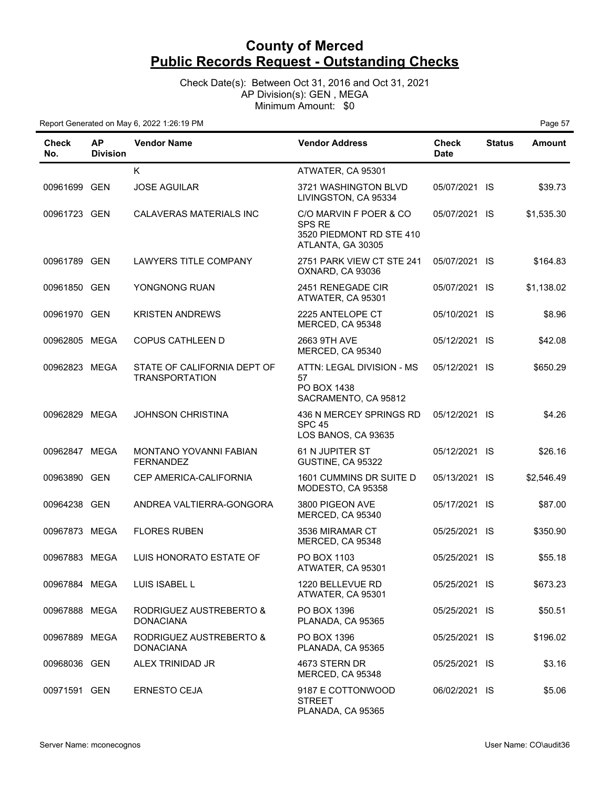Check Date(s): Between Oct 31, 2016 and Oct 31, 2021 AP Division(s): GEN , MEGA Minimum Amount: \$0

| Check<br>No.  | <b>AP</b><br><b>Division</b> | <b>Vendor Name</b>                                   | <b>Vendor Address</b>                                                                    | <b>Check</b><br><b>Date</b> | <b>Status</b> | <b>Amount</b> |
|---------------|------------------------------|------------------------------------------------------|------------------------------------------------------------------------------------------|-----------------------------|---------------|---------------|
|               |                              | K.                                                   | ATWATER, CA 95301                                                                        |                             |               |               |
| 00961699 GEN  |                              | <b>JOSE AGUILAR</b>                                  | 3721 WASHINGTON BLVD<br>LIVINGSTON, CA 95334                                             | 05/07/2021 IS               |               | \$39.73       |
| 00961723 GEN  |                              | <b>CALAVERAS MATERIALS INC</b>                       | C/O MARVIN F POER & CO<br><b>SPS RE</b><br>3520 PIEDMONT RD STE 410<br>ATLANTA, GA 30305 | 05/07/2021 IS               |               | \$1,535.30    |
| 00961789 GEN  |                              | LAWYERS TITLE COMPANY                                | 2751 PARK VIEW CT STE 241<br>OXNARD, CA 93036                                            | 05/07/2021 IS               |               | \$164.83      |
| 00961850 GEN  |                              | YONGNONG RUAN                                        | 2451 RENEGADE CIR<br>ATWATER, CA 95301                                                   | 05/07/2021 IS               |               | \$1,138.02    |
| 00961970 GEN  |                              | <b>KRISTEN ANDREWS</b>                               | 2225 ANTELOPE CT<br>MERCED, CA 95348                                                     | 05/10/2021 IS               |               | \$8.96        |
| 00962805 MEGA |                              | <b>COPUS CATHLEEN D</b>                              | 2663 9TH AVE<br>MERCED, CA 95340                                                         | 05/12/2021 IS               |               | \$42.08       |
| 00962823 MEGA |                              | STATE OF CALIFORNIA DEPT OF<br><b>TRANSPORTATION</b> | ATTN: LEGAL DIVISION - MS<br>57<br>PO BOX 1438<br>SACRAMENTO, CA 95812                   | 05/12/2021 IS               |               | \$650.29      |
| 00962829 MEGA |                              | <b>JOHNSON CHRISTINA</b>                             | 436 N MERCEY SPRINGS RD<br><b>SPC 45</b><br>LOS BANOS, CA 93635                          | 05/12/2021 IS               |               | \$4.26        |
| 00962847 MEGA |                              | MONTANO YOVANNI FABIAN<br><b>FERNANDEZ</b>           | 61 N JUPITER ST<br>GUSTINE, CA 95322                                                     | 05/12/2021 IS               |               | \$26.16       |
| 00963890 GEN  |                              | CEP AMERICA-CALIFORNIA                               | 1601 CUMMINS DR SUITE D<br>MODESTO, CA 95358                                             | 05/13/2021 IS               |               | \$2,546.49    |
| 00964238 GEN  |                              | ANDREA VALTIERRA-GONGORA                             | 3800 PIGEON AVE<br>MERCED, CA 95340                                                      | 05/17/2021 IS               |               | \$87.00       |
| 00967873 MEGA |                              | <b>FLORES RUBEN</b>                                  | 3536 MIRAMAR CT<br>MERCED, CA 95348                                                      | 05/25/2021 IS               |               | \$350.90      |
| 00967883 MEGA |                              | LUIS HONORATO ESTATE OF                              | PO BOX 1103<br>ATWATER, CA 95301                                                         | 05/25/2021                  | -IS           | \$55.18       |
| 00967884 MEGA |                              | LUIS ISABEL L                                        | 1220 BELLEVUE RD<br>ATWATER, CA 95301                                                    | 05/25/2021 IS               |               | \$673.23      |
| 00967888 MEGA |                              | RODRIGUEZ AUSTREBERTO &<br><b>DONACIANA</b>          | PO BOX 1396<br>PLANADA, CA 95365                                                         | 05/25/2021 IS               |               | \$50.51       |
| 00967889 MEGA |                              | RODRIGUEZ AUSTREBERTO &<br><b>DONACIANA</b>          | PO BOX 1396<br>PLANADA, CA 95365                                                         | 05/25/2021 IS               |               | \$196.02      |
| 00968036 GEN  |                              | ALEX TRINIDAD JR                                     | 4673 STERN DR<br>MERCED, CA 95348                                                        | 05/25/2021 IS               |               | \$3.16        |
| 00971591 GEN  |                              | <b>ERNESTO CEJA</b>                                  | 9187 E COTTONWOOD<br><b>STREET</b><br>PLANADA, CA 95365                                  | 06/02/2021 IS               |               | \$5.06        |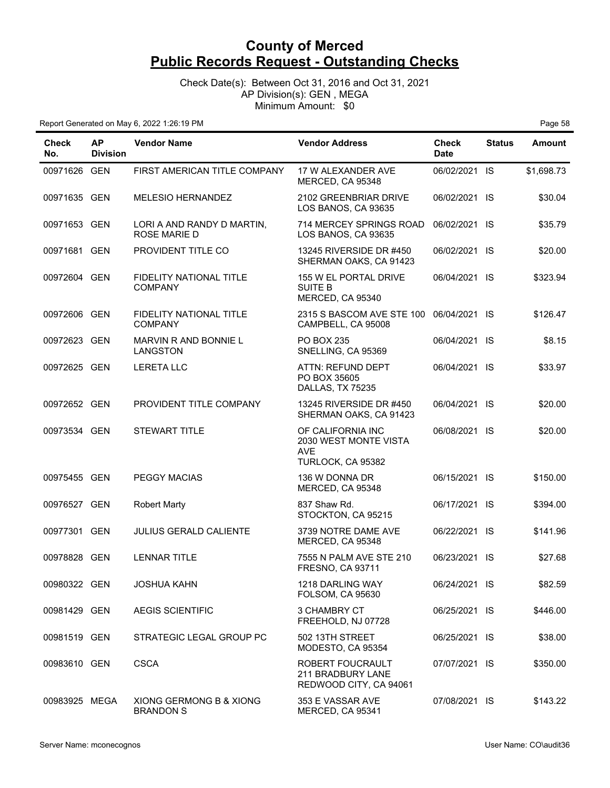Check Date(s): Between Oct 31, 2016 and Oct 31, 2021 AP Division(s): GEN , MEGA Minimum Amount: \$0

| <b>Check</b><br>No. | <b>AP</b><br><b>Division</b> | <b>Vendor Name</b>                                | <b>Vendor Address</b>                                                         | <b>Check</b><br><b>Date</b> | <b>Status</b> | <b>Amount</b> |
|---------------------|------------------------------|---------------------------------------------------|-------------------------------------------------------------------------------|-----------------------------|---------------|---------------|
| 00971626 GEN        |                              | FIRST AMERICAN TITLE COMPANY                      | 17 W ALEXANDER AVE<br>MERCED, CA 95348                                        | 06/02/2021 IS               |               | \$1,698.73    |
| 00971635 GEN        |                              | <b>MELESIO HERNANDEZ</b>                          | 2102 GREENBRIAR DRIVE<br>LOS BANOS, CA 93635                                  | 06/02/2021 IS               |               | \$30.04       |
| 00971653 GEN        |                              | LORI A AND RANDY D MARTIN,<br><b>ROSE MARIE D</b> | 714 MERCEY SPRINGS ROAD<br>LOS BANOS, CA 93635                                | 06/02/2021 IS               |               | \$35.79       |
| 00971681 GEN        |                              | PROVIDENT TITLE CO                                | 13245 RIVERSIDE DR #450<br>SHERMAN OAKS, CA 91423                             | 06/02/2021 IS               |               | \$20.00       |
| 00972604 GEN        |                              | FIDELITY NATIONAL TITLE<br><b>COMPANY</b>         | 155 W EL PORTAL DRIVE<br><b>SUITE B</b><br>MERCED, CA 95340                   | 06/04/2021 IS               |               | \$323.94      |
| 00972606 GEN        |                              | <b>FIDELITY NATIONAL TITLE</b><br><b>COMPANY</b>  | 2315 S BASCOM AVE STE 100<br>CAMPBELL, CA 95008                               | 06/04/2021 IS               |               | \$126.47      |
| 00972623 GEN        |                              | MARVIN R AND BONNIE L<br>LANGSTON                 | PO BOX 235<br>SNELLING, CA 95369                                              | 06/04/2021 IS               |               | \$8.15        |
| 00972625 GEN        |                              | <b>LERETA LLC</b>                                 | ATTN: REFUND DEPT<br>PO BOX 35605<br>DALLAS, TX 75235                         | 06/04/2021 IS               |               | \$33.97       |
| 00972652 GEN        |                              | PROVIDENT TITLE COMPANY                           | 13245 RIVERSIDE DR #450<br>SHERMAN OAKS, CA 91423                             | 06/04/2021 IS               |               | \$20.00       |
| 00973534 GEN        |                              | <b>STEWART TITLE</b>                              | OF CALIFORNIA INC<br>2030 WEST MONTE VISTA<br><b>AVE</b><br>TURLOCK, CA 95382 | 06/08/2021 IS               |               | \$20.00       |
| 00975455 GEN        |                              | <b>PEGGY MACIAS</b>                               | 136 W DONNA DR<br>MERCED, CA 95348                                            | 06/15/2021 IS               |               | \$150.00      |
| 00976527 GEN        |                              | <b>Robert Marty</b>                               | 837 Shaw Rd.<br>STOCKTON, CA 95215                                            | 06/17/2021 IS               |               | \$394.00      |
| 00977301 GEN        |                              | <b>JULIUS GERALD CALIENTE</b>                     | 3739 NOTRE DAME AVE<br>MERCED, CA 95348                                       | 06/22/2021 IS               |               | \$141.96      |
| 00978828            | GEN                          | <b>LENNAR TITLE</b>                               | 7555 N PALM AVE STE 210<br>FRESNO, CA 93711                                   | 06/23/2021 IS               |               | \$27.68       |
| 00980322 GEN        |                              | <b>JOSHUA KAHN</b>                                | 1218 DARLING WAY<br><b>FOLSOM, CA 95630</b>                                   | 06/24/2021 IS               |               | \$82.59       |
| 00981429 GEN        |                              | <b>AEGIS SCIENTIFIC</b>                           | 3 CHAMBRY CT<br>FREEHOLD, NJ 07728                                            | 06/25/2021 IS               |               | \$446.00      |
| 00981519 GEN        |                              | STRATEGIC LEGAL GROUP PC                          | 502 13TH STREET<br>MODESTO, CA 95354                                          | 06/25/2021 IS               |               | \$38.00       |
| 00983610 GEN        |                              | <b>CSCA</b>                                       | ROBERT FOUCRAULT<br>211 BRADBURY LANE<br>REDWOOD CITY, CA 94061               | 07/07/2021 IS               |               | \$350.00      |
| 00983925 MEGA       |                              | XIONG GERMONG B & XIONG<br><b>BRANDON S</b>       | 353 E VASSAR AVE<br>MERCED, CA 95341                                          | 07/08/2021 IS               |               | \$143.22      |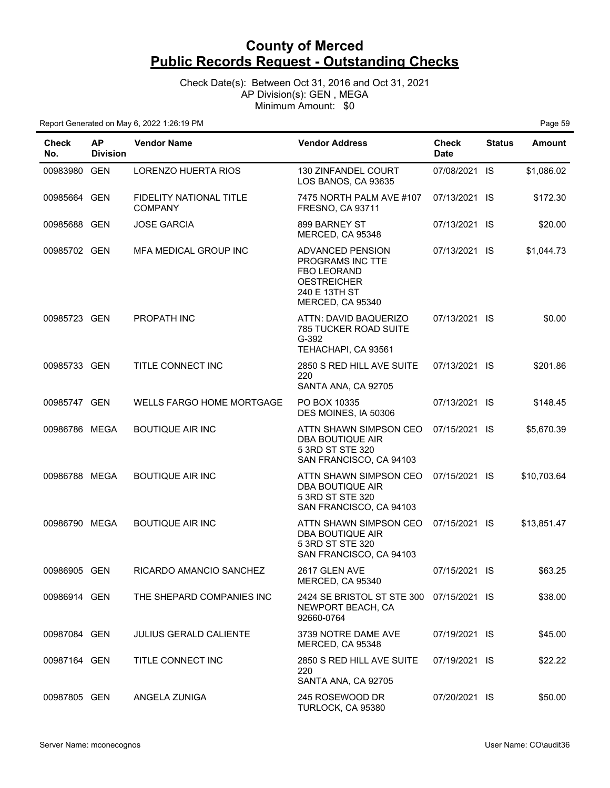Check Date(s): Between Oct 31, 2016 and Oct 31, 2021 AP Division(s): GEN , MEGA Minimum Amount: \$0

| <b>Check</b><br>No. | <b>AP</b><br><b>Division</b> | <b>Vendor Name</b>                               | <b>Vendor Address</b>                                                                                                        | <b>Check</b><br><b>Date</b> | <b>Status</b> | <b>Amount</b> |
|---------------------|------------------------------|--------------------------------------------------|------------------------------------------------------------------------------------------------------------------------------|-----------------------------|---------------|---------------|
| 00983980 GEN        |                              | LORENZO HUERTA RIOS                              | 130 ZINFANDEL COURT<br>LOS BANOS, CA 93635                                                                                   | 07/08/2021 IS               |               | \$1,086.02    |
| 00985664 GEN        |                              | <b>FIDELITY NATIONAL TITLE</b><br><b>COMPANY</b> | 7475 NORTH PALM AVE #107<br><b>FRESNO, CA 93711</b>                                                                          | 07/13/2021 IS               |               | \$172.30      |
| 00985688 GEN        |                              | <b>JOSE GARCIA</b>                               | 899 BARNEY ST<br>MERCED, CA 95348                                                                                            | 07/13/2021 IS               |               | \$20.00       |
| 00985702 GEN        |                              | MFA MEDICAL GROUP INC                            | <b>ADVANCED PENSION</b><br>PROGRAMS INC TTE<br><b>FBO LEORAND</b><br><b>OESTREICHER</b><br>240 E 13TH ST<br>MERCED, CA 95340 | 07/13/2021 IS               |               | \$1,044.73    |
| 00985723 GEN        |                              | <b>PROPATH INC</b>                               | ATTN: DAVID BAQUERIZO<br><b>785 TUCKER ROAD SUITE</b><br>$G-392$<br>TEHACHAPI, CA 93561                                      | 07/13/2021 IS               |               | \$0.00        |
| 00985733 GEN        |                              | TITLE CONNECT INC                                | 2850 S RED HILL AVE SUITE<br>220<br>SANTA ANA, CA 92705                                                                      | 07/13/2021 IS               |               | \$201.86      |
| 00985747 GEN        |                              | WELLS FARGO HOME MORTGAGE                        | PO BOX 10335<br>DES MOINES, IA 50306                                                                                         | 07/13/2021 IS               |               | \$148.45      |
| 00986786 MEGA       |                              | <b>BOUTIQUE AIR INC</b>                          | ATTN SHAWN SIMPSON CEO<br>DBA BOUTIQUE AIR<br>5 3RD ST STE 320<br>SAN FRANCISCO, CA 94103                                    | 07/15/2021 IS               |               | \$5,670.39    |
| 00986788 MEGA       |                              | <b>BOUTIQUE AIR INC</b>                          | ATTN SHAWN SIMPSON CEO<br>DBA BOUTIQUE AIR<br>5 3RD ST STE 320<br>SAN FRANCISCO, CA 94103                                    | 07/15/2021 IS               |               | \$10,703.64   |
| 00986790 MEGA       |                              | <b>BOUTIQUE AIR INC</b>                          | ATTN SHAWN SIMPSON CEO<br>DBA BOUTIQUE AIR<br>5 3RD ST STE 320<br>SAN FRANCISCO, CA 94103                                    | 07/15/2021 IS               |               | \$13,851.47   |
| 00986905 GEN        |                              | RICARDO AMANCIO SANCHEZ                          | 2617 GLEN AVE<br>MERCED, CA 95340                                                                                            | 07/15/2021 IS               |               | \$63.25       |
| 00986914 GEN        |                              | THE SHEPARD COMPANIES INC                        | 2424 SE BRISTOL ST STE 300<br>NEWPORT BEACH, CA<br>92660-0764                                                                | 07/15/2021 IS               |               | \$38.00       |
| 00987084 GEN        |                              | <b>JULIUS GERALD CALIENTE</b>                    | 3739 NOTRE DAME AVE<br>MERCED, CA 95348                                                                                      | 07/19/2021 IS               |               | \$45.00       |
| 00987164 GEN        |                              | TITLE CONNECT INC                                | 2850 S RED HILL AVE SUITE<br>220<br>SANTA ANA, CA 92705                                                                      | 07/19/2021 IS               |               | \$22.22       |
| 00987805 GEN        |                              | ANGELA ZUNIGA                                    | 245 ROSEWOOD DR<br>TURLOCK, CA 95380                                                                                         | 07/20/2021 IS               |               | \$50.00       |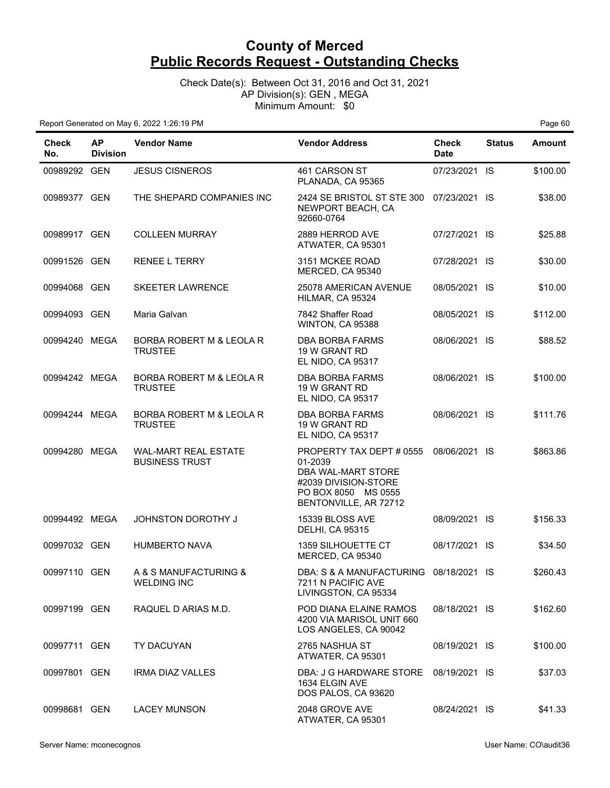Check Date(s): Between Oct 31, 2016 and Oct 31, 2021 AP Division(s): GEN , MEGA Minimum Amount: \$0

| <b>Check</b><br>No. | <b>AP</b><br><b>Division</b> | <b>Vendor Name</b>                                   | <b>Vendor Address</b>                                                                                                             | <b>Check</b><br><b>Date</b> | <b>Status</b> | <b>Amount</b> |
|---------------------|------------------------------|------------------------------------------------------|-----------------------------------------------------------------------------------------------------------------------------------|-----------------------------|---------------|---------------|
| 00989292 GEN        |                              | <b>JESUS CISNEROS</b>                                | 461 CARSON ST<br>PLANADA, CA 95365                                                                                                | 07/23/2021 IS               |               | \$100.00      |
| 00989377 GEN        |                              | THE SHEPARD COMPANIES INC                            | 2424 SE BRISTOL ST STE 300<br>NEWPORT BEACH, CA<br>92660-0764                                                                     | 07/23/2021 IS               |               | \$38.00       |
| 00989917 GEN        |                              | <b>COLLEEN MURRAY</b>                                | 2889 HERROD AVE<br>ATWATER, CA 95301                                                                                              | 07/27/2021 IS               |               | \$25.88       |
| 00991526 GEN        |                              | <b>RENEE L TERRY</b>                                 | 3151 MCKEE ROAD<br>MERCED, CA 95340                                                                                               | 07/28/2021 IS               |               | \$30.00       |
| 00994068 GEN        |                              | <b>SKEETER LAWRENCE</b>                              | 25078 AMERICAN AVENUE<br>HILMAR, CA 95324                                                                                         | 08/05/2021 IS               |               | \$10.00       |
| 00994093 GEN        |                              | Maria Galvan                                         | 7842 Shaffer Road<br>WINTON, CA 95388                                                                                             | 08/05/2021 IS               |               | \$112.00      |
| 00994240 MEGA       |                              | BORBA ROBERT M & LEOLA R<br><b>TRUSTEE</b>           | DBA BORBA FARMS<br>19 W GRANT RD<br>EL NIDO, CA 95317                                                                             | 08/06/2021 IS               |               | \$88.52       |
| 00994242 MEGA       |                              | BORBA ROBERT M & LEOLA R<br><b>TRUSTEE</b>           | <b>DBA BORBA FARMS</b><br>19 W GRANT RD<br>EL NIDO, CA 95317                                                                      | 08/06/2021 IS               |               | \$100.00      |
| 00994244 MEGA       |                              | BORBA ROBERT M & LEOLA R<br><b>TRUSTEE</b>           | DBA BORBA FARMS<br>19 W GRANT RD<br>EL NIDO, CA 95317                                                                             | 08/06/2021 IS               |               | \$111.76      |
| 00994280 MEGA       |                              | <b>WAL-MART REAL ESTATE</b><br><b>BUSINESS TRUST</b> | PROPERTY TAX DEPT # 0555<br>01-2039<br>DBA WAL-MART STORE<br>#2039 DIVISION-STORE<br>PO BOX 8050 MS 0555<br>BENTONVILLE, AR 72712 | 08/06/2021 IS               |               | \$863.86      |
| 00994492 MEGA       |                              | <b>JOHNSTON DOROTHY J</b>                            | 15339 BLOSS AVE<br><b>DELHI, CA 95315</b>                                                                                         | 08/09/2021 IS               |               | \$156.33      |
| 00997032 GEN        |                              | <b>HUMBERTO NAVA</b>                                 | <b>1359 SILHOUETTE CT</b><br>MERCED, CA 95340                                                                                     | 08/17/2021 IS               |               | \$34.50       |
| 00997110 GEN        |                              | A & S MANUFACTURING &<br><b>WELDING INC</b>          | DBA: S & A MANUFACTURING 08/18/2021 IS<br>7211 N PACIFIC AVE<br>LIVINGSTON, CA 95334                                              |                             |               | \$260.43      |
| 00997199 GEN        |                              | RAQUEL D ARIAS M.D.                                  | POD DIANA ELAINE RAMOS<br>4200 VIA MARISOL UNIT 660<br>LOS ANGELES, CA 90042                                                      | 08/18/2021 IS               |               | \$162.60      |
| 00997711 GEN        |                              | TY DACUYAN                                           | 2765 NASHUA ST<br>ATWATER, CA 95301                                                                                               | 08/19/2021 IS               |               | \$100.00      |
| 00997801 GEN        |                              | <b>IRMA DIAZ VALLES</b>                              | DBA: J G HARDWARE STORE<br>1634 ELGIN AVE<br>DOS PALOS, CA 93620                                                                  | 08/19/2021 IS               |               | \$37.03       |
| 00998681 GEN        |                              | <b>LACEY MUNSON</b>                                  | 2048 GROVE AVE<br>ATWATER, CA 95301                                                                                               | 08/24/2021 IS               |               | \$41.33       |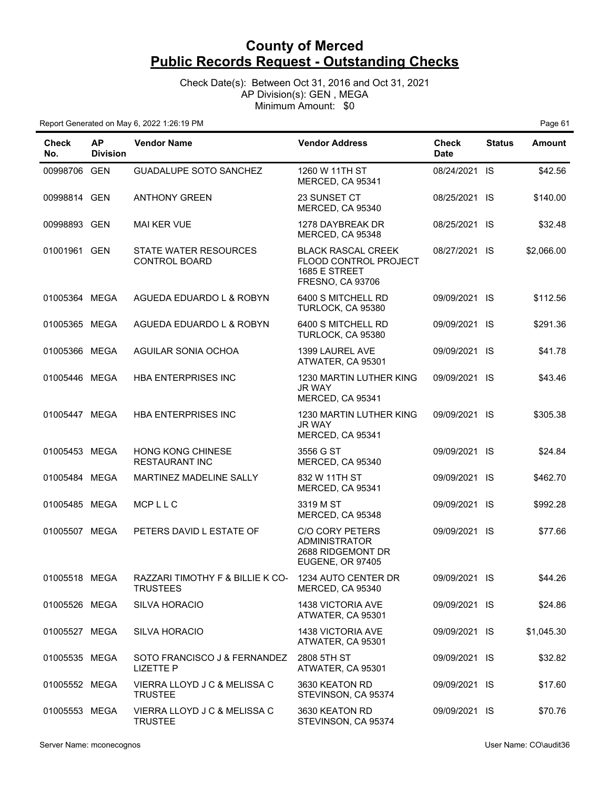Check Date(s): Between Oct 31, 2016 and Oct 31, 2021 AP Division(s): GEN , MEGA Minimum Amount: \$0

| Check<br>No.  | <b>AP</b><br><b>Division</b> | <b>Vendor Name</b>                                  | <b>Vendor Address</b>                                                                          | Check<br><b>Date</b> | <b>Status</b> | <b>Amount</b> |
|---------------|------------------------------|-----------------------------------------------------|------------------------------------------------------------------------------------------------|----------------------|---------------|---------------|
| 00998706 GEN  |                              | <b>GUADALUPE SOTO SANCHEZ</b>                       | 1260 W 11TH ST<br>MERCED, CA 95341                                                             | 08/24/2021 IS        |               | \$42.56       |
| 00998814 GEN  |                              | <b>ANTHONY GREEN</b>                                | 23 SUNSET CT<br>MERCED, CA 95340                                                               | 08/25/2021 IS        |               | \$140.00      |
| 00998893 GEN  |                              | <b>MAI KER VUE</b>                                  | 1278 DAYBREAK DR<br>MERCED, CA 95348                                                           | 08/25/2021 IS        |               | \$32.48       |
| 01001961 GEN  |                              | STATE WATER RESOURCES<br><b>CONTROL BOARD</b>       | <b>BLACK RASCAL CREEK</b><br>FLOOD CONTROL PROJECT<br>1685 E STREET<br><b>FRESNO, CA 93706</b> | 08/27/2021 IS        |               | \$2,066.00    |
| 01005364 MEGA |                              | AGUEDA EDUARDO L & ROBYN                            | 6400 S MITCHELL RD<br>TURLOCK, CA 95380                                                        | 09/09/2021 IS        |               | \$112.56      |
| 01005365 MEGA |                              | AGUEDA EDUARDO L & ROBYN                            | 6400 S MITCHELL RD<br>TURLOCK, CA 95380                                                        | 09/09/2021 IS        |               | \$291.36      |
| 01005366 MEGA |                              | AGUILAR SONIA OCHOA                                 | 1399 LAUREL AVE<br>ATWATER, CA 95301                                                           | 09/09/2021 IS        |               | \$41.78       |
| 01005446 MEGA |                              | HBA ENTERPRISES INC                                 | 1230 MARTIN LUTHER KING<br>JR WAY<br>MERCED, CA 95341                                          | 09/09/2021 IS        |               | \$43.46       |
| 01005447 MEGA |                              | HBA ENTERPRISES INC                                 | 1230 MARTIN LUTHER KING<br>JR WAY<br>MERCED, CA 95341                                          | 09/09/2021 IS        |               | \$305.38      |
| 01005453 MEGA |                              | HONG KONG CHINESE<br><b>RESTAURANT INC</b>          | 3556 G ST<br>MERCED, CA 95340                                                                  | 09/09/2021 IS        |               | \$24.84       |
| 01005484 MEGA |                              | MARTINEZ MADELINE SALLY                             | 832 W 11TH ST<br>MERCED, CA 95341                                                              | 09/09/2021 IS        |               | \$462.70      |
| 01005485 MEGA |                              | MCPLLC                                              | 3319 M ST<br>MERCED, CA 95348                                                                  | 09/09/2021 IS        |               | \$992.28      |
| 01005507 MEGA |                              | PETERS DAVID L ESTATE OF                            | <b>C/O CORY PETERS</b><br><b>ADMINISTRATOR</b><br>2688 RIDGEMONT DR<br><b>EUGENE, OR 97405</b> | 09/09/2021 IS        |               | \$77.66       |
| 01005518 MEGA |                              | RAZZARI TIMOTHY F & BILLIE K CO-<br><b>TRUSTEES</b> | 1234 AUTO CENTER DR<br>MERCED, CA 95340                                                        | 09/09/2021 IS        |               | \$44.26       |
| 01005526 MEGA |                              | <b>SILVA HORACIO</b>                                | 1438 VICTORIA AVE<br>ATWATER, CA 95301                                                         | 09/09/2021 IS        |               | \$24.86       |
| 01005527 MEGA |                              | <b>SILVA HORACIO</b>                                | 1438 VICTORIA AVE<br>ATWATER, CA 95301                                                         | 09/09/2021 IS        |               | \$1,045.30    |
| 01005535 MEGA |                              | SOTO FRANCISCO J & FERNANDEZ<br><b>LIZETTE P</b>    | 2808 5TH ST<br>ATWATER, CA 95301                                                               | 09/09/2021 IS        |               | \$32.82       |
| 01005552 MEGA |                              | VIERRA LLOYD J C & MELISSA C<br><b>TRUSTEE</b>      | 3630 KEATON RD<br>STEVINSON, CA 95374                                                          | 09/09/2021 IS        |               | \$17.60       |
| 01005553 MEGA |                              | VIERRA LLOYD J C & MELISSA C<br><b>TRUSTEE</b>      | 3630 KEATON RD<br>STEVINSON, CA 95374                                                          | 09/09/2021 IS        |               | \$70.76       |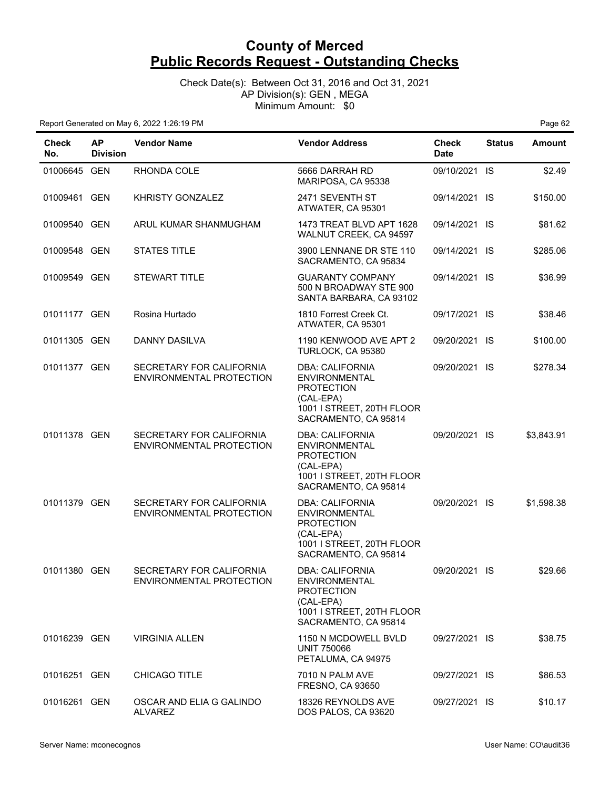Check Date(s): Between Oct 31, 2016 and Oct 31, 2021 AP Division(s): GEN , MEGA Minimum Amount: \$0

| Check<br>No. | <b>AP</b><br><b>Division</b> | <b>Vendor Name</b>                                   | <b>Vendor Address</b>                                                                                                                 | <b>Check</b><br><b>Date</b> | <b>Status</b> | <b>Amount</b> |
|--------------|------------------------------|------------------------------------------------------|---------------------------------------------------------------------------------------------------------------------------------------|-----------------------------|---------------|---------------|
| 01006645 GEN |                              | RHONDA COLE                                          | 5666 DARRAH RD<br>MARIPOSA, CA 95338                                                                                                  | 09/10/2021 IS               |               | \$2.49        |
| 01009461 GEN |                              | <b>KHRISTY GONZALEZ</b>                              | 2471 SEVENTH ST<br>ATWATER, CA 95301                                                                                                  | 09/14/2021 IS               |               | \$150.00      |
| 01009540 GEN |                              | ARUL KUMAR SHANMUGHAM                                | 1473 TREAT BLVD APT 1628<br>WALNUT CREEK, CA 94597                                                                                    | 09/14/2021 IS               |               | \$81.62       |
| 01009548 GEN |                              | <b>STATES TITLE</b>                                  | 3900 LENNANE DR STE 110<br>SACRAMENTO, CA 95834                                                                                       | 09/14/2021 IS               |               | \$285.06      |
| 01009549 GEN |                              | <b>STEWART TITLE</b>                                 | <b>GUARANTY COMPANY</b><br>500 N BROADWAY STE 900<br>SANTA BARBARA, CA 93102                                                          | 09/14/2021 IS               |               | \$36.99       |
| 01011177 GEN |                              | Rosina Hurtado                                       | 1810 Forrest Creek Ct.<br>ATWATER, CA 95301                                                                                           | 09/17/2021 IS               |               | \$38.46       |
| 01011305 GEN |                              | DANNY DASILVA                                        | 1190 KENWOOD AVE APT 2<br>TURLOCK, CA 95380                                                                                           | 09/20/2021 IS               |               | \$100.00      |
| 01011377 GEN |                              | SECRETARY FOR CALIFORNIA<br>ENVIRONMENTAL PROTECTION | <b>DBA: CALIFORNIA</b><br><b>ENVIRONMENTAL</b><br><b>PROTECTION</b><br>(CAL-EPA)<br>1001 I STREET, 20TH FLOOR<br>SACRAMENTO, CA 95814 | 09/20/2021 IS               |               | \$278.34      |
| 01011378 GEN |                              | SECRETARY FOR CALIFORNIA<br>ENVIRONMENTAL PROTECTION | <b>DBA: CALIFORNIA</b><br><b>ENVIRONMENTAL</b><br><b>PROTECTION</b><br>(CAL-EPA)<br>1001 I STREET, 20TH FLOOR<br>SACRAMENTO, CA 95814 | 09/20/2021 IS               |               | \$3,843.91    |
| 01011379 GEN |                              | SECRETARY FOR CALIFORNIA<br>ENVIRONMENTAL PROTECTION | <b>DBA: CALIFORNIA</b><br><b>ENVIRONMENTAL</b><br><b>PROTECTION</b><br>(CAL-EPA)<br>1001 I STREET, 20TH FLOOR<br>SACRAMENTO, CA 95814 | 09/20/2021 IS               |               | \$1,598.38    |
| 01011380 GEN |                              | SECRETARY FOR CALIFORNIA<br>ENVIRONMENTAL PROTECTION | <b>DBA: CALIFORNIA</b><br><b>ENVIRONMENTAL</b><br><b>PROTECTION</b><br>(CAL-EPA)<br>1001 I STREET, 20TH FLOOR<br>SACRAMENTO, CA 95814 | 09/20/2021 IS               |               | \$29.66       |
| 01016239 GEN |                              | <b>VIRGINIA ALLEN</b>                                | 1150 N MCDOWELL BVLD<br><b>UNIT 750066</b><br>PETALUMA, CA 94975                                                                      | 09/27/2021 IS               |               | \$38.75       |
| 01016251 GEN |                              | <b>CHICAGO TITLE</b>                                 | 7010 N PALM AVE<br><b>FRESNO, CA 93650</b>                                                                                            | 09/27/2021 IS               |               | \$86.53       |
| 01016261 GEN |                              | OSCAR AND ELIA G GALINDO<br><b>ALVAREZ</b>           | 18326 REYNOLDS AVE<br>DOS PALOS, CA 93620                                                                                             | 09/27/2021 IS               |               | \$10.17       |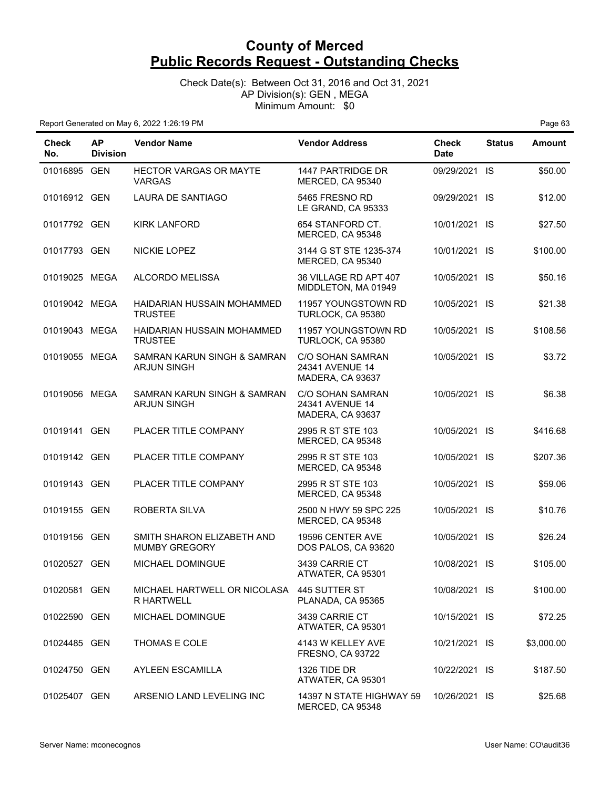Check Date(s): Between Oct 31, 2016 and Oct 31, 2021 AP Division(s): GEN , MEGA Minimum Amount: \$0

| <b>Check</b><br>No. | <b>AP</b><br><b>Division</b> | <b>Vendor Name</b>                                 | <b>Vendor Address</b>                                          | <b>Check</b><br><b>Date</b> | <b>Status</b> | <b>Amount</b> |
|---------------------|------------------------------|----------------------------------------------------|----------------------------------------------------------------|-----------------------------|---------------|---------------|
| 01016895 GEN        |                              | <b>HECTOR VARGAS OR MAYTE</b><br><b>VARGAS</b>     | <b>1447 PARTRIDGE DR</b><br>MERCED, CA 95340                   | 09/29/2021 IS               |               | \$50.00       |
| 01016912 GEN        |                              | LAURA DE SANTIAGO                                  | 5465 FRESNO RD<br>LE GRAND, CA 95333                           | 09/29/2021 IS               |               | \$12.00       |
| 01017792 GEN        |                              | KIRK LANFORD                                       | 654 STANFORD CT.<br>MERCED, CA 95348                           | 10/01/2021 IS               |               | \$27.50       |
| 01017793 GEN        |                              | NICKIE LOPEZ                                       | 3144 G ST STE 1235-374<br>MERCED, CA 95340                     | 10/01/2021 IS               |               | \$100.00      |
| 01019025 MEGA       |                              | ALCORDO MELISSA                                    | 36 VILLAGE RD APT 407<br>MIDDLETON, MA 01949                   | 10/05/2021 IS               |               | \$50.16       |
| 01019042 MEGA       |                              | HAIDARIAN HUSSAIN MOHAMMED<br><b>TRUSTEE</b>       | 11957 YOUNGSTOWN RD<br>TURLOCK, CA 95380                       | 10/05/2021 IS               |               | \$21.38       |
| 01019043 MEGA       |                              | HAIDARIAN HUSSAIN MOHAMMED<br><b>TRUSTEE</b>       | 11957 YOUNGSTOWN RD<br>TURLOCK, CA 95380                       | 10/05/2021 IS               |               | \$108.56      |
| 01019055 MEGA       |                              | SAMRAN KARUN SINGH & SAMRAN<br><b>ARJUN SINGH</b>  | C/O SOHAN SAMRAN<br>24341 AVENUE 14<br>MADERA, CA 93637        | 10/05/2021 IS               |               | \$3.72        |
| 01019056 MEGA       |                              | SAMRAN KARUN SINGH & SAMRAN<br><b>ARJUN SINGH</b>  | <b>C/O SOHAN SAMRAN</b><br>24341 AVENUE 14<br>MADERA, CA 93637 | 10/05/2021 IS               |               | \$6.38        |
| 01019141 GEN        |                              | PLACER TITLE COMPANY                               | 2995 R ST STE 103<br>MERCED, CA 95348                          | 10/05/2021 IS               |               | \$416.68      |
| 01019142 GEN        |                              | PLACER TITLE COMPANY                               | 2995 R ST STE 103<br>MERCED, CA 95348                          | 10/05/2021 IS               |               | \$207.36      |
| 01019143 GEN        |                              | PLACER TITLE COMPANY                               | 2995 R ST STE 103<br>MERCED, CA 95348                          | 10/05/2021 IS               |               | \$59.06       |
| 01019155 GEN        |                              | ROBERTA SILVA                                      | 2500 N HWY 59 SPC 225<br>MERCED, CA 95348                      | 10/05/2021 IS               |               | \$10.76       |
| 01019156 GEN        |                              | SMITH SHARON ELIZABETH AND<br><b>MUMBY GREGORY</b> | 19596 CENTER AVE<br>DOS PALOS, CA 93620                        | 10/05/2021 IS               |               | \$26.24       |
| 01020527 GEN        |                              | MICHAEL DOMINGUE                                   | 3439 CARRIE CT<br>ATWATER, CA 95301                            | 10/08/2021 IS               |               | \$105.00      |
| 01020581 GEN        |                              | MICHAEL HARTWELL OR NICOLASA<br><b>R HARTWELL</b>  | 445 SUTTER ST<br>PLANADA, CA 95365                             | 10/08/2021 IS               |               | \$100.00      |
| 01022590 GEN        |                              | MICHAEL DOMINGUE                                   | 3439 CARRIE CT<br>ATWATER, CA 95301                            | 10/15/2021 IS               |               | \$72.25       |
| 01024485 GEN        |                              | THOMAS E COLE                                      | 4143 W KELLEY AVE<br><b>FRESNO, CA 93722</b>                   | 10/21/2021 IS               |               | \$3,000.00    |
| 01024750 GEN        |                              | AYLEEN ESCAMILLA                                   | 1326 TIDE DR<br>ATWATER, CA 95301                              | 10/22/2021 IS               |               | \$187.50      |
| 01025407 GEN        |                              | ARSENIO LAND LEVELING INC                          | 14397 N STATE HIGHWAY 59<br>MERCED, CA 95348                   | 10/26/2021 IS               |               | \$25.68       |